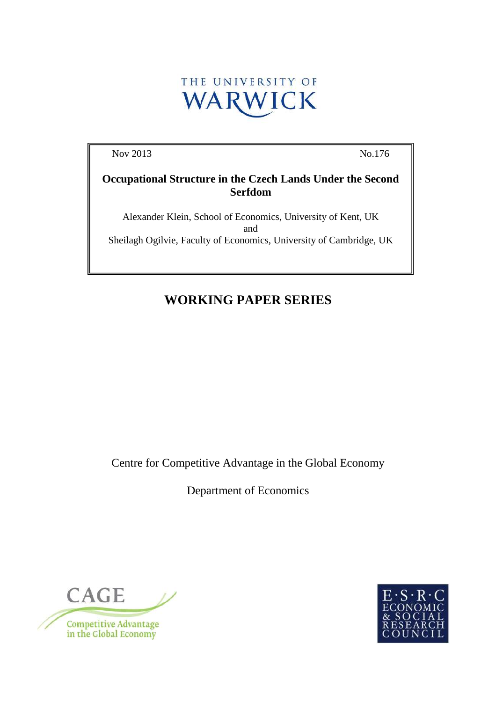

Nov 2013 No.176

### **Occupational Structure in the Czech Lands Under the Second Serfdom**

Alexander Klein, School of Economics, University of Kent, UK and Sheilagh Ogilvie, Faculty of Economics, University of Cambridge, UK

# **WORKING PAPER SERIES**

Centre for Competitive Advantage in the Global Economy

Department of Economics



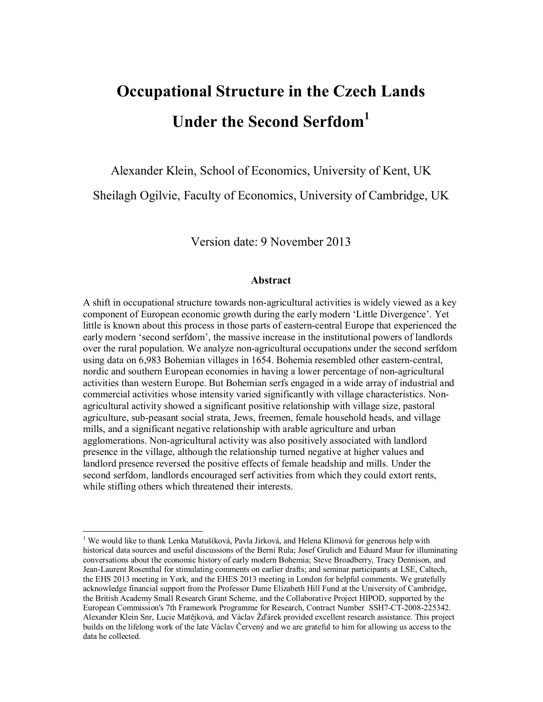# **Occupational Structure in the Czech Lands Under the Second Serfdom1**

Alexander Klein, School of Economics, University of Kent, UK

Sheilagh Ogilvie, Faculty of Economics, University of Cambridge, UK

Version date: 9 November 2013

#### **Abstract**

A shift in occupational structure towards non-agricultural activities is widely viewed as a key component of European economic growth during the early modern 'Little Divergence'. Yet little is known about this process in those parts of eastern-central Europe that experienced the early modern 'second serfdom', the massive increase in the institutional powers of landlords over the rural population. We analyze non-agricultural occupations under the second serfdom using data on 6,983 Bohemian villages in 1654. Bohemia resembled other eastern-central, nordic and southern European economies in having a lower percentage of non-agricultural activities than western Europe. But Bohemian serfs engaged in a wide array of industrial and commercial activities whose intensity varied significantly with village characteristics. Nonagricultural activity showed a significant positive relationship with village size, pastoral agriculture, sub-peasant social strata, Jews, freemen, female household heads, and village mills, and a significant negative relationship with arable agriculture and urban agglomerations. Non-agricultural activity was also positively associated with landlord presence in the village, although the relationship turned negative at higher values and landlord presence reversed the positive effects of female headship and mills. Under the second serfdom, landlords encouraged serf activities from which they could extort rents, while stifling others which threatened their interests.

<sup>&</sup>lt;sup>1</sup> We would like to thank Lenka Matušíková, Pavla Jirková, and Helena Klímová for generous help with historical data sources and useful discussions of the Berní Rula; Josef Grulich and Eduard Maur for illuminating conversations about the economic history of early modern Bohemia; Steve Broadberry, Tracy Dennison, and Jean-Laurent Rosenthal for stimulating comments on earlier drafts; and seminar participants at LSE, Caltech, the EHS 2013 meeting in York, and the EHES 2013 meeting in London for helpful comments. We gratefully acknowledge financial support from the Professor Dame Elizabeth Hill Fund at the University of Cambridge, the British Academy Small Research Grant Scheme, and the Collaborative Project HIPOD, supported by the European Commission's 7th Framework Programme for Research, Contract Number SSH7-CT-2008-225342. Alexander Klein Snr, Lucie Matějková, and Václav Žďárek provided excellent research assistance. This project builds on the lifelong work of the late Václav Červený and we are grateful to him for allowing us access to the data he collected.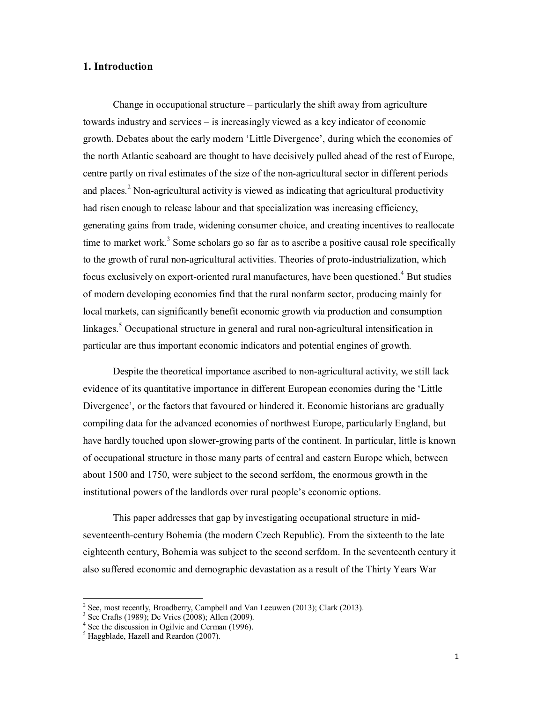#### **1. Introduction**

Change in occupational structure – particularly the shift away from agriculture towards industry and services – is increasingly viewed as a key indicator of economic growth. Debates about the early modern 'Little Divergence', during which the economies of the north Atlantic seaboard are thought to have decisively pulled ahead of the rest of Europe, centre partly on rival estimates of the size of the non-agricultural sector in different periods and places.<sup>2</sup> Non-agricultural activity is viewed as indicating that agricultural productivity had risen enough to release labour and that specialization was increasing efficiency, generating gains from trade, widening consumer choice, and creating incentives to reallocate time to market work.<sup>3</sup> Some scholars go so far as to ascribe a positive causal role specifically to the growth of rural non-agricultural activities. Theories of proto-industrialization, which focus exclusively on export-oriented rural manufactures, have been questioned.<sup>4</sup> But studies of modern developing economies find that the rural nonfarm sector, producing mainly for local markets, can significantly benefit economic growth via production and consumption linkages.<sup>5</sup> Occupational structure in general and rural non-agricultural intensification in particular are thus important economic indicators and potential engines of growth.

Despite the theoretical importance ascribed to non-agricultural activity, we still lack evidence of its quantitative importance in different European economies during the 'Little Divergence', or the factors that favoured or hindered it. Economic historians are gradually compiling data for the advanced economies of northwest Europe, particularly England, but have hardly touched upon slower-growing parts of the continent. In particular, little is known of occupational structure in those many parts of central and eastern Europe which, between about 1500 and 1750, were subject to the second serfdom, the enormous growth in the institutional powers of the landlords over rural people's economic options.

This paper addresses that gap by investigating occupational structure in midseventeenth-century Bohemia (the modern Czech Republic). From the sixteenth to the late eighteenth century, Bohemia was subject to the second serfdom. In the seventeenth century it also suffered economic and demographic devastation as a result of the Thirty Years War

 $2^2$  See, most recently, Broadberry, Campbell and Van Leeuwen (2013); Clark (2013).

 $3 \text{ See Craths } (1989)$ ; De Vries (2008); Allen (2009).

 $4$  See the discussion in Ogilvie and Cerman (1996).

<sup>5</sup> Haggblade, Hazell and Reardon (2007).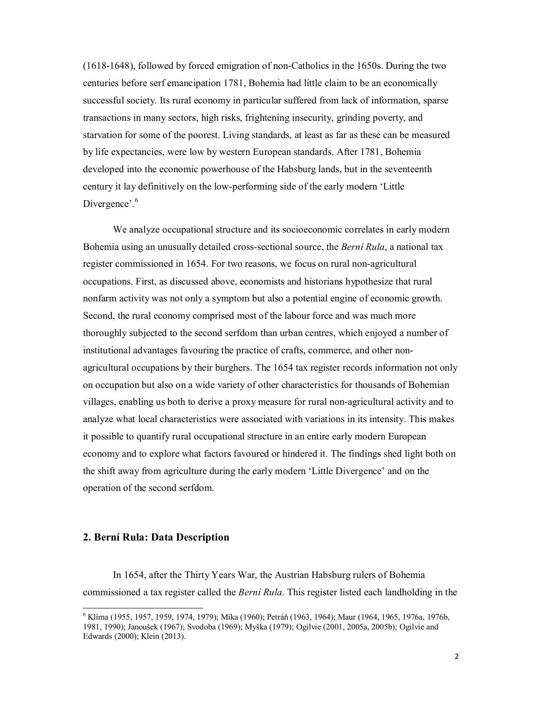(1618-1648), followed by forced emigration of non-Catholics in the 1650s. During the two centuries before serf emancipation 1781, Bohemia had little claim to be an economically successful society. Its rural economy in particular suffered from lack of information, sparse transactions in many sectors, high risks, frightening insecurity, grinding poverty, and starvation for some of the poorest. Living standards, at least as far as these can be measured by life expectancies, were low by western European standards. After 1781, Bohemia developed into the economic powerhouse of the Habsburg lands, but in the seventeenth century it lay definitively on the low-performing side of the early modern 'Little Divergence'.<sup>6</sup>

We analyze occupational structure and its socioeconomic correlates in early modern Bohemia using an unusually detailed cross-sectional source, the *Berní Rula*, a national tax register commissioned in 1654. For two reasons, we focus on rural non-agricultural occupations. First, as discussed above, economists and historians hypothesize that rural nonfarm activity was not only a symptom but also a potential engine of economic growth. Second, the rural economy comprised most of the labour force and was much more thoroughly subjected to the second serfdom than urban centres, which enjoyed a number of institutional advantages favouring the practice of crafts, commerce, and other nonagricultural occupations by their burghers. The 1654 tax register records information not only on occupation but also on a wide variety of other characteristics for thousands of Bohemian villages, enabling us both to derive a proxy measure for rural non-agricultural activity and to analyze what local characteristics were associated with variations in its intensity. This makes it possible to quantify rural occupational structure in an entire early modern European economy and to explore what factors favoured or hindered it. The findings shed light both on the shift away from agriculture during the early modern 'Little Divergence' and on the operation of the second serfdom.

#### **2. Berní Rula: Data Description**

In 1654, after the Thirty Years War, the Austrian Habsburg rulers of Bohemia commissioned a tax register called the *Berní Rula*. This register listed each landholding in the

<sup>6</sup> Klíma (1955, 1957, 1959, 1974, 1979); Míka (1960); Petráň (1963, 1964); Maur (1964, 1965, 1976a, 1976b, 1981, 1990); Janoušek (1967); Svodoba (1969); Myška (1979); Ogilvie (2001, 2005a, 2005b); Ogilvie and Edwards (2000); Klein (2013).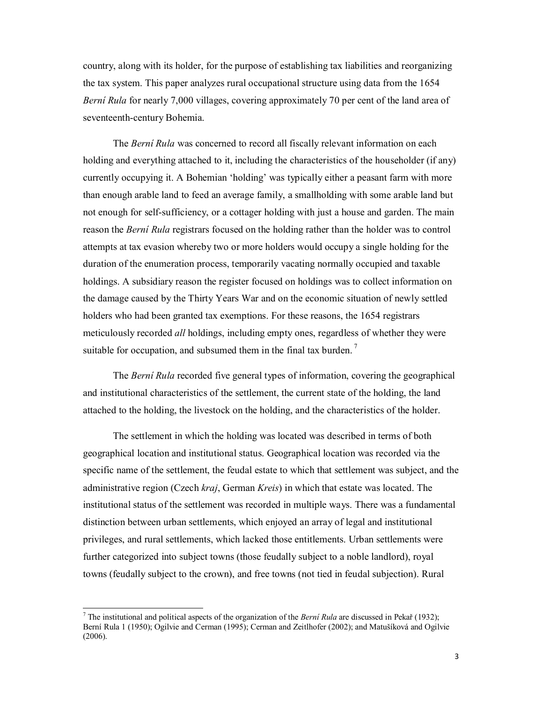country, along with its holder, for the purpose of establishing tax liabilities and reorganizing the tax system. This paper analyzes rural occupational structure using data from the 1654 *Berní Rula* for nearly 7,000 villages, covering approximately 70 per cent of the land area of seventeenth-century Bohemia.

The *Berní Rula* was concerned to record all fiscally relevant information on each holding and everything attached to it, including the characteristics of the householder (if any) currently occupying it. A Bohemian 'holding' was typically either a peasant farm with more than enough arable land to feed an average family, a smallholding with some arable land but not enough for self-sufficiency, or a cottager holding with just a house and garden. The main reason the *Berní Rula* registrars focused on the holding rather than the holder was to control attempts at tax evasion whereby two or more holders would occupy a single holding for the duration of the enumeration process, temporarily vacating normally occupied and taxable holdings. A subsidiary reason the register focused on holdings was to collect information on the damage caused by the Thirty Years War and on the economic situation of newly settled holders who had been granted tax exemptions. For these reasons, the 1654 registrars meticulously recorded *all* holdings, including empty ones, regardless of whether they were suitable for occupation, and subsumed them in the final tax burden.<sup>7</sup>

The *Berní Rula* recorded five general types of information, covering the geographical and institutional characteristics of the settlement, the current state of the holding, the land attached to the holding, the livestock on the holding, and the characteristics of the holder.

The settlement in which the holding was located was described in terms of both geographical location and institutional status. Geographical location was recorded via the specific name of the settlement, the feudal estate to which that settlement was subject, and the administrative region (Czech *kraj*, German *Kreis*) in which that estate was located. The institutional status of the settlement was recorded in multiple ways. There was a fundamental distinction between urban settlements, which enjoyed an array of legal and institutional privileges, and rural settlements, which lacked those entitlements. Urban settlements were further categorized into subject towns (those feudally subject to a noble landlord), royal towns (feudally subject to the crown), and free towns (not tied in feudal subjection). Rural

<sup>7</sup> The institutional and political aspects of the organization of the *Berní Rula* are discussed in Pekař (1932); Berní Rula 1 (1950); Ogilvie and Cerman (1995); Cerman and Zeitlhofer (2002); and Matušíková and Ogilvie (2006).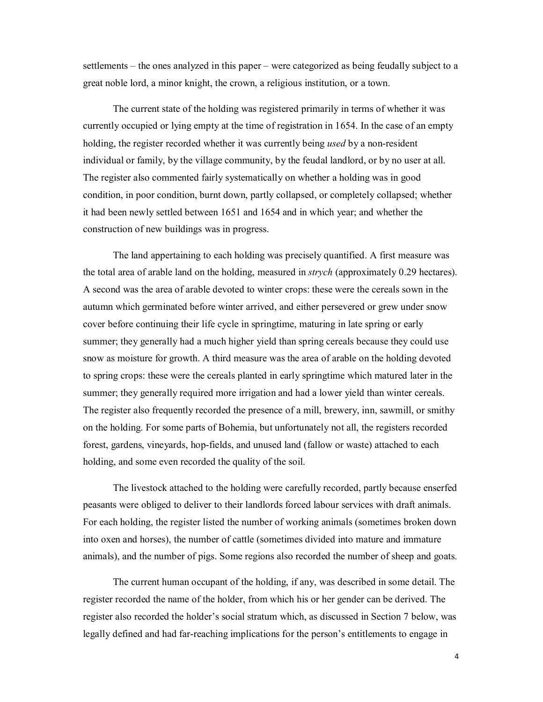settlements – the ones analyzed in this paper – were categorized as being feudally subject to a great noble lord, a minor knight, the crown, a religious institution, or a town.

The current state of the holding was registered primarily in terms of whether it was currently occupied or lying empty at the time of registration in 1654. In the case of an empty holding, the register recorded whether it was currently being *used* by a non-resident individual or family, by the village community, by the feudal landlord, or by no user at all. The register also commented fairly systematically on whether a holding was in good condition, in poor condition, burnt down, partly collapsed, or completely collapsed; whether it had been newly settled between 1651 and 1654 and in which year; and whether the construction of new buildings was in progress.

The land appertaining to each holding was precisely quantified. A first measure was the total area of arable land on the holding, measured in *strych* (approximately 0.29 hectares). A second was the area of arable devoted to winter crops: these were the cereals sown in the autumn which germinated before winter arrived, and either persevered or grew under snow cover before continuing their life cycle in springtime, maturing in late spring or early summer; they generally had a much higher yield than spring cereals because they could use snow as moisture for growth. A third measure was the area of arable on the holding devoted to spring crops: these were the cereals planted in early springtime which matured later in the summer; they generally required more irrigation and had a lower yield than winter cereals. The register also frequently recorded the presence of a mill, brewery, inn, sawmill, or smithy on the holding. For some parts of Bohemia, but unfortunately not all, the registers recorded forest, gardens, vineyards, hop-fields, and unused land (fallow or waste) attached to each holding, and some even recorded the quality of the soil.

The livestock attached to the holding were carefully recorded, partly because enserfed peasants were obliged to deliver to their landlords forced labour services with draft animals. For each holding, the register listed the number of working animals (sometimes broken down into oxen and horses), the number of cattle (sometimes divided into mature and immature animals), and the number of pigs. Some regions also recorded the number of sheep and goats.

The current human occupant of the holding, if any, was described in some detail. The register recorded the name of the holder, from which his or her gender can be derived. The register also recorded the holder's social stratum which, as discussed in Section 7 below, was legally defined and had far-reaching implications for the person's entitlements to engage in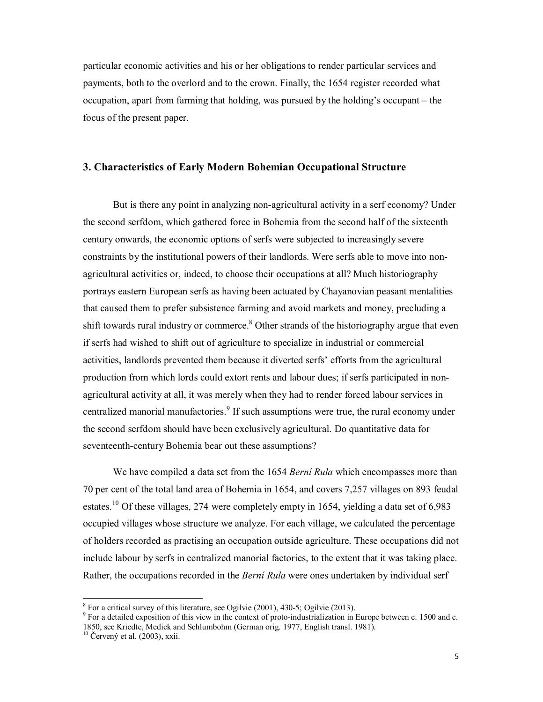particular economic activities and his or her obligations to render particular services and payments, both to the overlord and to the crown. Finally, the 1654 register recorded what occupation, apart from farming that holding, was pursued by the holding's occupant – the focus of the present paper.

#### **3. Characteristics of Early Modern Bohemian Occupational Structure**

But is there any point in analyzing non-agricultural activity in a serf economy? Under the second serfdom, which gathered force in Bohemia from the second half of the sixteenth century onwards, the economic options of serfs were subjected to increasingly severe constraints by the institutional powers of their landlords. Were serfs able to move into nonagricultural activities or, indeed, to choose their occupations at all? Much historiography portrays eastern European serfs as having been actuated by Chayanovian peasant mentalities that caused them to prefer subsistence farming and avoid markets and money, precluding a shift towards rural industry or commerce.<sup>8</sup> Other strands of the historiography argue that even if serfs had wished to shift out of agriculture to specialize in industrial or commercial activities, landlords prevented them because it diverted serfs' efforts from the agricultural production from which lords could extort rents and labour dues; if serfs participated in nonagricultural activity at all, it was merely when they had to render forced labour services in centralized manorial manufactories.  $9$  If such assumptions were true, the rural economy under the second serfdom should have been exclusively agricultural. Do quantitative data for seventeenth-century Bohemia bear out these assumptions?

We have compiled a data set from the 1654 *Berní Rula* which encompasses more than 70 per cent of the total land area of Bohemia in 1654, and covers 7,257 villages on 893 feudal estates.<sup>10</sup> Of these villages, 274 were completely empty in 1654, yielding a data set of 6,983 occupied villages whose structure we analyze. For each village, we calculated the percentage of holders recorded as practising an occupation outside agriculture. These occupations did not include labour by serfs in centralized manorial factories, to the extent that it was taking place. Rather, the occupations recorded in the *Berní Rula* were ones undertaken by individual serf

<sup>&</sup>lt;sup>8</sup> For a critical survey of this literature, see Ogilvie (2001), 430-5; Ogilvie (2013). <sup>9</sup> For a detailed exposition of this view in the context of proto-industrialization in Europe between c. 1500 and c. 1850, see Kriedte, Medick and Schlumbohm (German orig. 1977, English transl. 1981).

<sup>&</sup>lt;sup>10</sup> Červený et al. (2003), xxii.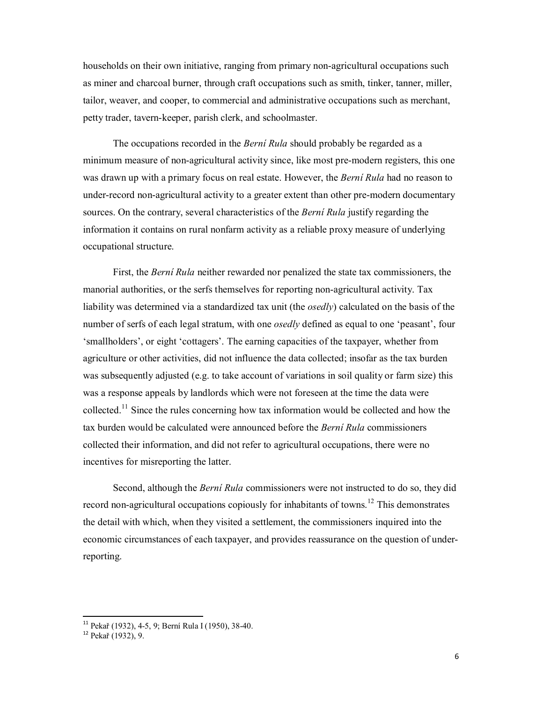households on their own initiative, ranging from primary non-agricultural occupations such as miner and charcoal burner, through craft occupations such as smith, tinker, tanner, miller, tailor, weaver, and cooper, to commercial and administrative occupations such as merchant, petty trader, tavern-keeper, parish clerk, and schoolmaster.

The occupations recorded in the *Berní Rula* should probably be regarded as a minimum measure of non-agricultural activity since, like most pre-modern registers, this one was drawn up with a primary focus on real estate. However, the *Berní Rula* had no reason to under-record non-agricultural activity to a greater extent than other pre-modern documentary sources. On the contrary, several characteristics of the *Berní Rula* justify regarding the information it contains on rural nonfarm activity as a reliable proxy measure of underlying occupational structure.

First, the *Berní Rula* neither rewarded nor penalized the state tax commissioners, the manorial authorities, or the serfs themselves for reporting non-agricultural activity. Tax liability was determined via a standardized tax unit (the *osedly*) calculated on the basis of the number of serfs of each legal stratum, with one *osedly* defined as equal to one 'peasant', four 'smallholders', or eight 'cottagers'. The earning capacities of the taxpayer, whether from agriculture or other activities, did not influence the data collected; insofar as the tax burden was subsequently adjusted (e.g. to take account of variations in soil quality or farm size) this was a response appeals by landlords which were not foreseen at the time the data were collected.<sup>11</sup> Since the rules concerning how tax information would be collected and how the tax burden would be calculated were announced before the *Berní Rula* commissioners collected their information, and did not refer to agricultural occupations, there were no incentives for misreporting the latter.

Second, although the *Berní Rula* commissioners were not instructed to do so, they did record non-agricultural occupations copiously for inhabitants of towns.<sup>12</sup> This demonstrates the detail with which, when they visited a settlement, the commissioners inquired into the economic circumstances of each taxpayer, and provides reassurance on the question of underreporting.

 <sup>11</sup> Pekař (1932), 4-5, 9; Berní Rula I (1950), 38-40.

<sup>12</sup> Pekař (1932), 9.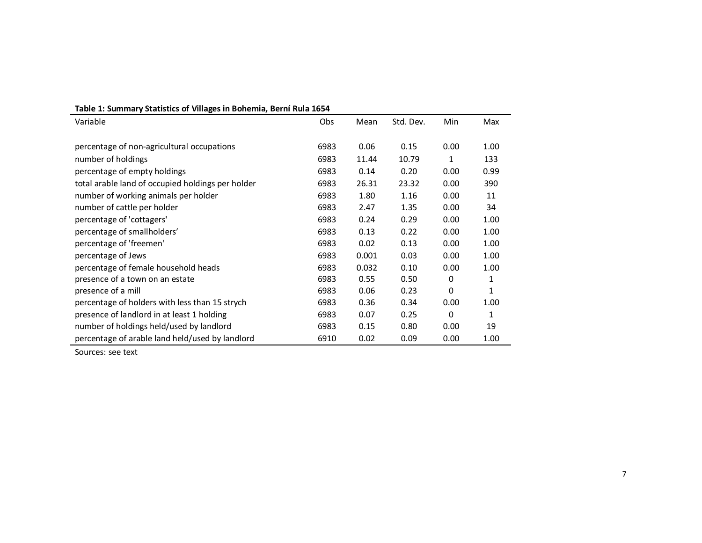| Papie 1. Julianual y Jeansnes Of Vinages III Donerina, Defini Kula 1034 |      |       |           |             |      |  |  |  |
|-------------------------------------------------------------------------|------|-------|-----------|-------------|------|--|--|--|
| Variable                                                                | Obs  | Mean  | Std. Dev. | <b>Min</b>  | Max  |  |  |  |
|                                                                         |      |       |           |             |      |  |  |  |
| percentage of non-agricultural occupations                              | 6983 | 0.06  | 0.15      | 0.00        | 1.00 |  |  |  |
| number of holdings                                                      | 6983 | 11.44 | 10.79     | 1           | 133  |  |  |  |
| percentage of empty holdings                                            | 6983 | 0.14  | 0.20      | 0.00        | 0.99 |  |  |  |
| total arable land of occupied holdings per holder                       | 6983 | 26.31 | 23.32     | 0.00        | 390  |  |  |  |
| number of working animals per holder                                    | 6983 | 1.80  | 1.16      | 0.00        | 11   |  |  |  |
| number of cattle per holder                                             | 6983 | 2.47  | 1.35      | 0.00        | 34   |  |  |  |
| percentage of 'cottagers'                                               | 6983 | 0.24  | 0.29      | 0.00        | 1.00 |  |  |  |
| percentage of smallholders'                                             | 6983 | 0.13  | 0.22      | 0.00        | 1.00 |  |  |  |
| percentage of 'freemen'                                                 | 6983 | 0.02  | 0.13      | 0.00        | 1.00 |  |  |  |
| percentage of Jews                                                      | 6983 | 0.001 | 0.03      | 0.00        | 1.00 |  |  |  |
| percentage of female household heads                                    | 6983 | 0.032 | 0.10      | 0.00        | 1.00 |  |  |  |
| presence of a town on an estate                                         | 6983 | 0.55  | 0.50      | 0           | 1    |  |  |  |
| presence of a mill                                                      | 6983 | 0.06  | 0.23      | $\mathbf 0$ | 1    |  |  |  |
| percentage of holders with less than 15 strych                          | 6983 | 0.36  | 0.34      | 0.00        | 1.00 |  |  |  |
| presence of landlord in at least 1 holding                              | 6983 | 0.07  | 0.25      | $\Omega$    | 1    |  |  |  |
| number of holdings held/used by landlord                                | 6983 | 0.15  | 0.80      | 0.00        | 19   |  |  |  |
| percentage of arable land held/used by landlord                         | 6910 | 0.02  | 0.09      | 0.00        | 1.00 |  |  |  |

#### **Table 1: Summary Statistics of Villages in Bohemia, Berní Rula 1654**

Sources: see text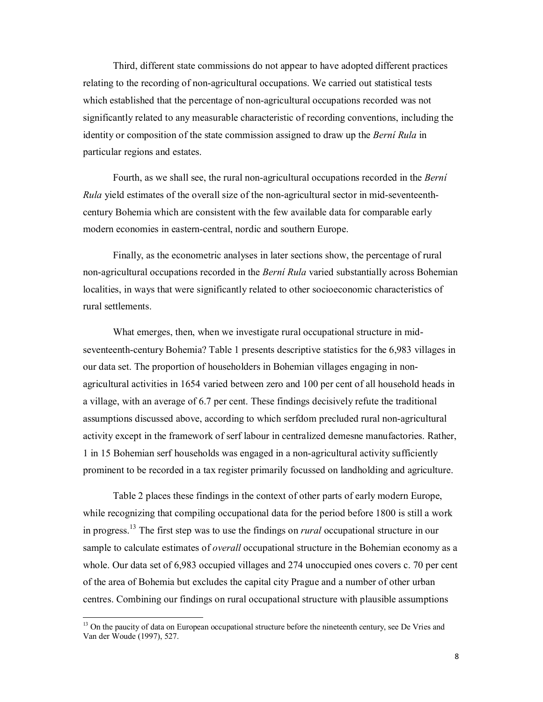Third, different state commissions do not appear to have adopted different practices relating to the recording of non-agricultural occupations. We carried out statistical tests which established that the percentage of non-agricultural occupations recorded was not significantly related to any measurable characteristic of recording conventions, including the identity or composition of the state commission assigned to draw up the *Berní Rula* in particular regions and estates.

Fourth, as we shall see, the rural non-agricultural occupations recorded in the *Berní Rula* yield estimates of the overall size of the non-agricultural sector in mid-seventeenthcentury Bohemia which are consistent with the few available data for comparable early modern economies in eastern-central, nordic and southern Europe.

Finally, as the econometric analyses in later sections show, the percentage of rural non-agricultural occupations recorded in the *Berní Rula* varied substantially across Bohemian localities, in ways that were significantly related to other socioeconomic characteristics of rural settlements.

What emerges, then, when we investigate rural occupational structure in midseventeenth-century Bohemia? Table 1 presents descriptive statistics for the 6,983 villages in our data set. The proportion of householders in Bohemian villages engaging in nonagricultural activities in 1654 varied between zero and 100 per cent of all household heads in a village, with an average of 6.7 per cent. These findings decisively refute the traditional assumptions discussed above, according to which serfdom precluded rural non-agricultural activity except in the framework of serf labour in centralized demesne manufactories. Rather, 1 in 15 Bohemian serf households was engaged in a non-agricultural activity sufficiently prominent to be recorded in a tax register primarily focussed on landholding and agriculture.

Table 2 places these findings in the context of other parts of early modern Europe, while recognizing that compiling occupational data for the period before 1800 is still a work in progress.<sup>13</sup> The first step was to use the findings on *rural* occupational structure in our sample to calculate estimates of *overall* occupational structure in the Bohemian economy as a whole. Our data set of 6,983 occupied villages and 274 unoccupied ones covers c. 70 per cent of the area of Bohemia but excludes the capital city Prague and a number of other urban centres. Combining our findings on rural occupational structure with plausible assumptions

<sup>&</sup>lt;sup>13</sup> On the paucity of data on European occupational structure before the nineteenth century, see De Vries and Van der Woude (1997), 527.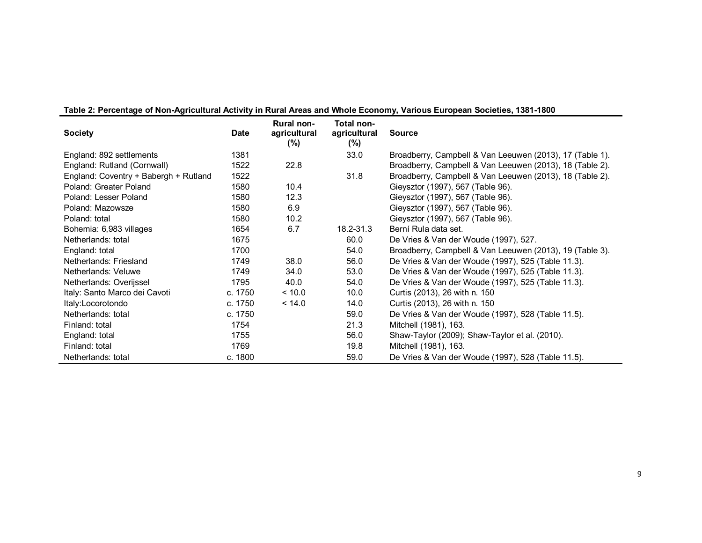| <b>Society</b>                        | Date    | Rural non-<br>agricultural<br>$(\%)$ | Total non-<br>agricultural<br>$(\% )$ | <b>Source</b>                                            |
|---------------------------------------|---------|--------------------------------------|---------------------------------------|----------------------------------------------------------|
| England: 892 settlements              | 1381    |                                      | 33.0                                  | Broadberry, Campbell & Van Leeuwen (2013), 17 (Table 1). |
| England: Rutland (Cornwall)           | 1522    | 22.8                                 |                                       | Broadberry, Campbell & Van Leeuwen (2013), 18 (Table 2). |
| England: Coventry + Babergh + Rutland | 1522    |                                      | 31.8                                  | Broadberry, Campbell & Van Leeuwen (2013), 18 (Table 2). |
| Poland: Greater Poland                | 1580    | 10.4                                 |                                       | Gieysztor (1997), 567 (Table 96).                        |
| Poland: Lesser Poland                 | 1580    | 12.3                                 |                                       | Gieysztor (1997), 567 (Table 96).                        |
| Poland: Mazowsze                      | 1580    | 6.9                                  |                                       | Gieysztor (1997), 567 (Table 96).                        |
| Poland: total                         | 1580    | 10.2                                 |                                       | Gieysztor (1997), 567 (Table 96).                        |
| Bohemia: 6,983 villages               | 1654    | 6.7                                  | 18.2-31.3                             | Berní Rula data set.                                     |
| Netherlands: total                    | 1675    |                                      | 60.0                                  | De Vries & Van der Woude (1997), 527.                    |
| England: total                        | 1700    |                                      | 54.0                                  | Broadberry, Campbell & Van Leeuwen (2013), 19 (Table 3). |
| Netherlands: Friesland                | 1749    | 38.0                                 | 56.0                                  | De Vries & Van der Woude (1997), 525 (Table 11.3).       |
| Netherlands: Veluwe                   | 1749    | 34.0                                 | 53.0                                  | De Vries & Van der Woude (1997), 525 (Table 11.3).       |
| Netherlands: Overijssel               | 1795    | 40.0                                 | 54.0                                  | De Vries & Van der Woude (1997), 525 (Table 11.3).       |
| Italy: Santo Marco dei Cavoti         | c. 1750 | < 10.0                               | 10.0                                  | Curtis (2013), 26 with n. 150                            |
| Italy:Locorotondo                     | c. 1750 | < 14.0                               | 14.0                                  | Curtis (2013), 26 with n. 150                            |
| Netherlands: total                    | c. 1750 |                                      | 59.0                                  | De Vries & Van der Woude (1997), 528 (Table 11.5).       |
| Finland: total                        | 1754    |                                      | 21.3                                  | Mitchell (1981), 163.                                    |
| England: total                        | 1755    |                                      | 56.0                                  | Shaw-Taylor (2009); Shaw-Taylor et al. (2010).           |
| Finland: total                        | 1769    |                                      | 19.8                                  | Mitchell (1981), 163.                                    |
| Netherlands: total                    | c. 1800 |                                      | 59.0                                  | De Vries & Van der Woude (1997), 528 (Table 11.5).       |

**Table 2: Percentage of Non-Agricultural Activity in Rural Areas and Whole Economy, Various European Societies, 1381-1800**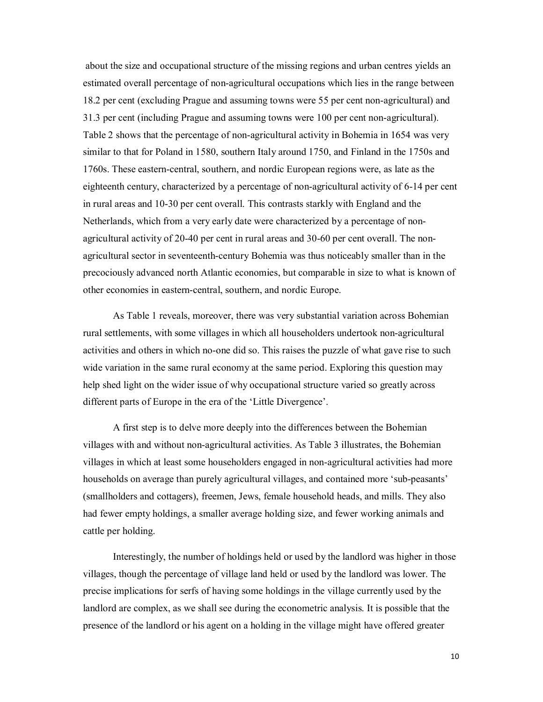about the size and occupational structure of the missing regions and urban centres yields an estimated overall percentage of non-agricultural occupations which lies in the range between 18.2 per cent (excluding Prague and assuming towns were 55 per cent non-agricultural) and 31.3 per cent (including Prague and assuming towns were 100 per cent non-agricultural). Table 2 shows that the percentage of non-agricultural activity in Bohemia in 1654 was very similar to that for Poland in 1580, southern Italy around 1750, and Finland in the 1750s and 1760s. These eastern-central, southern, and nordic European regions were, as late as the eighteenth century, characterized by a percentage of non-agricultural activity of 6-14 per cent in rural areas and 10-30 per cent overall. This contrasts starkly with England and the Netherlands, which from a very early date were characterized by a percentage of nonagricultural activity of 20-40 per cent in rural areas and 30-60 per cent overall. The nonagricultural sector in seventeenth-century Bohemia was thus noticeably smaller than in the precociously advanced north Atlantic economies, but comparable in size to what is known of other economies in eastern-central, southern, and nordic Europe.

As Table 1 reveals, moreover, there was very substantial variation across Bohemian rural settlements, with some villages in which all householders undertook non-agricultural activities and others in which no-one did so. This raises the puzzle of what gave rise to such wide variation in the same rural economy at the same period. Exploring this question may help shed light on the wider issue of why occupational structure varied so greatly across different parts of Europe in the era of the 'Little Divergence'.

A first step is to delve more deeply into the differences between the Bohemian villages with and without non-agricultural activities. As Table 3 illustrates, the Bohemian villages in which at least some householders engaged in non-agricultural activities had more households on average than purely agricultural villages, and contained more 'sub-peasants' (smallholders and cottagers), freemen, Jews, female household heads, and mills. They also had fewer empty holdings, a smaller average holding size, and fewer working animals and cattle per holding.

Interestingly, the number of holdings held or used by the landlord was higher in those villages, though the percentage of village land held or used by the landlord was lower. The precise implications for serfs of having some holdings in the village currently used by the landlord are complex, as we shall see during the econometric analysis. It is possible that the presence of the landlord or his agent on a holding in the village might have offered greater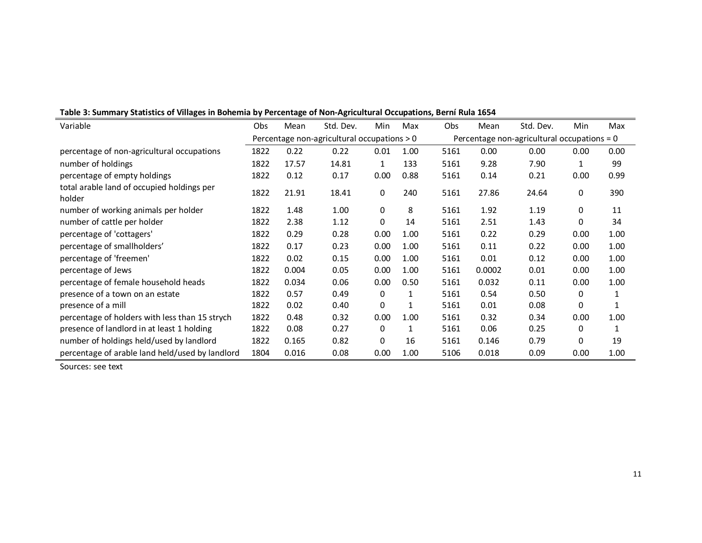| Variable                                             | Obs  | Mean  | Std. Dev.                                                                                  | Min          | Max  | Obs  | Mean   | Std. Dev. | Min  | Max  |
|------------------------------------------------------|------|-------|--------------------------------------------------------------------------------------------|--------------|------|------|--------|-----------|------|------|
|                                                      |      |       | Percentage non-agricultural occupations > 0<br>Percentage non-agricultural occupations = 0 |              |      |      |        |           |      |      |
| percentage of non-agricultural occupations           | 1822 | 0.22  | 0.22                                                                                       | 0.01         | 1.00 | 5161 | 0.00   | 0.00      | 0.00 | 0.00 |
| number of holdings                                   | 1822 | 17.57 | 14.81                                                                                      | $\mathbf{1}$ | 133  | 5161 | 9.28   | 7.90      | 1    | 99   |
| percentage of empty holdings                         | 1822 | 0.12  | 0.17                                                                                       | 0.00         | 0.88 | 5161 | 0.14   | 0.21      | 0.00 | 0.99 |
| total arable land of occupied holdings per<br>holder | 1822 | 21.91 | 18.41                                                                                      | 0            | 240  | 5161 | 27.86  | 24.64     | 0    | 390  |
| number of working animals per holder                 | 1822 | 1.48  | 1.00                                                                                       | 0            | 8    | 5161 | 1.92   | 1.19      | 0    | 11   |
| number of cattle per holder                          | 1822 | 2.38  | 1.12                                                                                       | 0            | 14   | 5161 | 2.51   | 1.43      | 0    | 34   |
| percentage of 'cottagers'                            | 1822 | 0.29  | 0.28                                                                                       | 0.00         | 1.00 | 5161 | 0.22   | 0.29      | 0.00 | 1.00 |
| percentage of smallholders'                          | 1822 | 0.17  | 0.23                                                                                       | 0.00         | 1.00 | 5161 | 0.11   | 0.22      | 0.00 | 1.00 |
| percentage of 'freemen'                              | 1822 | 0.02  | 0.15                                                                                       | 0.00         | 1.00 | 5161 | 0.01   | 0.12      | 0.00 | 1.00 |
| percentage of Jews                                   | 1822 | 0.004 | 0.05                                                                                       | 0.00         | 1.00 | 5161 | 0.0002 | 0.01      | 0.00 | 1.00 |
| percentage of female household heads                 | 1822 | 0.034 | 0.06                                                                                       | 0.00         | 0.50 | 5161 | 0.032  | 0.11      | 0.00 | 1.00 |
| presence of a town on an estate                      | 1822 | 0.57  | 0.49                                                                                       | 0            | 1    | 5161 | 0.54   | 0.50      | 0    | 1    |
| presence of a mill                                   | 1822 | 0.02  | 0.40                                                                                       | 0            | 1    | 5161 | 0.01   | 0.08      | 0    | 1    |
| percentage of holders with less than 15 strych       | 1822 | 0.48  | 0.32                                                                                       | 0.00         | 1.00 | 5161 | 0.32   | 0.34      | 0.00 | 1.00 |
| presence of landlord in at least 1 holding           | 1822 | 0.08  | 0.27                                                                                       | 0            | 1    | 5161 | 0.06   | 0.25      | 0    | 1    |
| number of holdings held/used by landlord             | 1822 | 0.165 | 0.82                                                                                       | 0            | 16   | 5161 | 0.146  | 0.79      | 0    | 19   |
| percentage of arable land held/used by landlord      | 1804 | 0.016 | 0.08                                                                                       | 0.00         | 1.00 | 5106 | 0.018  | 0.09      | 0.00 | 1.00 |

**Table 3: Summary Statistics of Villages in Bohemia by Percentage of Non-Agricultural Occupations, Berní Rula 1654**

Sources: see text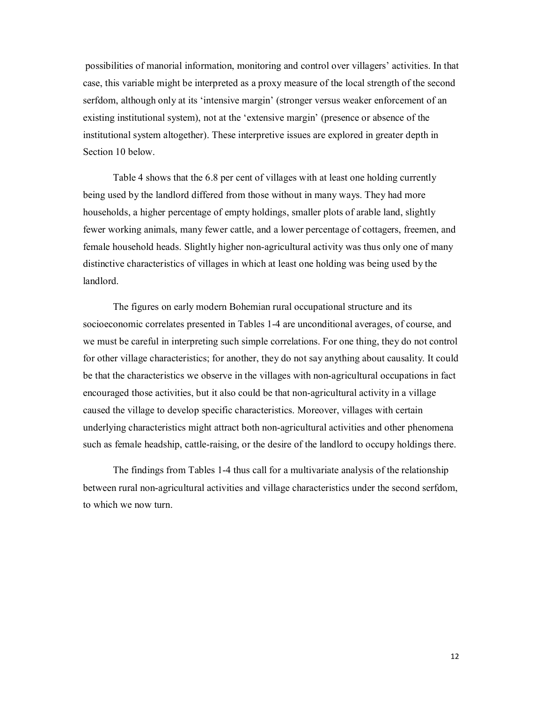possibilities of manorial information, monitoring and control over villagers' activities. In that case, this variable might be interpreted as a proxy measure of the local strength of the second serfdom, although only at its 'intensive margin' (stronger versus weaker enforcement of an existing institutional system), not at the 'extensive margin' (presence or absence of the institutional system altogether). These interpretive issues are explored in greater depth in Section 10 below.

Table 4 shows that the 6.8 per cent of villages with at least one holding currently being used by the landlord differed from those without in many ways. They had more households, a higher percentage of empty holdings, smaller plots of arable land, slightly fewer working animals, many fewer cattle, and a lower percentage of cottagers, freemen, and female household heads. Slightly higher non-agricultural activity was thus only one of many distinctive characteristics of villages in which at least one holding was being used by the landlord.

The figures on early modern Bohemian rural occupational structure and its socioeconomic correlates presented in Tables 1-4 are unconditional averages, of course, and we must be careful in interpreting such simple correlations. For one thing, they do not control for other village characteristics; for another, they do not say anything about causality. It could be that the characteristics we observe in the villages with non-agricultural occupations in fact encouraged those activities, but it also could be that non-agricultural activity in a village caused the village to develop specific characteristics. Moreover, villages with certain underlying characteristics might attract both non-agricultural activities and other phenomena such as female headship, cattle-raising, or the desire of the landlord to occupy holdings there.

The findings from Tables 1-4 thus call for a multivariate analysis of the relationship between rural non-agricultural activities and village characteristics under the second serfdom, to which we now turn.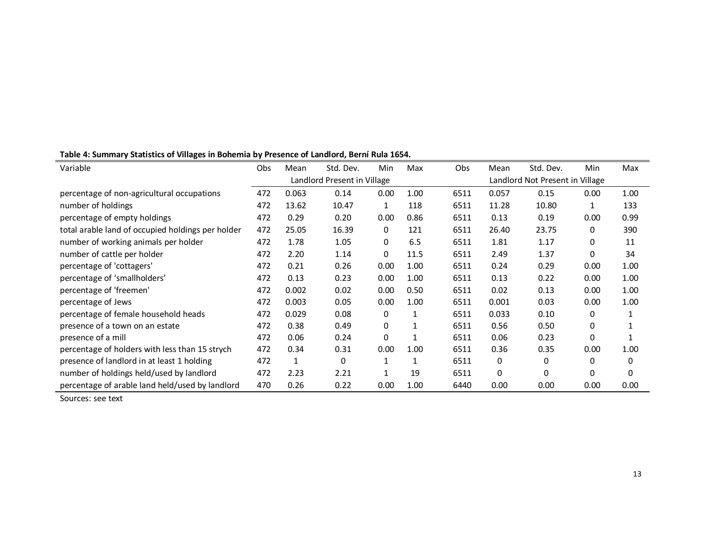| Variable                                          | Obs | Mean         | Std. Dev.                   | Min          | Max  | Obs  | Mean                            | Std. Dev. | Min      | Max      |
|---------------------------------------------------|-----|--------------|-----------------------------|--------------|------|------|---------------------------------|-----------|----------|----------|
|                                                   |     |              | Landlord Present in Village |              |      |      | Landlord Not Present in Village |           |          |          |
| percentage of non-agricultural occupations        | 472 | 0.063        | 0.14                        | 0.00         | 1.00 | 6511 | 0.057                           | 0.15      | 0.00     | 1.00     |
| number of holdings                                | 472 | 13.62        | 10.47                       | 1            | 118  | 6511 | 11.28                           | 10.80     | 1        | 133      |
| percentage of empty holdings                      | 472 | 0.29         | 0.20                        | 0.00         | 0.86 | 6511 | 0.13                            | 0.19      | 0.00     | 0.99     |
| total arable land of occupied holdings per holder | 472 | 25.05        | 16.39                       | 0            | 121  | 6511 | 26.40                           | 23.75     | 0        | 390      |
| number of working animals per holder              | 472 | 1.78         | 1.05                        | 0            | 6.5  | 6511 | 1.81                            | 1.17      | 0        | 11       |
| number of cattle per holder                       | 472 | 2.20         | 1.14                        | 0            | 11.5 | 6511 | 2.49                            | 1.37      | 0        | 34       |
| percentage of 'cottagers'                         | 472 | 0.21         | 0.26                        | 0.00         | 1.00 | 6511 | 0.24                            | 0.29      | 0.00     | 1.00     |
| percentage of 'smallholders'                      | 472 | 0.13         | 0.23                        | 0.00         | 1.00 | 6511 | 0.13                            | 0.22      | 0.00     | 1.00     |
| percentage of 'freemen'                           | 472 | 0.002        | 0.02                        | 0.00         | 0.50 | 6511 | 0.02                            | 0.13      | 0.00     | 1.00     |
| percentage of Jews                                | 472 | 0.003        | 0.05                        | 0.00         | 1.00 | 6511 | 0.001                           | 0.03      | 0.00     | 1.00     |
| percentage of female household heads              | 472 | 0.029        | 0.08                        | 0            |      | 6511 | 0.033                           | 0.10      | 0        |          |
| presence of a town on an estate                   | 472 | 0.38         | 0.49                        | 0            |      | 6511 | 0.56                            | 0.50      | 0        |          |
| presence of a mill                                | 472 | 0.06         | 0.24                        | 0            |      | 6511 | 0.06                            | 0.23      | 0        |          |
| percentage of holders with less than 15 strych    | 472 | 0.34         | 0.31                        | 0.00         | 1.00 | 6511 | 0.36                            | 0.35      | 0.00     | 1.00     |
| presence of landlord in at least 1 holding        | 472 | $\mathbf{1}$ | 0                           | 1            |      | 6511 | 0                               | $\Omega$  | 0        | 0        |
| number of holdings held/used by landlord          | 472 | 2.23         | 2.21                        | $\mathbf{1}$ | 19   | 6511 | $\Omega$                        | $\Omega$  | $\Omega$ | $\Omega$ |
| percentage of arable land held/used by landlord   | 470 | 0.26         | 0.22                        | 0.00         | 1.00 | 6440 | 0.00                            | 0.00      | 0.00     | 0.00     |

## **Table 4: Summary Statistics of Villages in Bohemia by Presence of Landlord, Berní Rula 1654.**

Sources: see text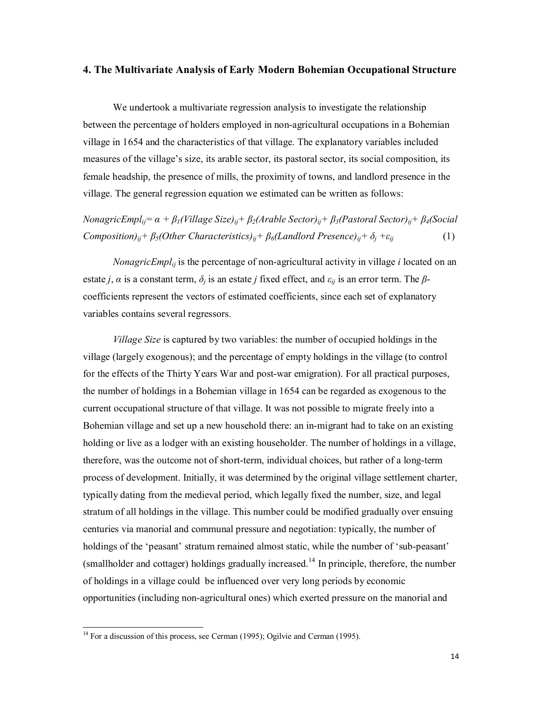#### **4. The Multivariate Analysis of Early Modern Bohemian Occupational Structure**

We undertook a multivariate regression analysis to investigate the relationship between the percentage of holders employed in non-agricultural occupations in a Bohemian village in 1654 and the characteristics of that village. The explanatory variables included measures of the village's size, its arable sector, its pastoral sector, its social composition, its female headship, the presence of mills, the proximity of towns, and landlord presence in the village. The general regression equation we estimated can be written as follows:

*NonagricEmpl<sub>ij</sub>=* $\alpha + \beta_1$ (Village Size)<sub>ij</sub>+  $\beta_2$ (Arable Sector)<sub>ij</sub>+  $\beta_3$ (Pastoral Sector)<sub>ij</sub>+  $\beta_4$ (Social *Composition*)<sub>ij</sub>+  $\beta_5$ (Other Characteristics)<sub>ij</sub>+  $\beta_6$ (Landlord Presence)<sub>ij</sub>+  $\delta_i$ + $\varepsilon_{ij}$  (1)

*NonagricEmplij* is the percentage of non-agricultural activity in village *i* located on an estate *j*,  $\alpha$  is a constant term,  $\delta_i$  is an estate *j* fixed effect, and  $\varepsilon_{ij}$  is an error term. The  $\beta$ coefficients represent the vectors of estimated coefficients, since each set of explanatory variables contains several regressors.

*Village Size* is captured by two variables: the number of occupied holdings in the village (largely exogenous); and the percentage of empty holdings in the village (to control for the effects of the Thirty Years War and post-war emigration). For all practical purposes, the number of holdings in a Bohemian village in 1654 can be regarded as exogenous to the current occupational structure of that village. It was not possible to migrate freely into a Bohemian village and set up a new household there: an in-migrant had to take on an existing holding or live as a lodger with an existing householder. The number of holdings in a village, therefore, was the outcome not of short-term, individual choices, but rather of a long-term process of development. Initially, it was determined by the original village settlement charter, typically dating from the medieval period, which legally fixed the number, size, and legal stratum of all holdings in the village. This number could be modified gradually over ensuing centuries via manorial and communal pressure and negotiation: typically, the number of holdings of the 'peasant' stratum remained almost static, while the number of 'sub-peasant' (smallholder and cottager) holdings gradually increased.<sup>14</sup> In principle, therefore, the number of holdings in a village could be influenced over very long periods by economic opportunities (including non-agricultural ones) which exerted pressure on the manorial and

<sup>&</sup>lt;sup>14</sup> For a discussion of this process, see Cerman (1995); Ogilvie and Cerman (1995).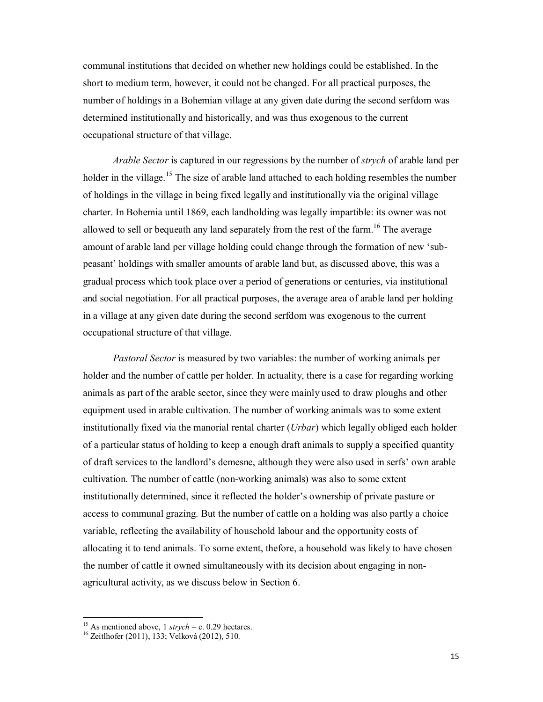communal institutions that decided on whether new holdings could be established. In the short to medium term, however, it could not be changed. For all practical purposes, the number of holdings in a Bohemian village at any given date during the second serfdom was determined institutionally and historically, and was thus exogenous to the current occupational structure of that village.

*Arable Sector* is captured in our regressions by the number of *strych* of arable land per holder in the village.<sup>15</sup> The size of arable land attached to each holding resembles the number of holdings in the village in being fixed legally and institutionally via the original village charter. In Bohemia until 1869, each landholding was legally impartible: its owner was not allowed to sell or bequeath any land separately from the rest of the farm.<sup>16</sup> The average amount of arable land per village holding could change through the formation of new 'subpeasant' holdings with smaller amounts of arable land but, as discussed above, this was a gradual process which took place over a period of generations or centuries, via institutional and social negotiation. For all practical purposes, the average area of arable land per holding in a village at any given date during the second serfdom was exogenous to the current occupational structure of that village.

*Pastoral Sector* is measured by two variables: the number of working animals per holder and the number of cattle per holder. In actuality, there is a case for regarding working animals as part of the arable sector, since they were mainly used to draw ploughs and other equipment used in arable cultivation. The number of working animals was to some extent institutionally fixed via the manorial rental charter (*Urbar*) which legally obliged each holder of a particular status of holding to keep a enough draft animals to supply a specified quantity of draft services to the landlord's demesne, although they were also used in serfs' own arable cultivation. The number of cattle (non-working animals) was also to some extent institutionally determined, since it reflected the holder's ownership of private pasture or access to communal grazing. But the number of cattle on a holding was also partly a choice variable, reflecting the availability of household labour and the opportunity costs of allocating it to tend animals. To some extent, thefore, a household was likely to have chosen the number of cattle it owned simultaneously with its decision about engaging in nonagricultural activity, as we discuss below in Section 6.

<sup>&</sup>lt;sup>15</sup> As mentioned above, 1 *strych* = c. 0.29 hectares.<br><sup>16</sup> Zeitlhofer (2011), 133; Velková (2012), 510.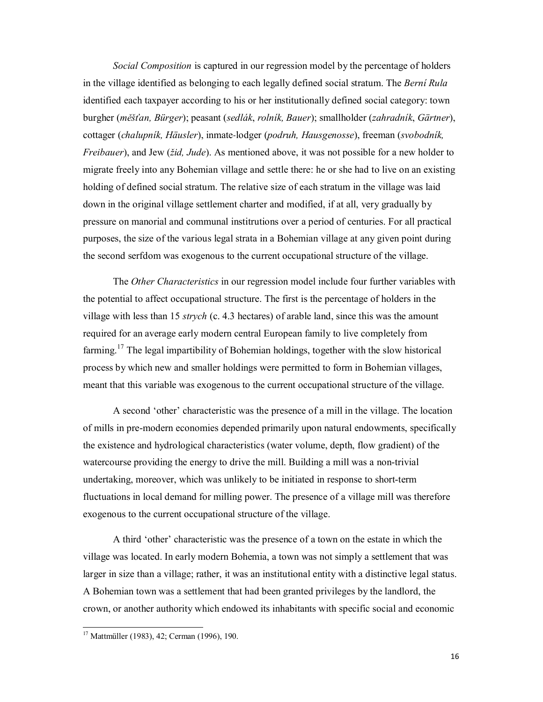*Social Composition* is captured in our regression model by the percentage of holders in the village identified as belonging to each legally defined social stratum. The *Berní Rula* identified each taxpayer according to his or her institutionally defined social category: town burgher (*měšťan, Bürger*); peasant (*sedlák*, *rolník, Bauer*); smallholder (*zahradník*, *Gärtner*), cottager (*chalupník, Häusler*), inmate-lodger (*podruh, Hausgenosse*), freeman (*svobodník, Freibauer*), and Jew (*žid, Jude*). As mentioned above, it was not possible for a new holder to migrate freely into any Bohemian village and settle there: he or she had to live on an existing holding of defined social stratum. The relative size of each stratum in the village was laid down in the original village settlement charter and modified, if at all, very gradually by pressure on manorial and communal institrutions over a period of centuries. For all practical purposes, the size of the various legal strata in a Bohemian village at any given point during the second serfdom was exogenous to the current occupational structure of the village.

The *Other Characteristics* in our regression model include four further variables with the potential to affect occupational structure. The first is the percentage of holders in the village with less than 15 *strych* (c. 4.3 hectares) of arable land, since this was the amount required for an average early modern central European family to live completely from farming.<sup>17</sup> The legal impartibility of Bohemian holdings, together with the slow historical process by which new and smaller holdings were permitted to form in Bohemian villages, meant that this variable was exogenous to the current occupational structure of the village.

A second 'other' characteristic was the presence of a mill in the village. The location of mills in pre-modern economies depended primarily upon natural endowments, specifically the existence and hydrological characteristics (water volume, depth, flow gradient) of the watercourse providing the energy to drive the mill. Building a mill was a non-trivial undertaking, moreover, which was unlikely to be initiated in response to short-term fluctuations in local demand for milling power. The presence of a village mill was therefore exogenous to the current occupational structure of the village.

A third 'other' characteristic was the presence of a town on the estate in which the village was located. In early modern Bohemia, a town was not simply a settlement that was larger in size than a village; rather, it was an institutional entity with a distinctive legal status. A Bohemian town was a settlement that had been granted privileges by the landlord, the crown, or another authority which endowed its inhabitants with specific social and economic

<sup>17</sup> Mattmüller (1983), 42; Cerman (1996), 190.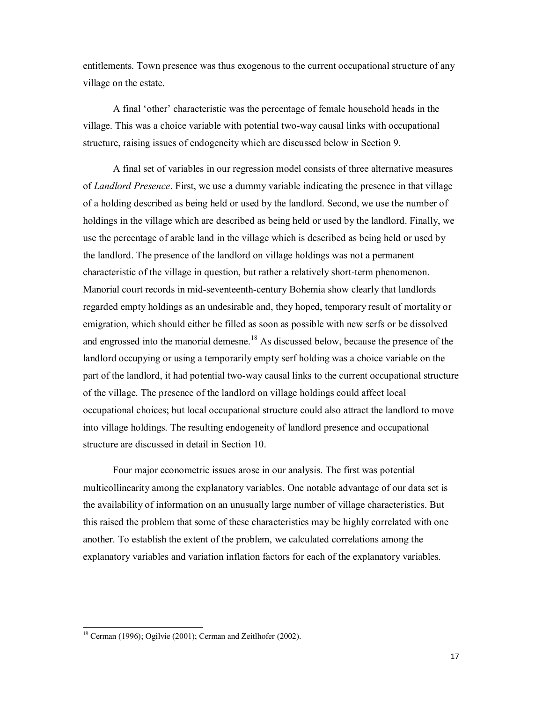entitlements. Town presence was thus exogenous to the current occupational structure of any village on the estate.

A final 'other' characteristic was the percentage of female household heads in the village. This was a choice variable with potential two-way causal links with occupational structure, raising issues of endogeneity which are discussed below in Section 9.

A final set of variables in our regression model consists of three alternative measures of *Landlord Presence*. First, we use a dummy variable indicating the presence in that village of a holding described as being held or used by the landlord. Second, we use the number of holdings in the village which are described as being held or used by the landlord. Finally, we use the percentage of arable land in the village which is described as being held or used by the landlord. The presence of the landlord on village holdings was not a permanent characteristic of the village in question, but rather a relatively short-term phenomenon. Manorial court records in mid-seventeenth-century Bohemia show clearly that landlords regarded empty holdings as an undesirable and, they hoped, temporary result of mortality or emigration, which should either be filled as soon as possible with new serfs or be dissolved and engrossed into the manorial demesne.<sup>18</sup> As discussed below, because the presence of the landlord occupying or using a temporarily empty serf holding was a choice variable on the part of the landlord, it had potential two-way causal links to the current occupational structure of the village. The presence of the landlord on village holdings could affect local occupational choices; but local occupational structure could also attract the landlord to move into village holdings. The resulting endogeneity of landlord presence and occupational structure are discussed in detail in Section 10.

Four major econometric issues arose in our analysis. The first was potential multicollinearity among the explanatory variables. One notable advantage of our data set is the availability of information on an unusually large number of village characteristics. But this raised the problem that some of these characteristics may be highly correlated with one another. To establish the extent of the problem, we calculated correlations among the explanatory variables and variation inflation factors for each of the explanatory variables.

 $18$  Cerman (1996); Ogilvie (2001); Cerman and Zeitlhofer (2002).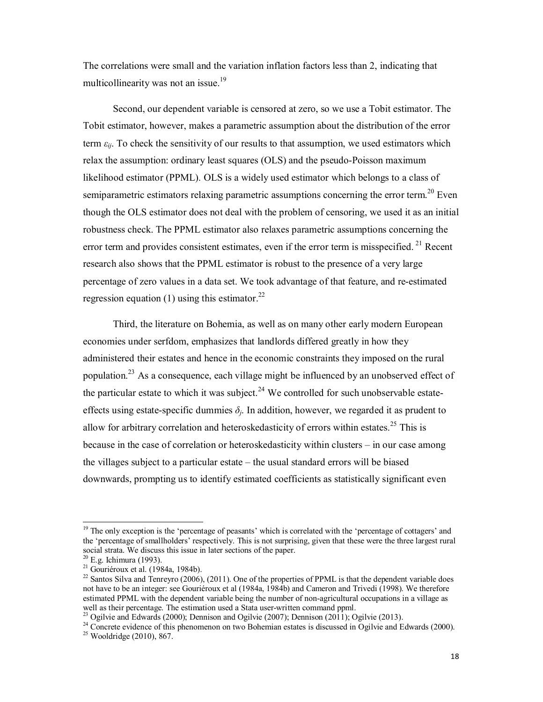The correlations were small and the variation inflation factors less than 2, indicating that multicollinearity was not an issue.<sup>19</sup>

Second, our dependent variable is censored at zero, so we use a Tobit estimator. The Tobit estimator, however, makes a parametric assumption about the distribution of the error term  $\varepsilon_{ii}$ . To check the sensitivity of our results to that assumption, we used estimators which relax the assumption: ordinary least squares (OLS) and the pseudo-Poisson maximum likelihood estimator (PPML). OLS is a widely used estimator which belongs to a class of semiparametric estimators relaxing parametric assumptions concerning the error term.<sup>20</sup> Even though the OLS estimator does not deal with the problem of censoring, we used it as an initial robustness check. The PPML estimator also relaxes parametric assumptions concerning the error term and provides consistent estimates, even if the error term is misspecified.<sup>21</sup> Recent research also shows that the PPML estimator is robust to the presence of a very large percentage of zero values in a data set. We took advantage of that feature, and re-estimated regression equation (1) using this estimator.<sup>22</sup>

Third, the literature on Bohemia, as well as on many other early modern European economies under serfdom, emphasizes that landlords differed greatly in how they administered their estates and hence in the economic constraints they imposed on the rural population.<sup>23</sup> As a consequence, each village might be influenced by an unobserved effect of the particular estate to which it was subject.<sup>24</sup> We controlled for such unobservable estateeffects using estate-specific dummies  $\delta_i$ . In addition, however, we regarded it as prudent to allow for arbitrary correlation and heteroskedasticity of errors within estates.<sup>25</sup> This is because in the case of correlation or heteroskedasticity within clusters – in our case among the villages subject to a particular estate – the usual standard errors will be biased downwards, prompting us to identify estimated coefficients as statistically significant even

<sup>&</sup>lt;sup>19</sup> The only exception is the 'percentage of peasants' which is correlated with the 'percentage of cottagers' and the 'percentage of smallholders' respectively. This is not surprising, given that these were the three largest rural social strata. We discuss this issue in later sections of the paper.

<sup>&</sup>lt;sup>20</sup> E.g. Ichimura (1993).<br><sup>21</sup> Gouriéroux et al. (1984a, 1984b).<br><sup>22</sup> Santos Silva and Tenreyro (2006), (2011). One of the properties of PPML is that the dependent variable does not have to be an integer: see Gouriéroux et al (1984a, 1984b) and Cameron and Trivedi (1998). We therefore estimated PPML with the dependent variable being the number of non-agricultural occupations in a village as well as their percentage. The estimation used a Stata user-written command ppml.

<sup>&</sup>lt;sup>23</sup> Ogilvie and Edwards (2000); Dennison and Ogilvie (2007); Dennison (2011); Ogilvie (2013).<br><sup>24</sup> Concrete evidence of this phenomenon on two Bohemian estates is discussed in Ogilvie and Edwards (2000).<br><sup>25</sup> Wooldridge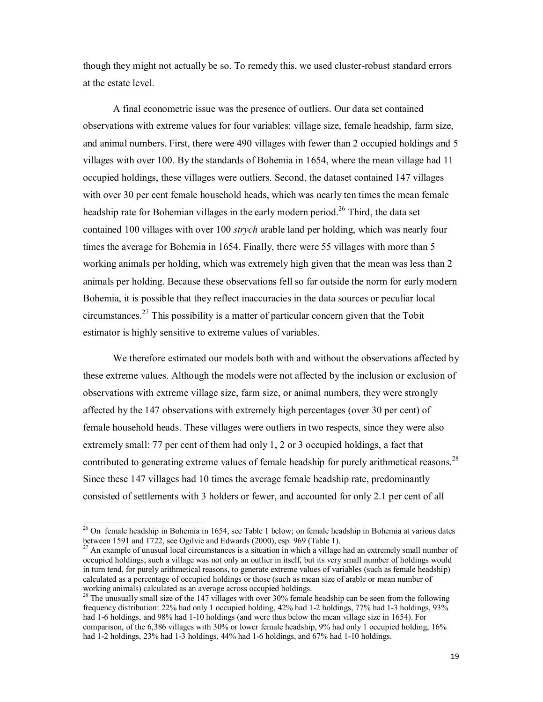though they might not actually be so. To remedy this, we used cluster-robust standard errors at the estate level.

A final econometric issue was the presence of outliers. Our data set contained observations with extreme values for four variables: village size, female headship, farm size, and animal numbers. First, there were 490 villages with fewer than 2 occupied holdings and 5 villages with over 100. By the standards of Bohemia in 1654, where the mean village had 11 occupied holdings, these villages were outliers. Second, the dataset contained 147 villages with over 30 per cent female household heads, which was nearly ten times the mean female headship rate for Bohemian villages in the early modern period.<sup>26</sup> Third, the data set contained 100 villages with over 100 *strych* arable land per holding, which was nearly four times the average for Bohemia in 1654. Finally, there were 55 villages with more than 5 working animals per holding, which was extremely high given that the mean was less than 2 animals per holding. Because these observations fell so far outside the norm for early modern Bohemia, it is possible that they reflect inaccuracies in the data sources or peculiar local circumstances.<sup>27</sup> This possibility is a matter of particular concern given that the Tobit estimator is highly sensitive to extreme values of variables.

We therefore estimated our models both with and without the observations affected by these extreme values. Although the models were not affected by the inclusion or exclusion of observations with extreme village size, farm size, or animal numbers, they were strongly affected by the 147 observations with extremely high percentages (over 30 per cent) of female household heads. These villages were outliers in two respects, since they were also extremely small: 77 per cent of them had only 1, 2 or 3 occupied holdings, a fact that contributed to generating extreme values of female headship for purely arithmetical reasons.<sup>28</sup> Since these 147 villages had 10 times the average female headship rate, predominantly consisted of settlements with 3 holders or fewer, and accounted for only 2.1 per cent of all

 $^{26}$  On female headship in Bohemia in 1654, see Table 1 below; on female headship in Bohemia at various dates between 1591 and 1722, see Ogilvie and Edwards (2000), esp. 969 (Table 1).<br><sup>27</sup> An example of unusual local circumstances is a situation in which a village had an extremely small number of

occupied holdings; such a village was not only an outlier in itself, but its very small number of holdings would in turn tend, for purely arithmetical reasons, to generate extreme values of variables (such as female headship) calculated as a percentage of occupied holdings or those (such as mean size of arable or mean number of

 $^{28}$  The unusually small size of the 147 villages with over 30% female headship can be seen from the following frequency distribution: 22% had only 1 occupied holding, 42% had 1-2 holdings, 77% had 1-3 holdings, 93% had 1-6 holdings, and 98% had 1-10 holdings (and were thus below the mean village size in 1654). For comparison, of the 6,386 villages with 30% or lower female headship, 9% had only 1 occupied holding, 16% had 1-2 holdings, 23% had 1-3 holdings, 44% had 1-6 holdings, and 67% had 1-10 holdings.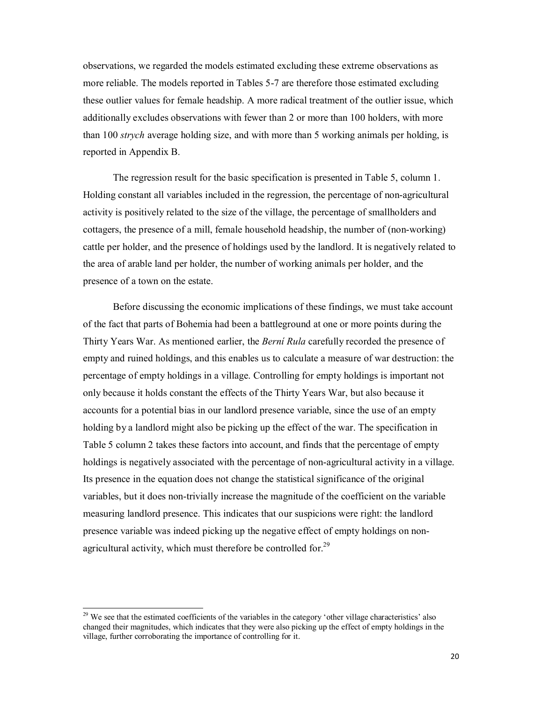observations, we regarded the models estimated excluding these extreme observations as more reliable. The models reported in Tables 5-7 are therefore those estimated excluding these outlier values for female headship. A more radical treatment of the outlier issue, which additionally excludes observations with fewer than 2 or more than 100 holders, with more than 100 *strych* average holding size, and with more than 5 working animals per holding, is reported in Appendix B.

The regression result for the basic specification is presented in Table 5, column 1. Holding constant all variables included in the regression, the percentage of non-agricultural activity is positively related to the size of the village, the percentage of smallholders and cottagers, the presence of a mill, female household headship, the number of (non-working) cattle per holder, and the presence of holdings used by the landlord. It is negatively related to the area of arable land per holder, the number of working animals per holder, and the presence of a town on the estate.

Before discussing the economic implications of these findings, we must take account of the fact that parts of Bohemia had been a battleground at one or more points during the Thirty Years War. As mentioned earlier, the *Berní Rula* carefully recorded the presence of empty and ruined holdings, and this enables us to calculate a measure of war destruction: the percentage of empty holdings in a village. Controlling for empty holdings is important not only because it holds constant the effects of the Thirty Years War, but also because it accounts for a potential bias in our landlord presence variable, since the use of an empty holding by a landlord might also be picking up the effect of the war. The specification in Table 5 column 2 takes these factors into account, and finds that the percentage of empty holdings is negatively associated with the percentage of non-agricultural activity in a village. Its presence in the equation does not change the statistical significance of the original variables, but it does non-trivially increase the magnitude of the coefficient on the variable measuring landlord presence. This indicates that our suspicions were right: the landlord presence variable was indeed picking up the negative effect of empty holdings on nonagricultural activity, which must therefore be controlled for. $29$ 

<sup>&</sup>lt;sup>29</sup> We see that the estimated coefficients of the variables in the category 'other village characteristics' also changed their magnitudes, which indicates that they were also picking up the effect of empty holdings in the village, further corroborating the importance of controlling for it.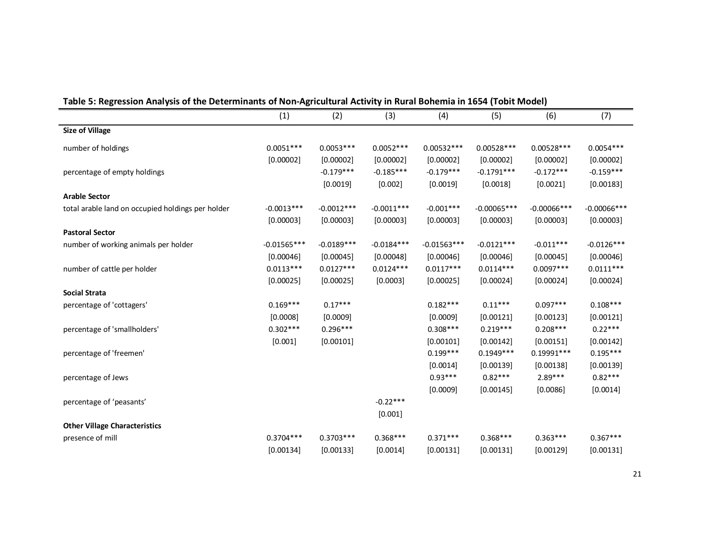|                                                   | (1)           | (2)          | (3)          | (4)           | (5)           | (6)            | (7)            |
|---------------------------------------------------|---------------|--------------|--------------|---------------|---------------|----------------|----------------|
| <b>Size of Village</b>                            |               |              |              |               |               |                |                |
| number of holdings                                | $0.0051***$   | $0.0053***$  | $0.0052***$  | $0.00532***$  | $0.00528***$  | $0.00528***$   | $0.0054***$    |
|                                                   | [0.00002]     | [0.00002]    | [0.00002]    | [0.00002]     | [0.00002]     | [0.00002]      | [0.00002]      |
| percentage of empty holdings                      |               | $-0.179***$  | $-0.185***$  | $-0.179***$   | $-0.1791***$  | $-0.172***$    | $-0.159***$    |
|                                                   |               | [0.0019]     | [0.002]      | [0.0019]      | [0.0018]      | [0.0021]       | [0.00183]      |
| <b>Arable Sector</b>                              |               |              |              |               |               |                |                |
| total arable land on occupied holdings per holder | $-0.0013***$  | $-0.0012***$ | $-0.0011***$ | $-0.001***$   | $-0.00065***$ | $-0.00066$ *** | $-0.00066$ *** |
|                                                   | [0.00003]     | [0.00003]    | [0.00003]    | [0.00003]     | [0.00003]     | [0.00003]      | [0.00003]      |
| <b>Pastoral Sector</b>                            |               |              |              |               |               |                |                |
| number of working animals per holder              | $-0.01565***$ | $-0.0189***$ | $-0.0184***$ | $-0.01563***$ | $-0.0121***$  | $-0.011***$    | $-0.0126***$   |
|                                                   | [0.00046]     | [0.00045]    | [0.00048]    | [0.00046]     | [0.00046]     | [0.00045]      | [0.00046]      |
| number of cattle per holder                       | $0.0113***$   | $0.0127***$  | $0.0124***$  | $0.0117***$   | $0.0114***$   | $0.0097***$    | $0.0111***$    |
|                                                   | [0.00025]     | [0.00025]    | [0.0003]     | [0.00025]     | [0.00024]     | [0.00024]      | [0.00024]      |
| <b>Social Strata</b>                              |               |              |              |               |               |                |                |
| percentage of 'cottagers'                         | $0.169***$    | $0.17***$    |              | $0.182***$    | $0.11***$     | $0.097***$     | $0.108***$     |
|                                                   | [0.0008]      | [0.0009]     |              | [0.0009]      | [0.00121]     | [0.00123]      | [0.00121]      |
| percentage of 'smallholders'                      | $0.302***$    | $0.296***$   |              | $0.308***$    | $0.219***$    | $0.208***$     | $0.22***$      |
|                                                   | [0.001]       | [0.00101]    |              | [0.00101]     | [0.00142]     | [0.00151]      | [0.00142]      |
| percentage of 'freemen'                           |               |              |              | $0.199***$    | $0.1949***$   | 0.19991 ***    | $0.195***$     |
|                                                   |               |              |              | [0.0014]      | [0.00139]     | [0.00138]      | [0.00139]      |
| percentage of Jews                                |               |              |              | $0.93***$     | $0.82***$     | 2.89***        | $0.82***$      |
|                                                   |               |              |              | [0.0009]      | [0.00145]     | [0.0086]       | [0.0014]       |
| percentage of 'peasants'                          |               |              | $-0.22***$   |               |               |                |                |
|                                                   |               |              | [0.001]      |               |               |                |                |
| <b>Other Village Characteristics</b>              |               |              |              |               |               |                |                |
| presence of mill                                  | $0.3704***$   | $0.3703***$  | $0.368***$   | $0.371***$    | $0.368***$    | $0.363***$     | $0.367***$     |
|                                                   | [0.00134]     | [0.00133]    | [0.0014]     | [0.00131]     | [0.00131]     | [0.00129]      | [0.00131]      |

### **Table 5: Regression Analysis of the Determinants of Non-Agricultural Activity in Rural Bohemia in 1654 (Tobit Model)**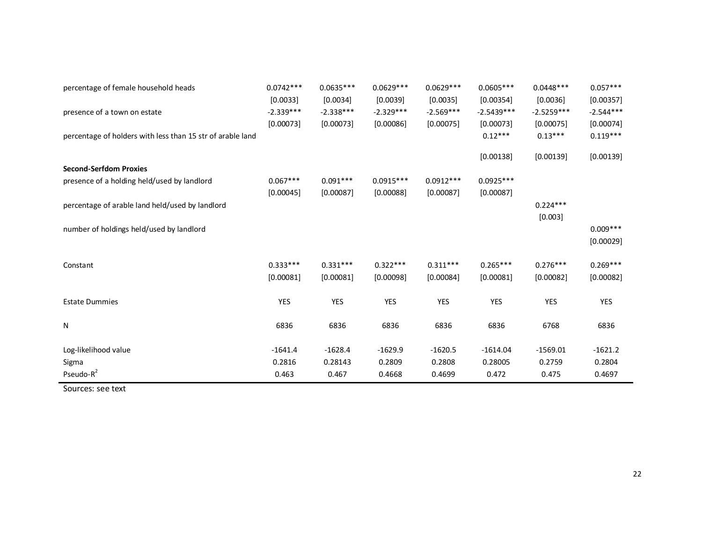| percentage of female household heads                       | $0.0742***$             | $0.0635***$             | $0.0629***$             | $0.0629***$             | $0.0605***$               | $0.0448***$              | $0.057***$               |
|------------------------------------------------------------|-------------------------|-------------------------|-------------------------|-------------------------|---------------------------|--------------------------|--------------------------|
| presence of a town on estate                               | [0.0033]<br>$-2.339***$ | [0.0034]<br>$-2.338***$ | [0.0039]<br>$-2.329***$ | [0.0035]<br>$-2.569***$ | [0.00354]<br>$-2.5439***$ | [0.0036]<br>$-2.5259***$ | [0.00357]<br>$-2.544***$ |
| percentage of holders with less than 15 str of arable land | [0.00073]               | [0.00073]               | [0.00086]               | [0.00075]               | [0.00073]<br>$0.12***$    | [0.00075]<br>$0.13***$   | [0.00074]<br>$0.119***$  |
|                                                            |                         |                         |                         |                         | [0.00138]                 | [0.00139]                | [0.00139]                |
| <b>Second-Serfdom Proxies</b>                              |                         |                         |                         |                         |                           |                          |                          |
| presence of a holding held/used by landlord                | $0.067***$              | $0.091***$              | $0.0915***$             | $0.0912***$             | $0.0925***$               |                          |                          |
|                                                            | [0.00045]               | [0.00087]               | [0.00088]               | [0.00087]               | [0.00087]                 |                          |                          |
| percentage of arable land held/used by landlord            |                         |                         |                         |                         |                           | $0.224***$               |                          |
|                                                            |                         |                         |                         |                         |                           | [0.003]                  |                          |
| number of holdings held/used by landlord                   |                         |                         |                         |                         |                           |                          | $0.009***$               |
|                                                            |                         |                         |                         |                         |                           |                          | [0.00029]                |
|                                                            |                         |                         |                         |                         |                           |                          |                          |
| Constant                                                   | $0.333***$              | $0.331***$              | $0.322***$              | $0.311***$              | $0.265***$                | $0.276***$               | $0.269***$               |
|                                                            | [0.00081]               | [0.00081]               | [0.00098]               | [0.00084]               | [0.00081]                 | [0.00082]                | [0.00082]                |
| <b>Estate Dummies</b>                                      | <b>YES</b>              | <b>YES</b>              | <b>YES</b>              | <b>YES</b>              | <b>YES</b>                | <b>YES</b>               | <b>YES</b>               |
| N                                                          | 6836                    | 6836                    | 6836                    | 6836                    | 6836                      | 6768                     | 6836                     |
| Log-likelihood value                                       | $-1641.4$               | $-1628.4$               | $-1629.9$               | $-1620.5$               | $-1614.04$                | $-1569.01$               | $-1621.2$                |
| Sigma                                                      | 0.2816                  | 0.28143                 | 0.2809                  | 0.2808                  | 0.28005                   | 0.2759                   | 0.2804                   |
| Pseudo- $R^2$                                              | 0.463                   | 0.467                   | 0.4668                  | 0.4699                  | 0.472                     | 0.475                    | 0.4697                   |

Sources: see text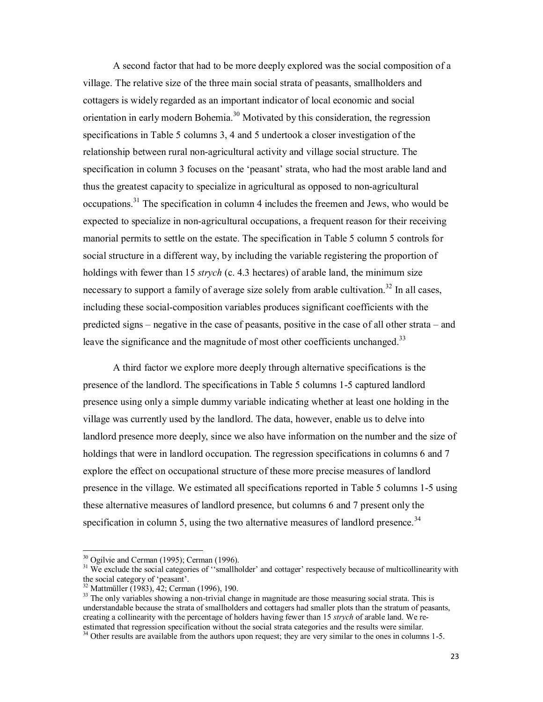A second factor that had to be more deeply explored was the social composition of a village. The relative size of the three main social strata of peasants, smallholders and cottagers is widely regarded as an important indicator of local economic and social orientation in early modern Bohemia.<sup>30</sup> Motivated by this consideration, the regression specifications in Table 5 columns 3, 4 and 5 undertook a closer investigation of the relationship between rural non-agricultural activity and village social structure. The specification in column 3 focuses on the 'peasant' strata, who had the most arable land and thus the greatest capacity to specialize in agricultural as opposed to non-agricultural occupations.<sup>31</sup> The specification in column 4 includes the freemen and Jews, who would be expected to specialize in non-agricultural occupations, a frequent reason for their receiving manorial permits to settle on the estate. The specification in Table 5 column 5 controls for social structure in a different way, by including the variable registering the proportion of holdings with fewer than 15 *strych* (c. 4.3 hectares) of arable land, the minimum size necessary to support a family of average size solely from arable cultivation.<sup>32</sup> In all cases. including these social-composition variables produces significant coefficients with the predicted signs – negative in the case of peasants, positive in the case of all other strata – and leave the significance and the magnitude of most other coefficients unchanged.<sup>33</sup>

A third factor we explore more deeply through alternative specifications is the presence of the landlord. The specifications in Table 5 columns 1-5 captured landlord presence using only a simple dummy variable indicating whether at least one holding in the village was currently used by the landlord. The data, however, enable us to delve into landlord presence more deeply, since we also have information on the number and the size of holdings that were in landlord occupation. The regression specifications in columns 6 and 7 explore the effect on occupational structure of these more precise measures of landlord presence in the village. We estimated all specifications reported in Table 5 columns 1-5 using these alternative measures of landlord presence, but columns 6 and 7 present only the specification in column 5, using the two alternative measures of landlord presence. $34$ 

 $30$  Ogilvie and Cerman (1995); Cerman (1996).<br><sup>31</sup> We exclude the social categories of "smallholder' and cottager' respectively because of multicollinearity with the social category of 'peasant'.<br><sup>32</sup> Mattmüller (1983), 42; Cerman (1996), 190.

<sup>&</sup>lt;sup>33</sup> The only variables showing a non-trivial change in magnitude are those measuring social strata. This is understandable because the strata of smallholders and cottagers had smaller plots than the stratum of peasants, creating a collinearity with the percentage of holders having fewer than 15 *strych* of arable land. We re-<br>estimated that regression specification without the social strata categories and the results were similar.

 $34$  Other results are available from the authors upon request; they are very similar to the ones in columns 1-5.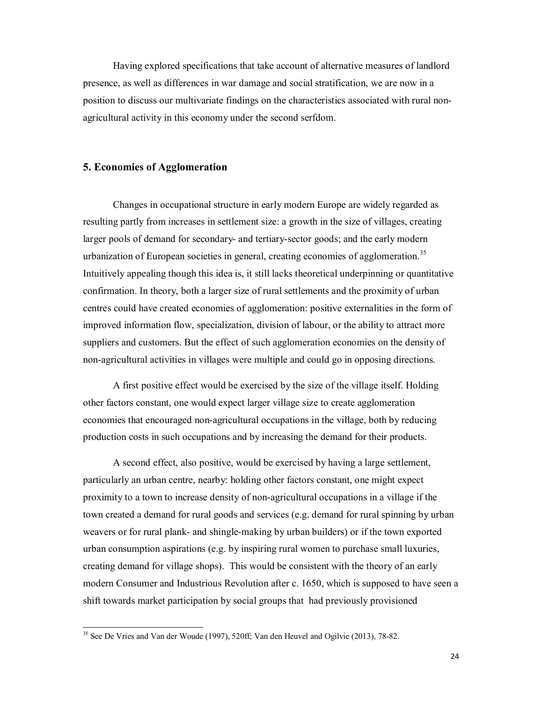Having explored specifications that take account of alternative measures of landlord presence, as well as differences in war damage and social stratification, we are now in a position to discuss our multivariate findings on the characteristics associated with rural nonagricultural activity in this economy under the second serfdom.

#### **5. Economies of Agglomeration**

Changes in occupational structure in early modern Europe are widely regarded as resulting partly from increases in settlement size: a growth in the size of villages, creating larger pools of demand for secondary- and tertiary-sector goods; and the early modern urbanization of European societies in general, creating economies of agglomeration.<sup>35</sup> Intuitively appealing though this idea is, it still lacks theoretical underpinning or quantitative confirmation. In theory, both a larger size of rural settlements and the proximity of urban centres could have created economies of agglomeration: positive externalities in the form of improved information flow, specialization, division of labour, or the ability to attract more suppliers and customers. But the effect of such agglomeration economies on the density of non-agricultural activities in villages were multiple and could go in opposing directions.

A first positive effect would be exercised by the size of the village itself. Holding other factors constant, one would expect larger village size to create agglomeration economies that encouraged non-agricultural occupations in the village, both by reducing production costs in such occupations and by increasing the demand for their products.

A second effect, also positive, would be exercised by having a large settlement, particularly an urban centre, nearby: holding other factors constant, one might expect proximity to a town to increase density of non-agricultural occupations in a village if the town created a demand for rural goods and services (e.g. demand for rural spinning by urban weavers or for rural plank- and shingle-making by urban builders) or if the town exported urban consumption aspirations (e.g. by inspiring rural women to purchase small luxuries, creating demand for village shops). This would be consistent with the theory of an early modern Consumer and Industrious Revolution after c. 1650, which is supposed to have seen a shift towards market participation by social groups that had previously provisioned

<sup>35</sup> See De Vries and Van der Woude (1997), 520ff; Van den Heuvel and Ogilvie (2013), 78-82.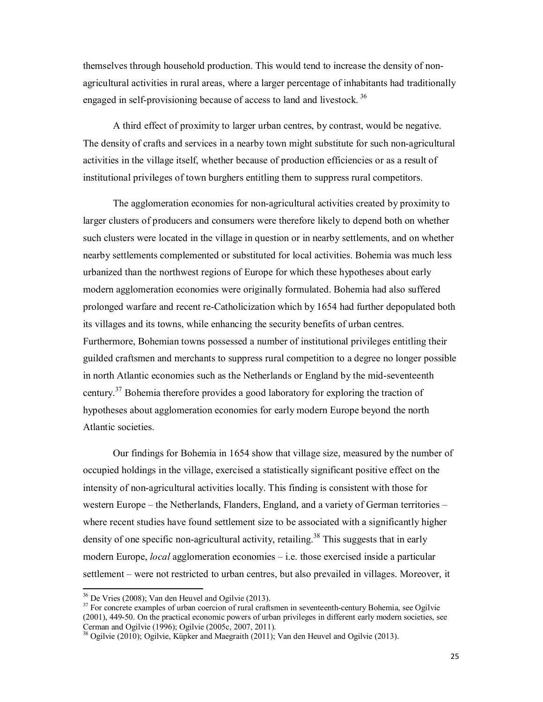themselves through household production. This would tend to increase the density of nonagricultural activities in rural areas, where a larger percentage of inhabitants had traditionally engaged in self-provisioning because of access to land and livestock.<sup>36</sup>

A third effect of proximity to larger urban centres, by contrast, would be negative. The density of crafts and services in a nearby town might substitute for such non-agricultural activities in the village itself, whether because of production efficiencies or as a result of institutional privileges of town burghers entitling them to suppress rural competitors.

The agglomeration economies for non-agricultural activities created by proximity to larger clusters of producers and consumers were therefore likely to depend both on whether such clusters were located in the village in question or in nearby settlements, and on whether nearby settlements complemented or substituted for local activities. Bohemia was much less urbanized than the northwest regions of Europe for which these hypotheses about early modern agglomeration economies were originally formulated. Bohemia had also suffered prolonged warfare and recent re-Catholicization which by 1654 had further depopulated both its villages and its towns, while enhancing the security benefits of urban centres. Furthermore, Bohemian towns possessed a number of institutional privileges entitling their guilded craftsmen and merchants to suppress rural competition to a degree no longer possible in north Atlantic economies such as the Netherlands or England by the mid-seventeenth century.<sup>37</sup> Bohemia therefore provides a good laboratory for exploring the traction of hypotheses about agglomeration economies for early modern Europe beyond the north Atlantic societies.

Our findings for Bohemia in 1654 show that village size, measured by the number of occupied holdings in the village, exercised a statistically significant positive effect on the intensity of non-agricultural activities locally. This finding is consistent with those for western Europe – the Netherlands, Flanders, England, and a variety of German territories – where recent studies have found settlement size to be associated with a significantly higher density of one specific non-agricultural activity, retailing.<sup>38</sup> This suggests that in early modern Europe, *local* agglomeration economies – i.e. those exercised inside a particular settlement – were not restricted to urban centres, but also prevailed in villages. Moreover, it

<sup>&</sup>lt;sup>36</sup> De Vries (2008); Van den Heuvel and Ogilvie (2013).<br><sup>37</sup> For concrete examples of urban coercion of rural craftsmen in seventeenth-century Bohemia, see Ogilvie (2001), 449-50. On the practical economic powers of urban privileges in different early modern societies, see Cerman and Ogilvie (1996); Ogilvie (2005c, 2007, 2011).

<sup>&</sup>lt;sup>38</sup> Ogilvie (2010); Ogilvie, Küpker and Maegraith (2011); Van den Heuvel and Ogilvie (2013).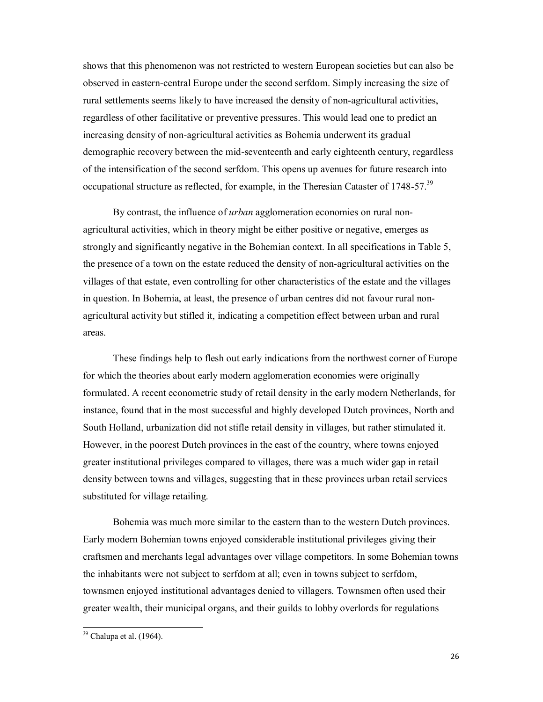shows that this phenomenon was not restricted to western European societies but can also be observed in eastern-central Europe under the second serfdom. Simply increasing the size of rural settlements seems likely to have increased the density of non-agricultural activities, regardless of other facilitative or preventive pressures. This would lead one to predict an increasing density of non-agricultural activities as Bohemia underwent its gradual demographic recovery between the mid-seventeenth and early eighteenth century, regardless of the intensification of the second serfdom. This opens up avenues for future research into occupational structure as reflected, for example, in the Theresian Cataster of 1748-57.<sup>39</sup>

By contrast, the influence of *urban* agglomeration economies on rural nonagricultural activities, which in theory might be either positive or negative, emerges as strongly and significantly negative in the Bohemian context. In all specifications in Table 5, the presence of a town on the estate reduced the density of non-agricultural activities on the villages of that estate, even controlling for other characteristics of the estate and the villages in question. In Bohemia, at least, the presence of urban centres did not favour rural nonagricultural activity but stifled it, indicating a competition effect between urban and rural areas.

These findings help to flesh out early indications from the northwest corner of Europe for which the theories about early modern agglomeration economies were originally formulated. A recent econometric study of retail density in the early modern Netherlands, for instance, found that in the most successful and highly developed Dutch provinces, North and South Holland, urbanization did not stifle retail density in villages, but rather stimulated it. However, in the poorest Dutch provinces in the east of the country, where towns enjoyed greater institutional privileges compared to villages, there was a much wider gap in retail density between towns and villages, suggesting that in these provinces urban retail services substituted for village retailing.

Bohemia was much more similar to the eastern than to the western Dutch provinces. Early modern Bohemian towns enjoyed considerable institutional privileges giving their craftsmen and merchants legal advantages over village competitors. In some Bohemian towns the inhabitants were not subject to serfdom at all; even in towns subject to serfdom, townsmen enjoyed institutional advantages denied to villagers. Townsmen often used their greater wealth, their municipal organs, and their guilds to lobby overlords for regulations

 $39$  Chalupa et al. (1964).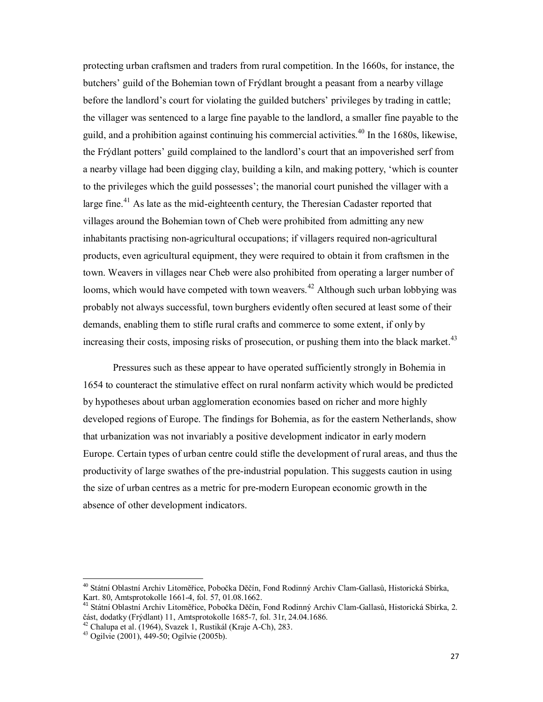protecting urban craftsmen and traders from rural competition. In the 1660s, for instance, the butchers' guild of the Bohemian town of Frýdlant brought a peasant from a nearby village before the landlord's court for violating the guilded butchers' privileges by trading in cattle; the villager was sentenced to a large fine payable to the landlord, a smaller fine payable to the guild, and a prohibition against continuing his commercial activities.<sup>40</sup> In the 1680s, likewise, the Frýdlant potters' guild complained to the landlord's court that an impoverished serf from a nearby village had been digging clay, building a kiln, and making pottery, 'which is counter to the privileges which the guild possesses'; the manorial court punished the villager with a large fine.<sup>41</sup> As late as the mid-eighteenth century, the Theresian Cadaster reported that villages around the Bohemian town of Cheb were prohibited from admitting any new inhabitants practising non-agricultural occupations; if villagers required non-agricultural products, even agricultural equipment, they were required to obtain it from craftsmen in the town. Weavers in villages near Cheb were also prohibited from operating a larger number of looms, which would have competed with town weavers.<sup>42</sup> Although such urban lobbying was probably not always successful, town burghers evidently often secured at least some of their demands, enabling them to stifle rural crafts and commerce to some extent, if only by increasing their costs, imposing risks of prosecution, or pushing them into the black market.<sup>43</sup>

Pressures such as these appear to have operated sufficiently strongly in Bohemia in 1654 to counteract the stimulative effect on rural nonfarm activity which would be predicted by hypotheses about urban agglomeration economies based on richer and more highly developed regions of Europe. The findings for Bohemia, as for the eastern Netherlands, show that urbanization was not invariably a positive development indicator in early modern Europe. Certain types of urban centre could stifle the development of rural areas, and thus the productivity of large swathes of the pre-industrial population. This suggests caution in using the size of urban centres as a metric for pre-modern European economic growth in the absence of other development indicators.

<sup>40</sup> Státní Oblastní Archiv Litomĕřice, Pobočka Dĕčín, Fond Rodinný Archiv Clam-Gallasů, Historická Sbírka, Kart. 80, Amtsprotokolle 1661-4, fol. 57, 01.08.1662.<br><sup>41</sup> Státní Oblastní Archiv Litoměřice, Pobočka Děčín, Fond Rodinný Archiv Clam-Gallasů, Historická Sbírka, 2.

část, dodatky (Frýdlant) 11, Amtsprotokolle 1685-7, fol. 31r, 24.04.1686. <sup>42</sup> Chalupa et al. (1964), Svazek 1, Rustikál (Kraje A-Ch), 283. <sup>43</sup> Ogilvie (2001), 449-50; Ogilvie (2005b).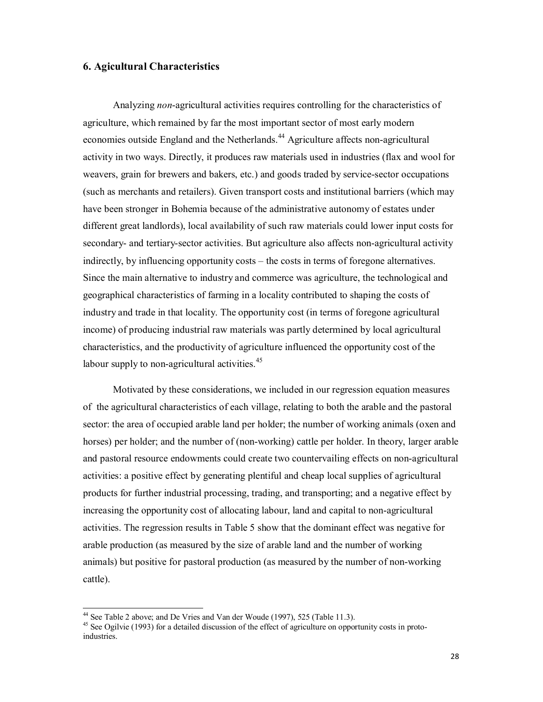#### **6. Agicultural Characteristics**

Analyzing *non*-agricultural activities requires controlling for the characteristics of agriculture, which remained by far the most important sector of most early modern economies outside England and the Netherlands.<sup>44</sup> Agriculture affects non-agricultural activity in two ways. Directly, it produces raw materials used in industries (flax and wool for weavers, grain for brewers and bakers, etc.) and goods traded by service-sector occupations (such as merchants and retailers). Given transport costs and institutional barriers (which may have been stronger in Bohemia because of the administrative autonomy of estates under different great landlords), local availability of such raw materials could lower input costs for secondary- and tertiary-sector activities. But agriculture also affects non-agricultural activity indirectly, by influencing opportunity costs – the costs in terms of foregone alternatives. Since the main alternative to industry and commerce was agriculture, the technological and geographical characteristics of farming in a locality contributed to shaping the costs of industry and trade in that locality. The opportunity cost (in terms of foregone agricultural income) of producing industrial raw materials was partly determined by local agricultural characteristics, and the productivity of agriculture influenced the opportunity cost of the labour supply to non-agricultural activities.<sup>45</sup>

Motivated by these considerations, we included in our regression equation measures of the agricultural characteristics of each village, relating to both the arable and the pastoral sector: the area of occupied arable land per holder; the number of working animals (oxen and horses) per holder; and the number of (non-working) cattle per holder. In theory, larger arable and pastoral resource endowments could create two countervailing effects on non-agricultural activities: a positive effect by generating plentiful and cheap local supplies of agricultural products for further industrial processing, trading, and transporting; and a negative effect by increasing the opportunity cost of allocating labour, land and capital to non-agricultural activities. The regression results in Table 5 show that the dominant effect was negative for arable production (as measured by the size of arable land and the number of working animals) but positive for pastoral production (as measured by the number of non-working cattle).

<sup>&</sup>lt;sup>44</sup> See Table 2 above; and De Vries and Van der Woude (1997), 525 (Table 11.3).  $45$  See Ogilvie (1993) for a detailed discussion of the effect of agriculture on opportunity costs in protoindustries.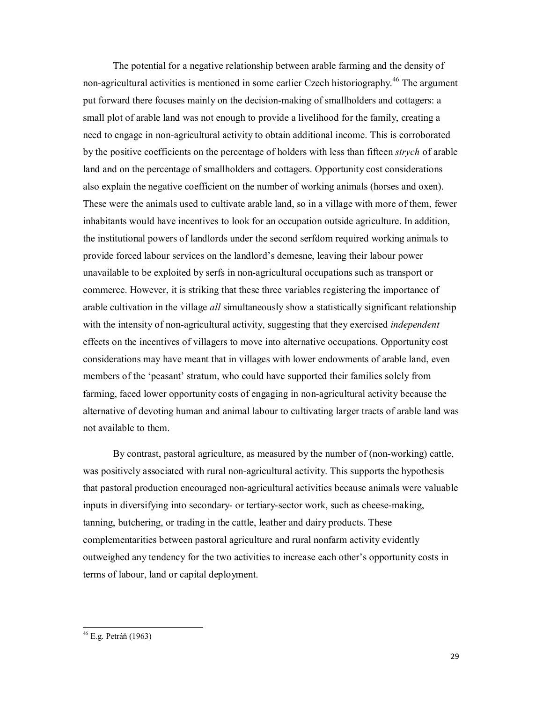The potential for a negative relationship between arable farming and the density of non-agricultural activities is mentioned in some earlier Czech historiography.<sup>46</sup> The argument put forward there focuses mainly on the decision-making of smallholders and cottagers: a small plot of arable land was not enough to provide a livelihood for the family, creating a need to engage in non-agricultural activity to obtain additional income. This is corroborated by the positive coefficients on the percentage of holders with less than fifteen *strych* of arable land and on the percentage of smallholders and cottagers. Opportunity cost considerations also explain the negative coefficient on the number of working animals (horses and oxen). These were the animals used to cultivate arable land, so in a village with more of them, fewer inhabitants would have incentives to look for an occupation outside agriculture. In addition, the institutional powers of landlords under the second serfdom required working animals to provide forced labour services on the landlord's demesne, leaving their labour power unavailable to be exploited by serfs in non-agricultural occupations such as transport or commerce. However, it is striking that these three variables registering the importance of arable cultivation in the village *all* simultaneously show a statistically significant relationship with the intensity of non-agricultural activity, suggesting that they exercised *independent* effects on the incentives of villagers to move into alternative occupations. Opportunity cost considerations may have meant that in villages with lower endowments of arable land, even members of the 'peasant' stratum, who could have supported their families solely from farming, faced lower opportunity costs of engaging in non-agricultural activity because the alternative of devoting human and animal labour to cultivating larger tracts of arable land was not available to them.

By contrast, pastoral agriculture, as measured by the number of (non-working) cattle, was positively associated with rural non-agricultural activity. This supports the hypothesis that pastoral production encouraged non-agricultural activities because animals were valuable inputs in diversifying into secondary- or tertiary-sector work, such as cheese-making, tanning, butchering, or trading in the cattle, leather and dairy products. These complementarities between pastoral agriculture and rural nonfarm activity evidently outweighed any tendency for the two activities to increase each other's opportunity costs in terms of labour, land or capital deployment.

 $46$  E.g. Petráň (1963)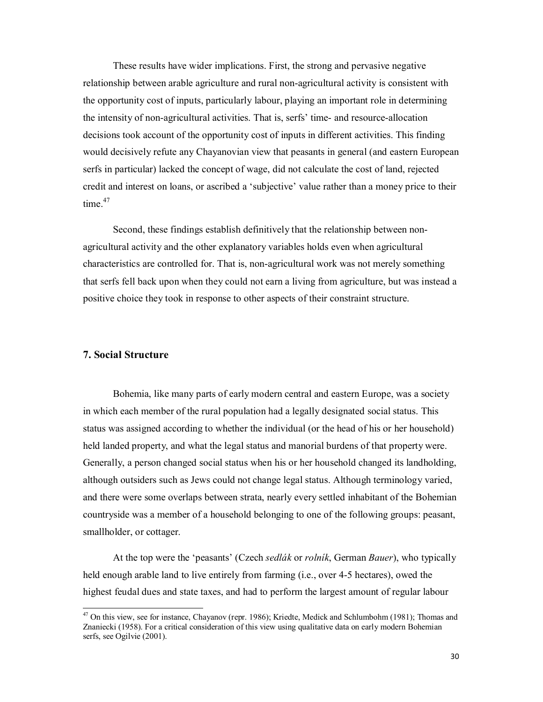These results have wider implications. First, the strong and pervasive negative relationship between arable agriculture and rural non-agricultural activity is consistent with the opportunity cost of inputs, particularly labour, playing an important role in determining the intensity of non-agricultural activities. That is, serfs' time- and resource-allocation decisions took account of the opportunity cost of inputs in different activities. This finding would decisively refute any Chayanovian view that peasants in general (and eastern European serfs in particular) lacked the concept of wage, did not calculate the cost of land, rejected credit and interest on loans, or ascribed a 'subjective' value rather than a money price to their time $47$ 

Second, these findings establish definitively that the relationship between nonagricultural activity and the other explanatory variables holds even when agricultural characteristics are controlled for. That is, non-agricultural work was not merely something that serfs fell back upon when they could not earn a living from agriculture, but was instead a positive choice they took in response to other aspects of their constraint structure.

#### **7. Social Structure**

Bohemia, like many parts of early modern central and eastern Europe, was a society in which each member of the rural population had a legally designated social status. This status was assigned according to whether the individual (or the head of his or her household) held landed property, and what the legal status and manorial burdens of that property were. Generally, a person changed social status when his or her household changed its landholding, although outsiders such as Jews could not change legal status. Although terminology varied, and there were some overlaps between strata, nearly every settled inhabitant of the Bohemian countryside was a member of a household belonging to one of the following groups: peasant, smallholder, or cottager.

At the top were the 'peasants' (Czech *sedlák* or *rolník*, German *Bauer*), who typically held enough arable land to live entirely from farming (i.e., over 4-5 hectares), owed the highest feudal dues and state taxes, and had to perform the largest amount of regular labour

<sup>&</sup>lt;sup>47</sup> On this view, see for instance, Chayanov (repr. 1986); Kriedte, Medick and Schlumbohm (1981); Thomas and Znaniecki (1958). For a critical consideration of this view using qualitative data on early modern Bohemian serfs, see Ogilvie (2001).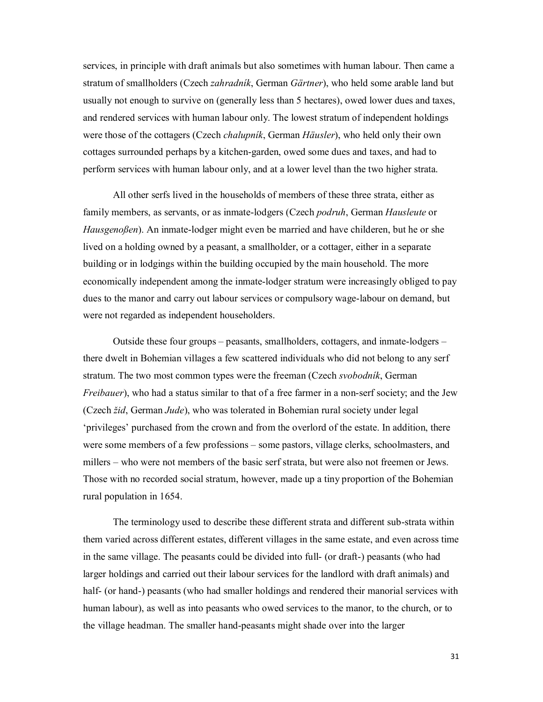services, in principle with draft animals but also sometimes with human labour. Then came a stratum of smallholders (Czech *zahradník*, German *Gärtner*), who held some arable land but usually not enough to survive on (generally less than 5 hectares), owed lower dues and taxes, and rendered services with human labour only. The lowest stratum of independent holdings were those of the cottagers (Czech *chalupník*, German *Häusler*), who held only their own cottages surrounded perhaps by a kitchen-garden, owed some dues and taxes, and had to perform services with human labour only, and at a lower level than the two higher strata.

All other serfs lived in the households of members of these three strata, either as family members, as servants, or as inmate-lodgers (Czech *podruh*, German *Hausleute* or *Hausgenoßen*). An inmate-lodger might even be married and have childeren, but he or she lived on a holding owned by a peasant, a smallholder, or a cottager, either in a separate building or in lodgings within the building occupied by the main household. The more economically independent among the inmate-lodger stratum were increasingly obliged to pay dues to the manor and carry out labour services or compulsory wage-labour on demand, but were not regarded as independent householders.

Outside these four groups – peasants, smallholders, cottagers, and inmate-lodgers – there dwelt in Bohemian villages a few scattered individuals who did not belong to any serf stratum. The two most common types were the freeman (Czech *svobodník*, German *Freibauer*), who had a status similar to that of a free farmer in a non-serf society; and the Jew (Czech *žid*, German *Jude*), who was tolerated in Bohemian rural society under legal 'privileges' purchased from the crown and from the overlord of the estate. In addition, there were some members of a few professions – some pastors, village clerks, schoolmasters, and millers – who were not members of the basic serf strata, but were also not freemen or Jews. Those with no recorded social stratum, however, made up a tiny proportion of the Bohemian rural population in 1654.

The terminology used to describe these different strata and different sub-strata within them varied across different estates, different villages in the same estate, and even across time in the same village. The peasants could be divided into full- (or draft-) peasants (who had larger holdings and carried out their labour services for the landlord with draft animals) and half- (or hand-) peasants (who had smaller holdings and rendered their manorial services with human labour), as well as into peasants who owed services to the manor, to the church, or to the village headman. The smaller hand-peasants might shade over into the larger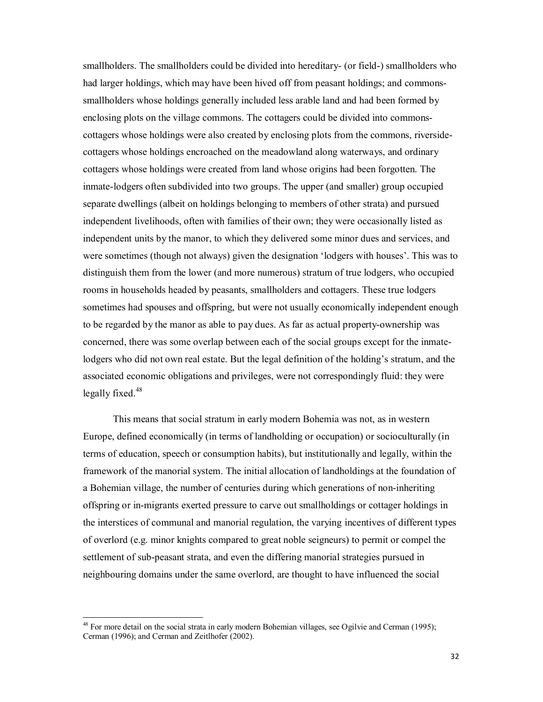smallholders. The smallholders could be divided into hereditary- (or field-) smallholders who had larger holdings, which may have been hived off from peasant holdings; and commonssmallholders whose holdings generally included less arable land and had been formed by enclosing plots on the village commons. The cottagers could be divided into commonscottagers whose holdings were also created by enclosing plots from the commons, riversidecottagers whose holdings encroached on the meadowland along waterways, and ordinary cottagers whose holdings were created from land whose origins had been forgotten. The inmate-lodgers often subdivided into two groups. The upper (and smaller) group occupied separate dwellings (albeit on holdings belonging to members of other strata) and pursued independent livelihoods, often with families of their own; they were occasionally listed as independent units by the manor, to which they delivered some minor dues and services, and were sometimes (though not always) given the designation 'lodgers with houses'. This was to distinguish them from the lower (and more numerous) stratum of true lodgers, who occupied rooms in households headed by peasants, smallholders and cottagers. These true lodgers sometimes had spouses and offspring, but were not usually economically independent enough to be regarded by the manor as able to pay dues. As far as actual property-ownership was concerned, there was some overlap between each of the social groups except for the inmatelodgers who did not own real estate. But the legal definition of the holding's stratum, and the associated economic obligations and privileges, were not correspondingly fluid: they were legally fixed. $48$ 

This means that social stratum in early modern Bohemia was not, as in western Europe, defined economically (in terms of landholding or occupation) or socioculturally (in terms of education, speech or consumption habits), but institutionally and legally, within the framework of the manorial system. The initial allocation of landholdings at the foundation of a Bohemian village, the number of centuries during which generations of non-inheriting offspring or in-migrants exerted pressure to carve out smallholdings or cottager holdings in the interstices of communal and manorial regulation, the varying incentives of different types of overlord (e.g. minor knights compared to great noble seigneurs) to permit or compel the settlement of sub-peasant strata, and even the differing manorial strategies pursued in neighbouring domains under the same overlord, are thought to have influenced the social

<sup>&</sup>lt;sup>48</sup> For more detail on the social strata in early modern Bohemian villages, see Ogilvie and Cerman (1995); Cerman (1996); and Cerman and Zeitlhofer (2002).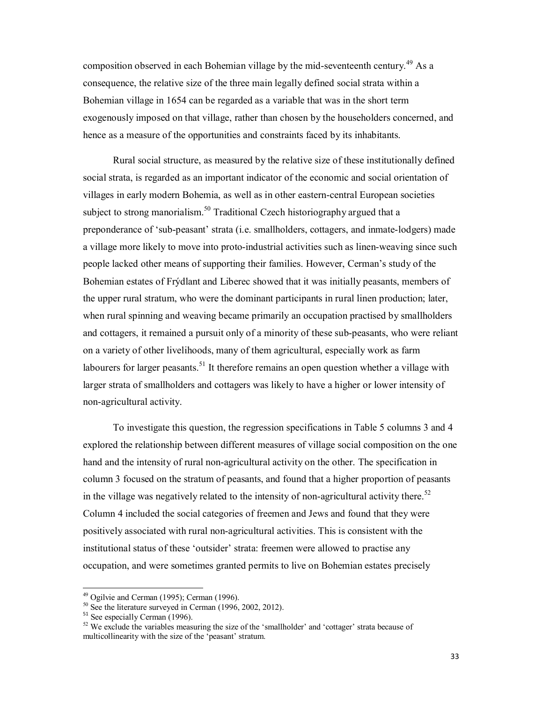composition observed in each Bohemian village by the mid-seventeenth century.<sup>49</sup> As a consequence, the relative size of the three main legally defined social strata within a Bohemian village in 1654 can be regarded as a variable that was in the short term exogenously imposed on that village, rather than chosen by the householders concerned, and hence as a measure of the opportunities and constraints faced by its inhabitants.

Rural social structure, as measured by the relative size of these institutionally defined social strata, is regarded as an important indicator of the economic and social orientation of villages in early modern Bohemia, as well as in other eastern-central European societies subject to strong manorialism.<sup>50</sup> Traditional Czech historiography argued that a preponderance of 'sub-peasant' strata (i.e. smallholders, cottagers, and inmate-lodgers) made a village more likely to move into proto-industrial activities such as linen-weaving since such people lacked other means of supporting their families. However, Cerman's study of the Bohemian estates of Frýdlant and Liberec showed that it was initially peasants, members of the upper rural stratum, who were the dominant participants in rural linen production; later, when rural spinning and weaving became primarily an occupation practised by smallholders and cottagers, it remained a pursuit only of a minority of these sub-peasants, who were reliant on a variety of other livelihoods, many of them agricultural, especially work as farm labourers for larger peasants.<sup>51</sup> It therefore remains an open question whether a village with larger strata of smallholders and cottagers was likely to have a higher or lower intensity of non-agricultural activity.

To investigate this question, the regression specifications in Table 5 columns 3 and 4 explored the relationship between different measures of village social composition on the one hand and the intensity of rural non-agricultural activity on the other. The specification in column 3 focused on the stratum of peasants, and found that a higher proportion of peasants in the village was negatively related to the intensity of non-agricultural activity there.<sup>52</sup> Column 4 included the social categories of freemen and Jews and found that they were positively associated with rural non-agricultural activities. This is consistent with the institutional status of these 'outsider' strata: freemen were allowed to practise any occupation, and were sometimes granted permits to live on Bohemian estates precisely

<sup>&</sup>lt;sup>49</sup> Ogilvie and Cerman (1995); Cerman (1996).<br><sup>50</sup> See the literature surveyed in Cerman (1996, 2002, 2012).<br><sup>51</sup> See especially Cerman (1996).

<sup>&</sup>lt;sup>52</sup> We exclude the variables measuring the size of the 'smallholder' and 'cottager' strata because of multicollinearity with the size of the 'peasant' stratum.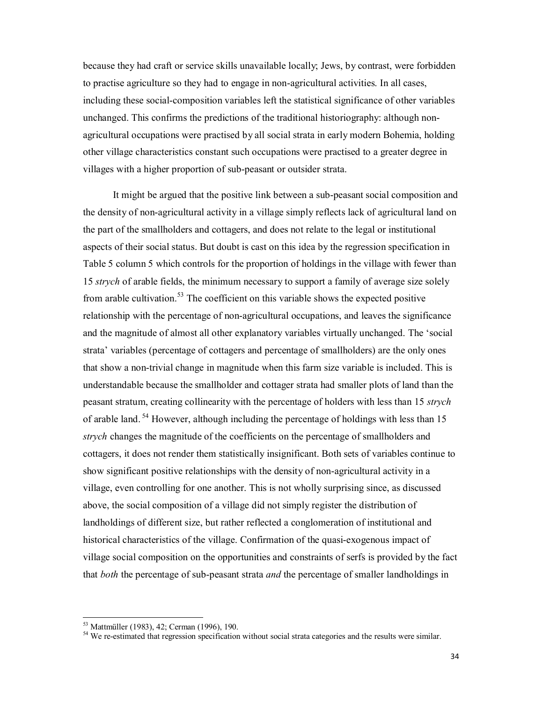because they had craft or service skills unavailable locally; Jews, by contrast, were forbidden to practise agriculture so they had to engage in non-agricultural activities. In all cases, including these social-composition variables left the statistical significance of other variables unchanged. This confirms the predictions of the traditional historiography: although nonagricultural occupations were practised by all social strata in early modern Bohemia, holding other village characteristics constant such occupations were practised to a greater degree in villages with a higher proportion of sub-peasant or outsider strata.

It might be argued that the positive link between a sub-peasant social composition and the density of non-agricultural activity in a village simply reflects lack of agricultural land on the part of the smallholders and cottagers, and does not relate to the legal or institutional aspects of their social status. But doubt is cast on this idea by the regression specification in Table 5 column 5 which controls for the proportion of holdings in the village with fewer than 15 *strych* of arable fields, the minimum necessary to support a family of average size solely from arable cultivation.<sup>53</sup> The coefficient on this variable shows the expected positive relationship with the percentage of non-agricultural occupations, and leaves the significance and the magnitude of almost all other explanatory variables virtually unchanged. The 'social strata' variables (percentage of cottagers and percentage of smallholders) are the only ones that show a non-trivial change in magnitude when this farm size variable is included. This is understandable because the smallholder and cottager strata had smaller plots of land than the peasant stratum, creating collinearity with the percentage of holders with less than 15 *strych* of arable land.<sup>54</sup> However, although including the percentage of holdings with less than 15 *strych* changes the magnitude of the coefficients on the percentage of smallholders and cottagers, it does not render them statistically insignificant. Both sets of variables continue to show significant positive relationships with the density of non-agricultural activity in a village, even controlling for one another. This is not wholly surprising since, as discussed above, the social composition of a village did not simply register the distribution of landholdings of different size, but rather reflected a conglomeration of institutional and historical characteristics of the village. Confirmation of the quasi-exogenous impact of village social composition on the opportunities and constraints of serfs is provided by the fact that *both* the percentage of sub-peasant strata *and* the percentage of smaller landholdings in

 $53$  Mattmüller (1983), 42; Cerman (1996), 190.<br><sup>54</sup> We re-estimated that regression specification without social strata categories and the results were similar.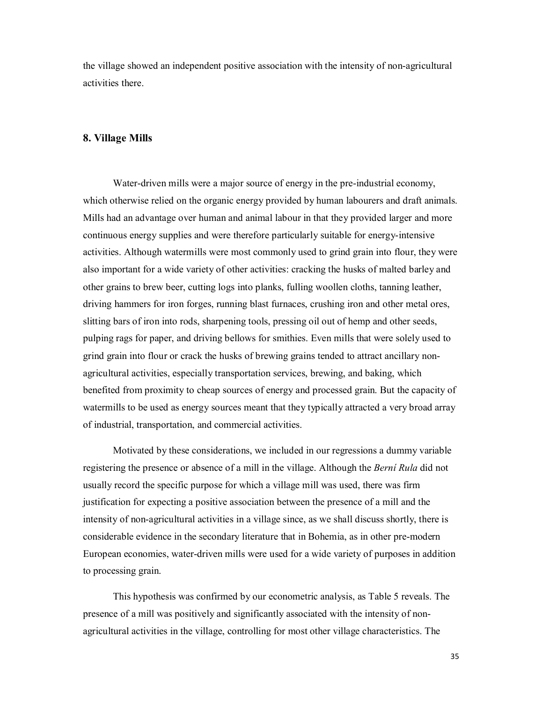the village showed an independent positive association with the intensity of non-agricultural activities there.

#### **8. Village Mills**

Water-driven mills were a major source of energy in the pre-industrial economy, which otherwise relied on the organic energy provided by human labourers and draft animals. Mills had an advantage over human and animal labour in that they provided larger and more continuous energy supplies and were therefore particularly suitable for energy-intensive activities. Although watermills were most commonly used to grind grain into flour, they were also important for a wide variety of other activities: cracking the husks of malted barley and other grains to brew beer, cutting logs into planks, fulling woollen cloths, tanning leather, driving hammers for iron forges, running blast furnaces, crushing iron and other metal ores, slitting bars of iron into rods, sharpening tools, pressing oil out of hemp and other seeds, pulping rags for paper, and driving bellows for smithies. Even mills that were solely used to grind grain into flour or crack the husks of brewing grains tended to attract ancillary nonagricultural activities, especially transportation services, brewing, and baking, which benefited from proximity to cheap sources of energy and processed grain. But the capacity of watermills to be used as energy sources meant that they typically attracted a very broad array of industrial, transportation, and commercial activities.

Motivated by these considerations, we included in our regressions a dummy variable registering the presence or absence of a mill in the village. Although the *Berní Rula* did not usually record the specific purpose for which a village mill was used, there was firm justification for expecting a positive association between the presence of a mill and the intensity of non-agricultural activities in a village since, as we shall discuss shortly, there is considerable evidence in the secondary literature that in Bohemia, as in other pre-modern European economies, water-driven mills were used for a wide variety of purposes in addition to processing grain.

This hypothesis was confirmed by our econometric analysis, as Table 5 reveals. The presence of a mill was positively and significantly associated with the intensity of nonagricultural activities in the village, controlling for most other village characteristics. The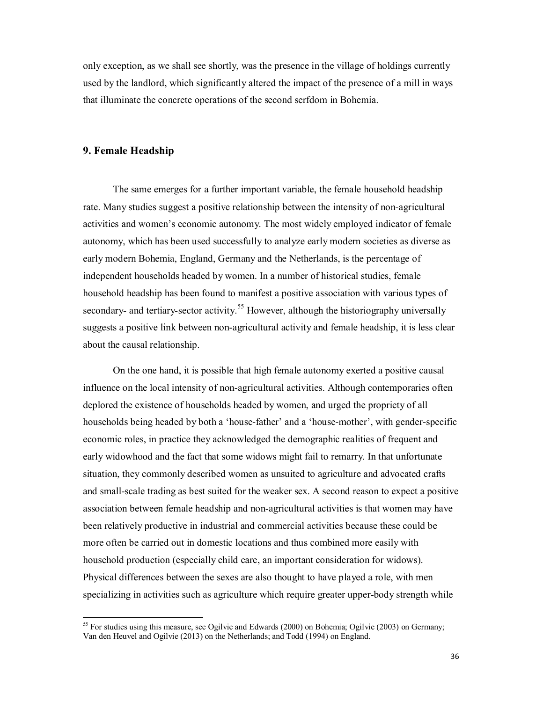only exception, as we shall see shortly, was the presence in the village of holdings currently used by the landlord, which significantly altered the impact of the presence of a mill in ways that illuminate the concrete operations of the second serfdom in Bohemia.

#### **9. Female Headship**

The same emerges for a further important variable, the female household headship rate. Many studies suggest a positive relationship between the intensity of non-agricultural activities and women's economic autonomy. The most widely employed indicator of female autonomy, which has been used successfully to analyze early modern societies as diverse as early modern Bohemia, England, Germany and the Netherlands, is the percentage of independent households headed by women. In a number of historical studies, female household headship has been found to manifest a positive association with various types of secondary- and tertiary-sector activity.<sup>55</sup> However, although the historiography universally suggests a positive link between non-agricultural activity and female headship, it is less clear about the causal relationship.

On the one hand, it is possible that high female autonomy exerted a positive causal influence on the local intensity of non-agricultural activities. Although contemporaries often deplored the existence of households headed by women, and urged the propriety of all households being headed by both a 'house-father' and a 'house-mother', with gender-specific economic roles, in practice they acknowledged the demographic realities of frequent and early widowhood and the fact that some widows might fail to remarry. In that unfortunate situation, they commonly described women as unsuited to agriculture and advocated crafts and small-scale trading as best suited for the weaker sex. A second reason to expect a positive association between female headship and non-agricultural activities is that women may have been relatively productive in industrial and commercial activities because these could be more often be carried out in domestic locations and thus combined more easily with household production (especially child care, an important consideration for widows). Physical differences between the sexes are also thought to have played a role, with men specializing in activities such as agriculture which require greater upper-body strength while

<sup>&</sup>lt;sup>55</sup> For studies using this measure, see Ogilvie and Edwards (2000) on Bohemia; Ogilvie (2003) on Germany; Van den Heuvel and Ogilvie (2013) on the Netherlands; and Todd (1994) on England.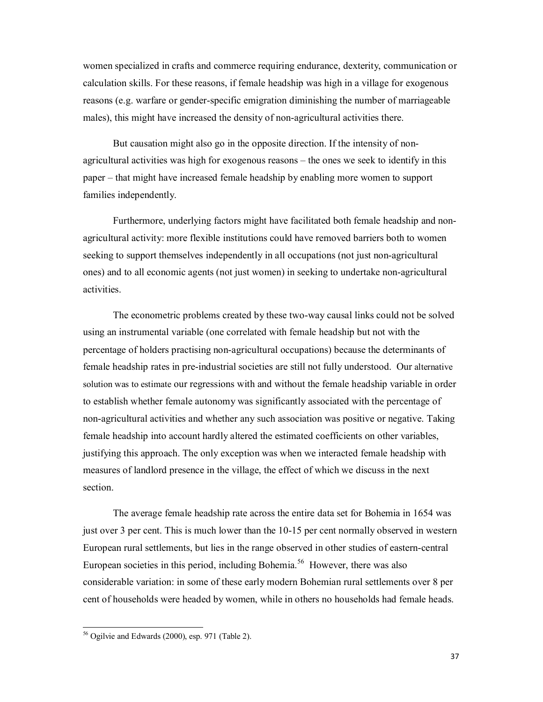women specialized in crafts and commerce requiring endurance, dexterity, communication or calculation skills. For these reasons, if female headship was high in a village for exogenous reasons (e.g. warfare or gender-specific emigration diminishing the number of marriageable males), this might have increased the density of non-agricultural activities there.

But causation might also go in the opposite direction. If the intensity of nonagricultural activities was high for exogenous reasons – the ones we seek to identify in this paper – that might have increased female headship by enabling more women to support families independently.

Furthermore, underlying factors might have facilitated both female headship and nonagricultural activity: more flexible institutions could have removed barriers both to women seeking to support themselves independently in all occupations (not just non-agricultural ones) and to all economic agents (not just women) in seeking to undertake non-agricultural activities.

The econometric problems created by these two-way causal links could not be solved using an instrumental variable (one correlated with female headship but not with the percentage of holders practising non-agricultural occupations) because the determinants of female headship rates in pre-industrial societies are still not fully understood. Our alternative solution was to estimate our regressions with and without the female headship variable in order to establish whether female autonomy was significantly associated with the percentage of non-agricultural activities and whether any such association was positive or negative. Taking female headship into account hardly altered the estimated coefficients on other variables, justifying this approach. The only exception was when we interacted female headship with measures of landlord presence in the village, the effect of which we discuss in the next section.

The average female headship rate across the entire data set for Bohemia in 1654 was just over 3 per cent. This is much lower than the 10-15 per cent normally observed in western European rural settlements, but lies in the range observed in other studies of eastern-central European societies in this period, including Bohemia.<sup>56</sup> However, there was also considerable variation: in some of these early modern Bohemian rural settlements over 8 per cent of households were headed by women, while in others no households had female heads.

<sup>56</sup> Ogilvie and Edwards (2000), esp. 971 (Table 2).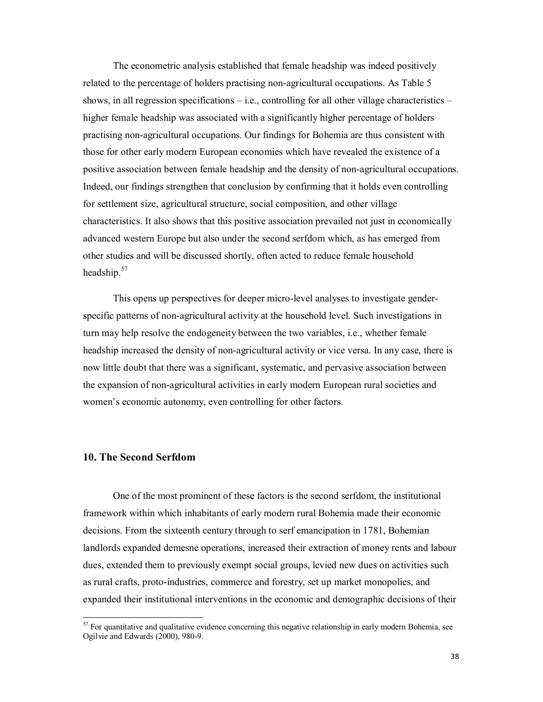The econometric analysis established that female headship was indeed positively related to the percentage of holders practising non-agricultural occupations. As Table 5 shows, in all regression specifications  $-$  i.e., controlling for all other village characteristics  $$ higher female headship was associated with a significantly higher percentage of holders practising non-agricultural occupations. Our findings for Bohemia are thus consistent with those for other early modern European economies which have revealed the existence of a positive association between female headship and the density of non-agricultural occupations. Indeed, our findings strengthen that conclusion by confirming that it holds even controlling for settlement size, agricultural structure, social composition, and other village characteristics. It also shows that this positive association prevailed not just in economically advanced western Europe but also under the second serfdom which, as has emerged from other studies and will be discussed shortly, often acted to reduce female household headship.<sup>57</sup>

This opens up perspectives for deeper micro-level analyses to investigate genderspecific patterns of non-agricultural activity at the household level. Such investigations in turn may help resolve the endogeneity between the two variables, i.e., whether female headship increased the density of non-agricultural activity or vice versa. In any case, there is now little doubt that there was a significant, systematic, and pervasive association between the expansion of non-agricultural activities in early modern European rural societies and women's economic autonomy, even controlling for other factors.

#### **10. The Second Serfdom**

One of the most prominent of these factors is the second serfdom, the institutional framework within which inhabitants of early modern rural Bohemia made their economic decisions. From the sixteenth century through to serf emancipation in 1781, Bohemian landlords expanded demesne operations, increased their extraction of money rents and labour dues, extended them to previously exempt social groups, levied new dues on activities such as rural crafts, proto-industries, commerce and forestry, set up market monopolies, and expanded their institutional interventions in the economic and demographic decisions of their

 $57$  For quantitative and qualitative evidence concerning this negative relationship in early modern Bohemia, see Ogilvie and Edwards (2000), 980-9.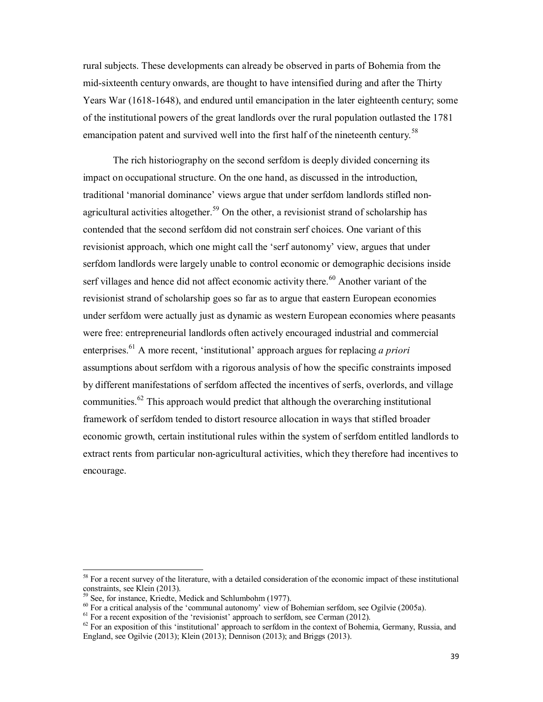rural subjects. These developments can already be observed in parts of Bohemia from the mid-sixteenth century onwards, are thought to have intensified during and after the Thirty Years War (1618-1648), and endured until emancipation in the later eighteenth century; some of the institutional powers of the great landlords over the rural population outlasted the 1781 emancipation patent and survived well into the first half of the nineteenth century.<sup>58</sup>

The rich historiography on the second serfdom is deeply divided concerning its impact on occupational structure. On the one hand, as discussed in the introduction, traditional 'manorial dominance' views argue that under serfdom landlords stifled nonagricultural activities altogether.<sup>59</sup> On the other, a revisionist strand of scholarship has contended that the second serfdom did not constrain serf choices. One variant of this revisionist approach, which one might call the 'serf autonomy' view, argues that under serfdom landlords were largely unable to control economic or demographic decisions inside serf villages and hence did not affect economic activity there.<sup>60</sup> Another variant of the revisionist strand of scholarship goes so far as to argue that eastern European economies under serfdom were actually just as dynamic as western European economies where peasants were free: entrepreneurial landlords often actively encouraged industrial and commercial enterprises.61 A more recent, 'institutional' approach argues for replacing *a priori* assumptions about serfdom with a rigorous analysis of how the specific constraints imposed by different manifestations of serfdom affected the incentives of serfs, overlords, and village communities.<sup>62</sup> This approach would predict that although the overarching institutional framework of serfdom tended to distort resource allocation in ways that stifled broader economic growth, certain institutional rules within the system of serfdom entitled landlords to extract rents from particular non-agricultural activities, which they therefore had incentives to encourage.

 $58$  For a recent survey of the literature, with a detailed consideration of the economic impact of these institutional constraints, see Klein (2013).

<sup>&</sup>lt;sup>59</sup> See, for instance, Kriedte, Medick and Schlumbohm (1977).<br><sup>60</sup> For a critical analysis of the 'communal autonomy' view of Bohemian serfdom, see Ogilvie (2005a).<br><sup>61</sup> For a recent exposition of the 'revisionist' appro England, see Ogilvie (2013); Klein (2013); Dennison (2013); and Briggs (2013).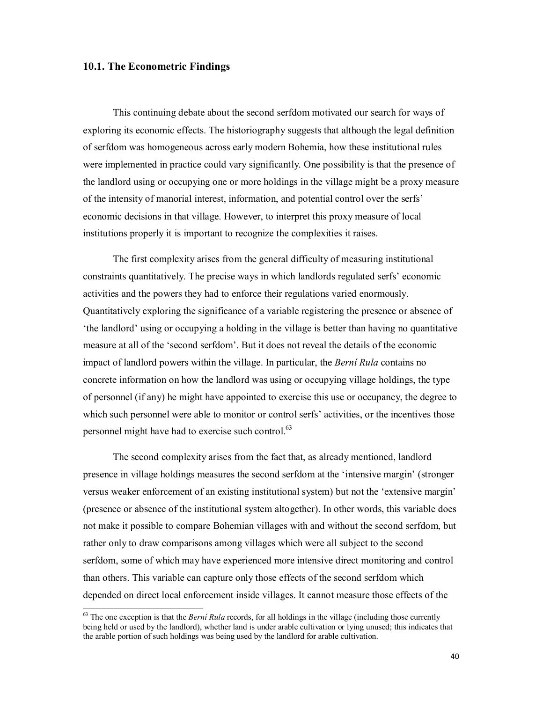#### **10.1. The Econometric Findings**

This continuing debate about the second serfdom motivated our search for ways of exploring its economic effects. The historiography suggests that although the legal definition of serfdom was homogeneous across early modern Bohemia, how these institutional rules were implemented in practice could vary significantly. One possibility is that the presence of the landlord using or occupying one or more holdings in the village might be a proxy measure of the intensity of manorial interest, information, and potential control over the serfs' economic decisions in that village. However, to interpret this proxy measure of local institutions properly it is important to recognize the complexities it raises.

The first complexity arises from the general difficulty of measuring institutional constraints quantitatively. The precise ways in which landlords regulated serfs' economic activities and the powers they had to enforce their regulations varied enormously. Quantitatively exploring the significance of a variable registering the presence or absence of 'the landlord' using or occupying a holding in the village is better than having no quantitative measure at all of the 'second serfdom'. But it does not reveal the details of the economic impact of landlord powers within the village. In particular, the *Berní Rula* contains no concrete information on how the landlord was using or occupying village holdings, the type of personnel (if any) he might have appointed to exercise this use or occupancy, the degree to which such personnel were able to monitor or control serfs' activities, or the incentives those personnel might have had to exercise such control.<sup>63</sup>

The second complexity arises from the fact that, as already mentioned, landlord presence in village holdings measures the second serfdom at the 'intensive margin' (stronger versus weaker enforcement of an existing institutional system) but not the 'extensive margin' (presence or absence of the institutional system altogether). In other words, this variable does not make it possible to compare Bohemian villages with and without the second serfdom, but rather only to draw comparisons among villages which were all subject to the second serfdom, some of which may have experienced more intensive direct monitoring and control than others. This variable can capture only those effects of the second serfdom which depended on direct local enforcement inside villages. It cannot measure those effects of the

<sup>&</sup>lt;sup>63</sup> The one exception is that the *Berní Rula* records, for all holdings in the village (including those currently being held or used by the landlord), whether land is under arable cultivation or lying unused; this indicates that the arable portion of such holdings was being used by the landlord for arable cultivation.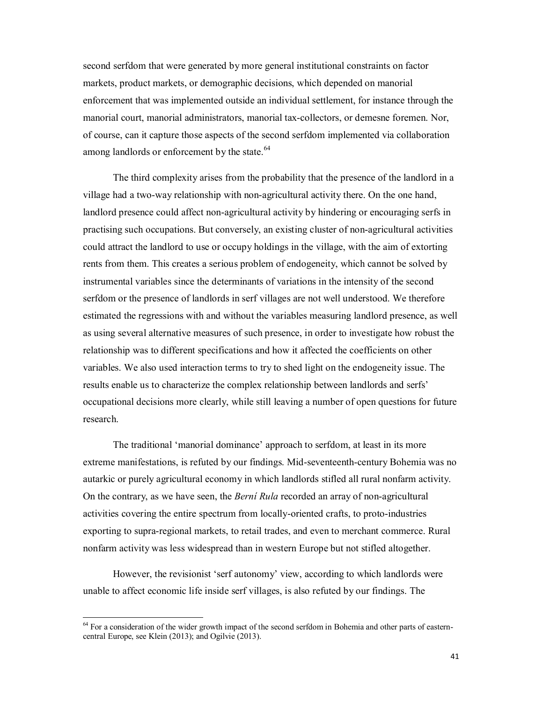second serfdom that were generated by more general institutional constraints on factor markets, product markets, or demographic decisions, which depended on manorial enforcement that was implemented outside an individual settlement, for instance through the manorial court, manorial administrators, manorial tax-collectors, or demesne foremen. Nor, of course, can it capture those aspects of the second serfdom implemented via collaboration among landlords or enforcement by the state.<sup>64</sup>

The third complexity arises from the probability that the presence of the landlord in a village had a two-way relationship with non-agricultural activity there. On the one hand, landlord presence could affect non-agricultural activity by hindering or encouraging serfs in practising such occupations. But conversely, an existing cluster of non-agricultural activities could attract the landlord to use or occupy holdings in the village, with the aim of extorting rents from them. This creates a serious problem of endogeneity, which cannot be solved by instrumental variables since the determinants of variations in the intensity of the second serfdom or the presence of landlords in serf villages are not well understood. We therefore estimated the regressions with and without the variables measuring landlord presence, as well as using several alternative measures of such presence, in order to investigate how robust the relationship was to different specifications and how it affected the coefficients on other variables. We also used interaction terms to try to shed light on the endogeneity issue. The results enable us to characterize the complex relationship between landlords and serfs' occupational decisions more clearly, while still leaving a number of open questions for future research.

The traditional 'manorial dominance' approach to serfdom, at least in its more extreme manifestations, is refuted by our findings. Mid-seventeenth-century Bohemia was no autarkic or purely agricultural economy in which landlords stifled all rural nonfarm activity. On the contrary, as we have seen, the *Berní Rula* recorded an array of non-agricultural activities covering the entire spectrum from locally-oriented crafts, to proto-industries exporting to supra-regional markets, to retail trades, and even to merchant commerce. Rural nonfarm activity was less widespread than in western Europe but not stifled altogether.

However, the revisionist 'serf autonomy' view, according to which landlords were unable to affect economic life inside serf villages, is also refuted by our findings. The

 $64$  For a consideration of the wider growth impact of the second serfdom in Bohemia and other parts of easterncentral Europe, see Klein (2013); and Ogilvie (2013).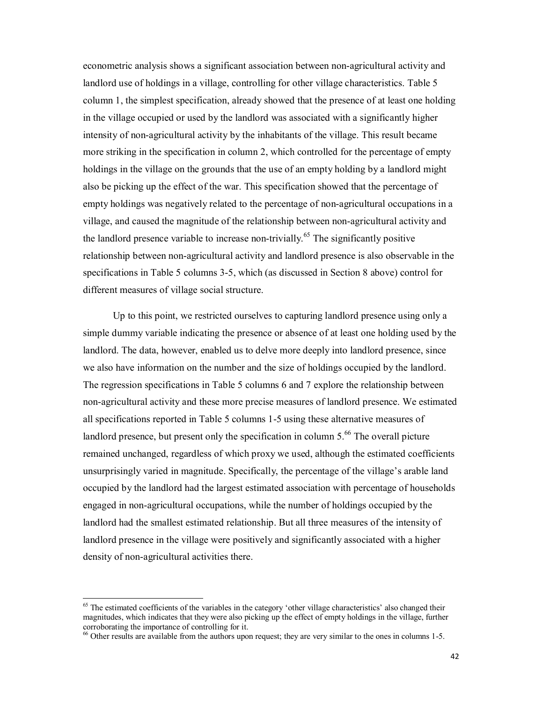econometric analysis shows a significant association between non-agricultural activity and landlord use of holdings in a village, controlling for other village characteristics. Table 5 column 1, the simplest specification, already showed that the presence of at least one holding in the village occupied or used by the landlord was associated with a significantly higher intensity of non-agricultural activity by the inhabitants of the village. This result became more striking in the specification in column 2, which controlled for the percentage of empty holdings in the village on the grounds that the use of an empty holding by a landlord might also be picking up the effect of the war. This specification showed that the percentage of empty holdings was negatively related to the percentage of non-agricultural occupations in a village, and caused the magnitude of the relationship between non-agricultural activity and the landlord presence variable to increase non-trivially.<sup>65</sup> The significantly positive relationship between non-agricultural activity and landlord presence is also observable in the specifications in Table 5 columns 3-5, which (as discussed in Section 8 above) control for different measures of village social structure.

Up to this point, we restricted ourselves to capturing landlord presence using only a simple dummy variable indicating the presence or absence of at least one holding used by the landlord. The data, however, enabled us to delve more deeply into landlord presence, since we also have information on the number and the size of holdings occupied by the landlord. The regression specifications in Table 5 columns 6 and 7 explore the relationship between non-agricultural activity and these more precise measures of landlord presence. We estimated all specifications reported in Table 5 columns 1-5 using these alternative measures of landlord presence, but present only the specification in column  $5<sup>66</sup>$  The overall picture remained unchanged, regardless of which proxy we used, although the estimated coefficients unsurprisingly varied in magnitude. Specifically, the percentage of the village's arable land occupied by the landlord had the largest estimated association with percentage of households engaged in non-agricultural occupations, while the number of holdings occupied by the landlord had the smallest estimated relationship. But all three measures of the intensity of landlord presence in the village were positively and significantly associated with a higher density of non-agricultural activities there.

 $<sup>65</sup>$  The estimated coefficients of the variables in the category 'other village characteristics' also changed their</sup> magnitudes, which indicates that they were also picking up the effect of empty holdings in the village, further corroborating the importance of controlling for it.<br><sup>66</sup> Other results are available from the authors upon request; they are very similar to the ones in columns 1-5.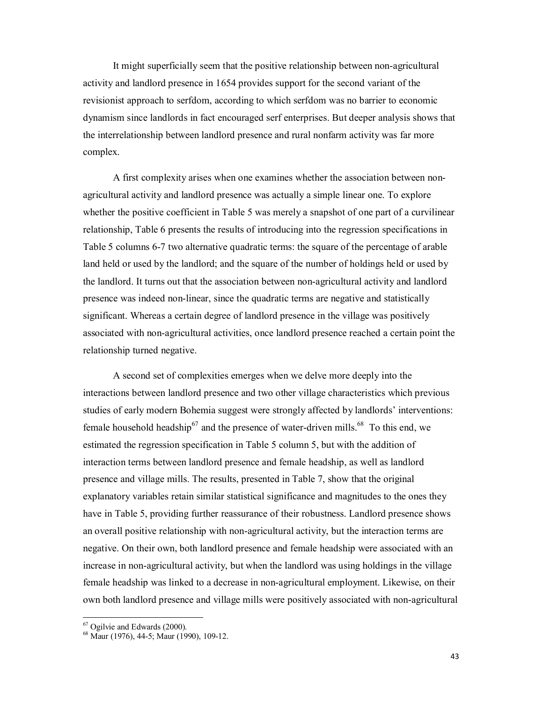It might superficially seem that the positive relationship between non-agricultural activity and landlord presence in 1654 provides support for the second variant of the revisionist approach to serfdom, according to which serfdom was no barrier to economic dynamism since landlords in fact encouraged serf enterprises. But deeper analysis shows that the interrelationship between landlord presence and rural nonfarm activity was far more complex.

A first complexity arises when one examines whether the association between nonagricultural activity and landlord presence was actually a simple linear one. To explore whether the positive coefficient in Table 5 was merely a snapshot of one part of a curvilinear relationship, Table 6 presents the results of introducing into the regression specifications in Table 5 columns 6-7 two alternative quadratic terms: the square of the percentage of arable land held or used by the landlord; and the square of the number of holdings held or used by the landlord. It turns out that the association between non-agricultural activity and landlord presence was indeed non-linear, since the quadratic terms are negative and statistically significant. Whereas a certain degree of landlord presence in the village was positively associated with non-agricultural activities, once landlord presence reached a certain point the relationship turned negative.

A second set of complexities emerges when we delve more deeply into the interactions between landlord presence and two other village characteristics which previous studies of early modern Bohemia suggest were strongly affected by landlords' interventions: female household headship<sup>67</sup> and the presence of water-driven mills.<sup>68</sup> To this end, we estimated the regression specification in Table 5 column 5, but with the addition of interaction terms between landlord presence and female headship, as well as landlord presence and village mills. The results, presented in Table 7, show that the original explanatory variables retain similar statistical significance and magnitudes to the ones they have in Table 5, providing further reassurance of their robustness. Landlord presence shows an overall positive relationship with non-agricultural activity, but the interaction terms are negative. On their own, both landlord presence and female headship were associated with an increase in non-agricultural activity, but when the landlord was using holdings in the village female headship was linked to a decrease in non-agricultural employment. Likewise, on their own both landlord presence and village mills were positively associated with non-agricultural

<sup>&</sup>lt;sup>67</sup> Ogilvie and Edwards (2000).<br><sup>68</sup> Maur (1976), 44-5; Maur (1990), 109-12.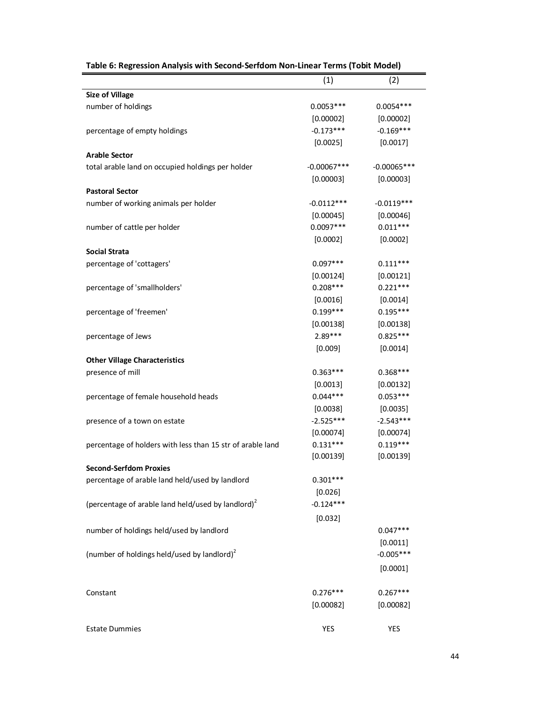|                                                                | (1)           | (2)           |
|----------------------------------------------------------------|---------------|---------------|
| <b>Size of Village</b>                                         |               |               |
| number of holdings                                             | $0.0053***$   | $0.0054***$   |
|                                                                | [0.00002]     | [0.00002]     |
| percentage of empty holdings                                   | $-0.173***$   | $-0.169***$   |
|                                                                | [0.0025]      | [0.0017]      |
| Arable Sector                                                  |               |               |
| total arable land on occupied holdings per holder              | $-0.00067***$ | $-0.00065***$ |
|                                                                | [0.00003]     | [0.00003]     |
| <b>Pastoral Sector</b>                                         |               |               |
| number of working animals per holder                           | $-0.0112***$  | $-0.0119***$  |
|                                                                | [0.00045]     | [0.00046]     |
| number of cattle per holder                                    | $0.0097***$   | $0.011***$    |
|                                                                | [0.0002]      | [0.0002]      |
| Social Strata                                                  |               |               |
| percentage of 'cottagers'                                      | $0.097***$    | $0.111***$    |
|                                                                | [0.00124]     | [0.00121]     |
| percentage of 'smallholders'                                   | $0.208***$    | $0.221***$    |
|                                                                | [0.0016]      | [0.0014]      |
| percentage of 'freemen'                                        | $0.199***$    | $0.195***$    |
|                                                                | [0.00138]     | [0.00138]     |
| percentage of Jews                                             | $2.89***$     | $0.825***$    |
|                                                                | [0.009]       | [0.0014]      |
| <b>Other Village Characteristics</b>                           |               |               |
| presence of mill                                               | $0.363***$    | $0.368***$    |
|                                                                | [0.0013]      | [0.00132]     |
| percentage of female household heads                           | $0.044***$    | $0.053***$    |
|                                                                | [0.0038]      | [0.0035]      |
| presence of a town on estate                                   | $-2.525***$   | $-2.543***$   |
|                                                                | [0.00074]     | [0.00074]     |
| percentage of holders with less than 15 str of arable land     | $0.131***$    | $0.119***$    |
|                                                                | [0.00139]     | [0.00139]     |
| <b>Second-Serfdom Proxies</b>                                  |               |               |
| percentage of arable land held/used by landlord                | $0.301***$    |               |
|                                                                | [0.026]       |               |
| (percentage of arable land held/used by landlord) <sup>2</sup> | $-0.124***$   |               |
|                                                                | [0.032]       |               |
| number of holdings held/used by landlord                       |               | $0.047***$    |
|                                                                |               | [0.0011]      |
| (number of holdings held/used by landlord) <sup>2</sup>        |               | $-0.005***$   |
|                                                                |               | [0.0001]      |
| Constant                                                       | $0.276***$    | $0.267***$    |
|                                                                | [0.00082]     | [0.00082]     |
|                                                                |               |               |
| <b>Estate Dummies</b>                                          | YES           | <b>YES</b>    |

| Table 6: Regression Analysis with Second-Serfdom Non-Linear Terms (Tobit Model) |  |
|---------------------------------------------------------------------------------|--|
|---------------------------------------------------------------------------------|--|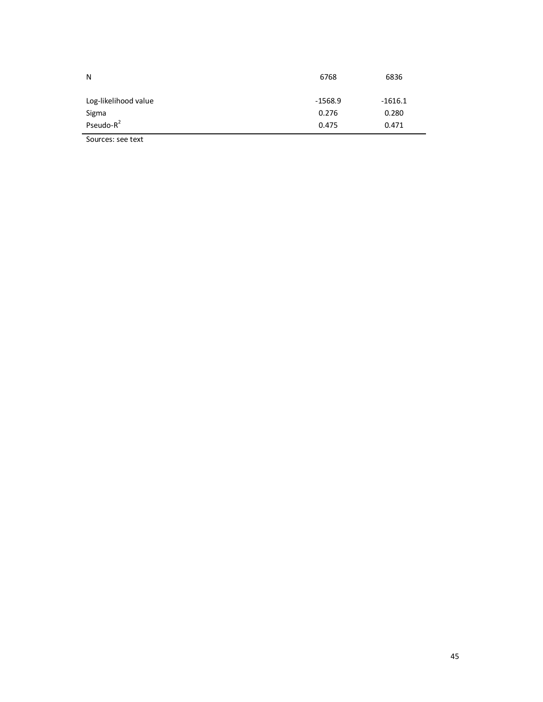| N                     | 6768      | 6836      |
|-----------------------|-----------|-----------|
| Log-likelihood value  | $-1568.9$ | $-1616.1$ |
| Sigma                 | 0.276     | 0.280     |
| Pseudo-R <sup>2</sup> | 0.475     | 0.471     |
| $\sim$<br>.           |           |           |

Sources: see text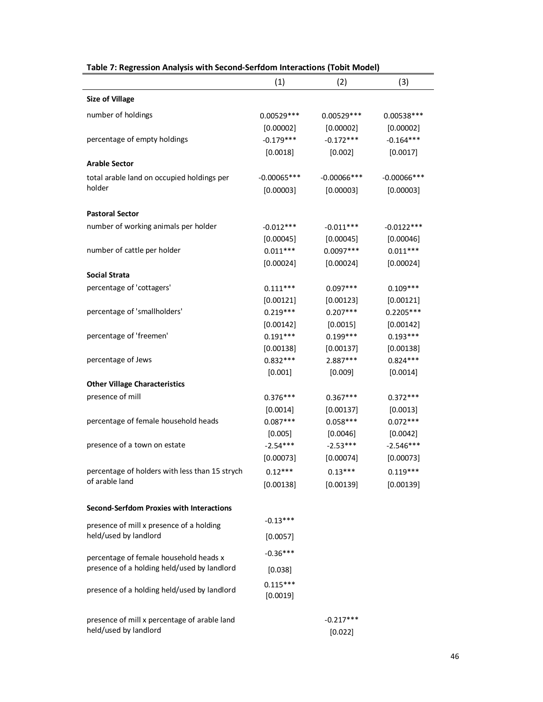|                                                | (1)                    | (2)            | (3)            |
|------------------------------------------------|------------------------|----------------|----------------|
| <b>Size of Village</b>                         |                        |                |                |
| number of holdings                             | $0.00529***$           | $0.00529***$   | $0.00538***$   |
|                                                | [0.00002]              | [0.00002]      | [0.00002]      |
| percentage of empty holdings                   | $-0.179***$            | $-0.172***$    | $-0.164***$    |
|                                                | [0.0018]               | [0.002]        | [0.0017]       |
| <b>Arable Sector</b>                           |                        |                |                |
| total arable land on occupied holdings per     | $-0.00065***$          | $-0.00066$ *** | $-0.00066$ *** |
| holder                                         | [0.00003]              | [0.00003]      | [0.00003]      |
| <b>Pastoral Sector</b>                         |                        |                |                |
| number of working animals per holder           | $-0.012***$            | $-0.011***$    | $-0.0122***$   |
|                                                | [0.00045]              | [0.00045]      | [0.00046]      |
| number of cattle per holder                    | $0.011***$             | $0.0097***$    | $0.011***$     |
|                                                | [0.00024]              | [0.00024]      | [0.00024]      |
| Social Strata                                  |                        |                |                |
| percentage of 'cottagers'                      | $0.111***$             | $0.097***$     | $0.109***$     |
|                                                | [0.00121]              | [0.00123]      | [0.00121]      |
| percentage of 'smallholders'                   | $0.219***$             | $0.207***$     | $0.2205***$    |
|                                                | [0.00142]              | [0.0015]       | [0.00142]      |
| percentage of 'freemen'                        | $0.191***$             | $0.199***$     | $0.193***$     |
|                                                | [0.00138]              | [0.00137]      | [0.00138]      |
| percentage of Jews                             | $0.832***$             | 2.887***       | $0.824***$     |
|                                                | [0.001]                | [0.009]        | [0.0014]       |
| <b>Other Village Characteristics</b>           |                        |                |                |
| presence of mill                               | $0.376***$             | $0.367***$     | $0.372***$     |
|                                                | [0.0014]               | [0.00137]      | [0.0013]       |
| percentage of female household heads           | $0.087***$             | $0.058***$     | $0.072***$     |
|                                                | [0.005]                | [0.0046]       | [0.0042]       |
| presence of a town on estate                   | $-2.54***$             | $-2.53***$     | $-2.546***$    |
|                                                | [0.00073]              | [0.00074]      | [0.00073]      |
| percentage of holders with less than 15 strych | $0.12***$              | $0.13***$      | $0.119***$     |
| of arable land                                 | [0.00138]              | [0.00139]      | [0.00139]      |
| Second-Serfdom Proxies with Interactions       |                        |                |                |
| presence of mill x presence of a holding       | $-0.13***$             |                |                |
| held/used by landlord                          | [0.0057]               |                |                |
| percentage of female household heads x         | $-0.36***$             |                |                |
| presence of a holding held/used by landlord    | [0.038]                |                |                |
| presence of a holding held/used by landlord    | $0.115***$<br>[0.0019] |                |                |
|                                                |                        |                |                |
| presence of mill x percentage of arable land   |                        | $-0.217***$    |                |
| held/used by landlord                          |                        | [0.022]        |                |

#### **Table 7: Regression Analysis with Second-Serfdom Interactions (Tobit Model)**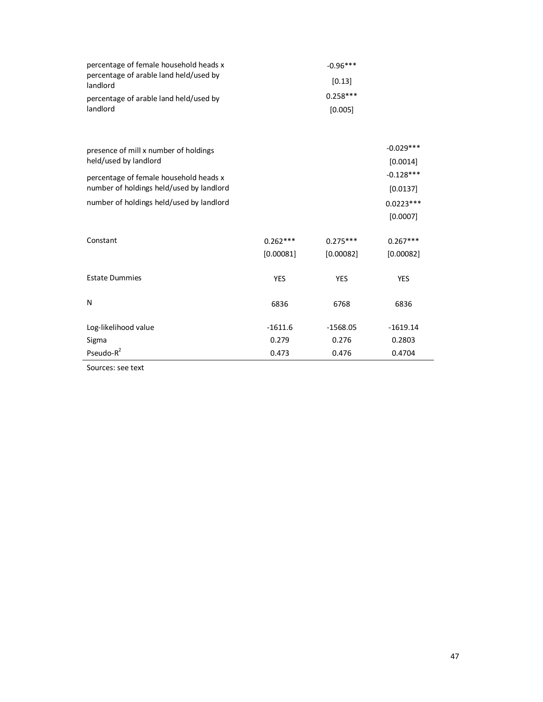| percentage of female household heads x<br>percentage of arable land held/used by<br>landlord<br>percentage of arable land held/used by<br>landlord |                             | $-0.96***$<br>[0.13]<br>$0.258***$<br>[0.005] |                                |
|----------------------------------------------------------------------------------------------------------------------------------------------------|-----------------------------|-----------------------------------------------|--------------------------------|
| presence of mill x number of holdings<br>held/used by landlord                                                                                     |                             |                                               | $-0.029***$<br>[0.0014]        |
| percentage of female household heads x<br>number of holdings held/used by landlord                                                                 |                             |                                               | $-0.128***$<br>[0.0137]        |
| number of holdings held/used by landlord                                                                                                           |                             |                                               | $0.0223***$<br>[0.0007]        |
| Constant                                                                                                                                           | $0.262***$<br>[0.00081]     | $0.275***$<br>[0.00082]                       | $0.267***$<br>[0.00082]        |
| <b>Estate Dummies</b>                                                                                                                              | <b>YES</b>                  | <b>YES</b>                                    | <b>YES</b>                     |
| N                                                                                                                                                  | 6836                        | 6768                                          | 6836                           |
| Log-likelihood value<br>Sigma<br>Pseudo-R <sup>2</sup>                                                                                             | $-1611.6$<br>0.279<br>0.473 | $-1568.05$<br>0.276<br>0.476                  | $-1619.14$<br>0.2803<br>0.4704 |

Sources: see text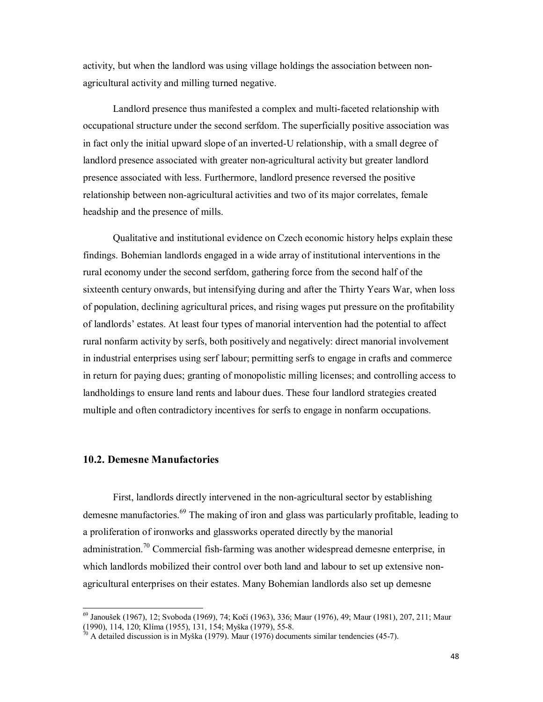activity, but when the landlord was using village holdings the association between nonagricultural activity and milling turned negative.

Landlord presence thus manifested a complex and multi-faceted relationship with occupational structure under the second serfdom. The superficially positive association was in fact only the initial upward slope of an inverted-U relationship, with a small degree of landlord presence associated with greater non-agricultural activity but greater landlord presence associated with less. Furthermore, landlord presence reversed the positive relationship between non-agricultural activities and two of its major correlates, female headship and the presence of mills.

Qualitative and institutional evidence on Czech economic history helps explain these findings. Bohemian landlords engaged in a wide array of institutional interventions in the rural economy under the second serfdom, gathering force from the second half of the sixteenth century onwards, but intensifying during and after the Thirty Years War, when loss of population, declining agricultural prices, and rising wages put pressure on the profitability of landlords' estates. At least four types of manorial intervention had the potential to affect rural nonfarm activity by serfs, both positively and negatively: direct manorial involvement in industrial enterprises using serf labour; permitting serfs to engage in crafts and commerce in return for paying dues; granting of monopolistic milling licenses; and controlling access to landholdings to ensure land rents and labour dues. These four landlord strategies created multiple and often contradictory incentives for serfs to engage in nonfarm occupations.

#### **10.2. Demesne Manufactories**

First, landlords directly intervened in the non-agricultural sector by establishing demesne manufactories.<sup>69</sup> The making of iron and glass was particularly profitable, leading to a proliferation of ironworks and glassworks operated directly by the manorial administration.<sup>70</sup> Commercial fish-farming was another widespread demesne enterprise, in which landlords mobilized their control over both land and labour to set up extensive nonagricultural enterprises on their estates. Many Bohemian landlords also set up demesne

<sup>&</sup>lt;sup>69</sup> Janoušek (1967), 12; Svoboda (1969), 74; Kočí (1963), 336; Maur (1976), 49; Maur (1981), 207, 211; Maur (1990), 114, 120; Klíma (1955), 131, 154; Myška (1979), 55-8.

 $\hat{a}^{0}$  A detailed discussion is in Myška (1979). Maur (1976) documents similar tendencies (45-7).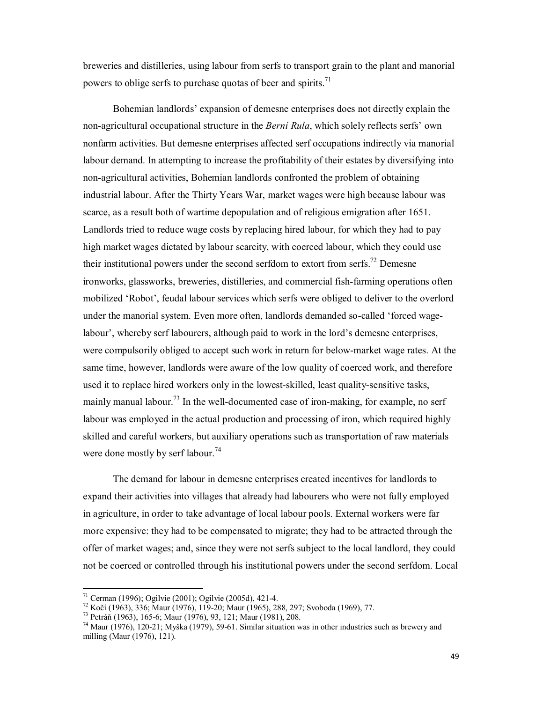breweries and distilleries, using labour from serfs to transport grain to the plant and manorial powers to oblige serfs to purchase quotas of beer and spirits.<sup>71</sup>

Bohemian landlords' expansion of demesne enterprises does not directly explain the non-agricultural occupational structure in the *Berní Rula*, which solely reflects serfs' own nonfarm activities. But demesne enterprises affected serf occupations indirectly via manorial labour demand. In attempting to increase the profitability of their estates by diversifying into non-agricultural activities, Bohemian landlords confronted the problem of obtaining industrial labour. After the Thirty Years War, market wages were high because labour was scarce, as a result both of wartime depopulation and of religious emigration after 1651. Landlords tried to reduce wage costs by replacing hired labour, for which they had to pay high market wages dictated by labour scarcity, with coerced labour, which they could use their institutional powers under the second serfdom to extort from serfs.<sup>72</sup> Demesne ironworks, glassworks, breweries, distilleries, and commercial fish-farming operations often mobilized 'Robot', feudal labour services which serfs were obliged to deliver to the overlord under the manorial system. Even more often, landlords demanded so-called 'forced wagelabour', whereby serf labourers, although paid to work in the lord's demesne enterprises, were compulsorily obliged to accept such work in return for below-market wage rates. At the same time, however, landlords were aware of the low quality of coerced work, and therefore used it to replace hired workers only in the lowest-skilled, least quality-sensitive tasks, mainly manual labour.<sup>73</sup> In the well-documented case of iron-making, for example, no serf labour was employed in the actual production and processing of iron, which required highly skilled and careful workers, but auxiliary operations such as transportation of raw materials were done mostly by serf labour.<sup>74</sup>

The demand for labour in demesne enterprises created incentives for landlords to expand their activities into villages that already had labourers who were not fully employed in agriculture, in order to take advantage of local labour pools. External workers were far more expensive: they had to be compensated to migrate; they had to be attracted through the offer of market wages; and, since they were not serfs subject to the local landlord, they could not be coerced or controlled through his institutional powers under the second serfdom. Local

<sup>&</sup>lt;sup>71</sup> Cerman (1996); Ogilvie (2001); Ogilvie (2005d), 421-4.<br><sup>72</sup> Kočí (1963), 336; Maur (1976), 119-20; Maur (1965), 288, 297; Svoboda (1969), 77.<br><sup>73</sup> Petráň (1963), 165-6; Maur (1976), 93, 121; Maur (1981), 208.<br><sup>74</sup> Ma milling (Maur (1976), 121).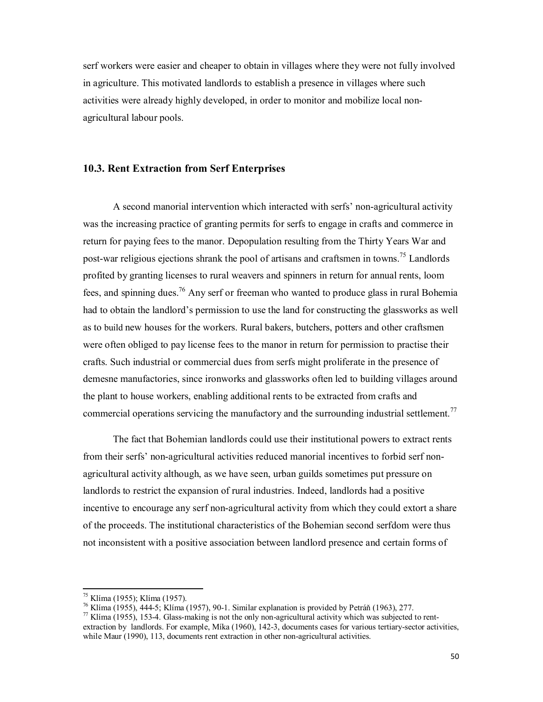serf workers were easier and cheaper to obtain in villages where they were not fully involved in agriculture. This motivated landlords to establish a presence in villages where such activities were already highly developed, in order to monitor and mobilize local nonagricultural labour pools.

#### **10.3. Rent Extraction from Serf Enterprises**

A second manorial intervention which interacted with serfs' non-agricultural activity was the increasing practice of granting permits for serfs to engage in crafts and commerce in return for paying fees to the manor. Depopulation resulting from the Thirty Years War and post-war religious ejections shrank the pool of artisans and craftsmen in towns.<sup>75</sup> Landlords profited by granting licenses to rural weavers and spinners in return for annual rents, loom fees, and spinning dues.<sup>76</sup> Any serf or freeman who wanted to produce glass in rural Bohemia had to obtain the landlord's permission to use the land for constructing the glassworks as well as to build new houses for the workers. Rural bakers, butchers, potters and other craftsmen were often obliged to pay license fees to the manor in return for permission to practise their crafts. Such industrial or commercial dues from serfs might proliferate in the presence of demesne manufactories, since ironworks and glassworks often led to building villages around the plant to house workers, enabling additional rents to be extracted from crafts and commercial operations servicing the manufactory and the surrounding industrial settlement.<sup>77</sup>

The fact that Bohemian landlords could use their institutional powers to extract rents from their serfs' non-agricultural activities reduced manorial incentives to forbid serf nonagricultural activity although, as we have seen, urban guilds sometimes put pressure on landlords to restrict the expansion of rural industries. Indeed, landlords had a positive incentive to encourage any serf non-agricultural activity from which they could extort a share of the proceeds. The institutional characteristics of the Bohemian second serfdom were thus not inconsistent with a positive association between landlord presence and certain forms of

<sup>&</sup>lt;sup>75</sup> Klíma (1955); Klíma (1957).<br><sup>76</sup> Klíma (1955), 444-5; Klíma (1957), 90-1. Similar explanation is provided by Petráň (1963), 277.<br><sup>77</sup> Klíma (1955), 153-4. Glass-making is not the only non-agricultural activity which

extraction by landlords. For example, Míka (1960), 142-3, documents cases for various tertiary-sector activities, while Maur (1990), 113, documents rent extraction in other non-agricultural activities.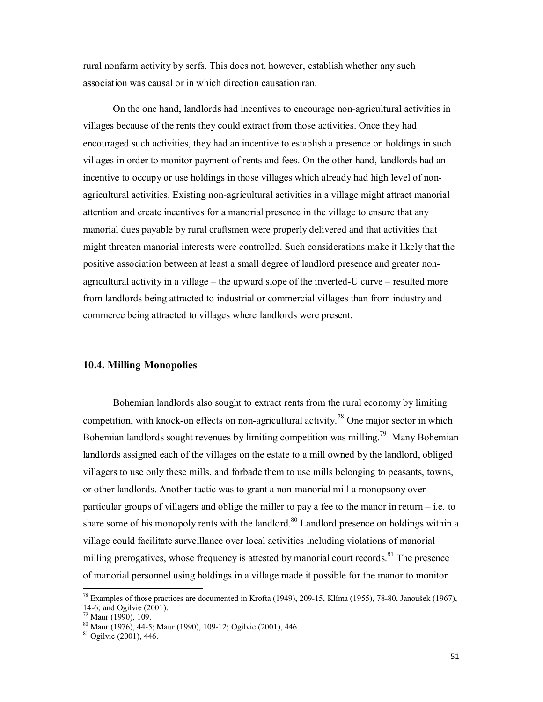rural nonfarm activity by serfs. This does not, however, establish whether any such association was causal or in which direction causation ran.

On the one hand, landlords had incentives to encourage non-agricultural activities in villages because of the rents they could extract from those activities. Once they had encouraged such activities, they had an incentive to establish a presence on holdings in such villages in order to monitor payment of rents and fees. On the other hand, landlords had an incentive to occupy or use holdings in those villages which already had high level of nonagricultural activities. Existing non-agricultural activities in a village might attract manorial attention and create incentives for a manorial presence in the village to ensure that any manorial dues payable by rural craftsmen were properly delivered and that activities that might threaten manorial interests were controlled. Such considerations make it likely that the positive association between at least a small degree of landlord presence and greater nonagricultural activity in a village – the upward slope of the inverted-U curve – resulted more from landlords being attracted to industrial or commercial villages than from industry and commerce being attracted to villages where landlords were present.

#### **10.4. Milling Monopolies**

Bohemian landlords also sought to extract rents from the rural economy by limiting competition, with knock-on effects on non-agricultural activity.<sup>78</sup> One major sector in which Bohemian landlords sought revenues by limiting competition was milling.<sup>79</sup> Many Bohemian landlords assigned each of the villages on the estate to a mill owned by the landlord, obliged villagers to use only these mills, and forbade them to use mills belonging to peasants, towns, or other landlords. Another tactic was to grant a non-manorial mill a monopsony over particular groups of villagers and oblige the miller to pay a fee to the manor in return – i.e. to share some of his monopoly rents with the landlord.<sup>80</sup> Landlord presence on holdings within a village could facilitate surveillance over local activities including violations of manorial milling prerogatives, whose frequency is attested by manorial court records.<sup>81</sup> The presence of manorial personnel using holdings in a village made it possible for the manor to monitor

<sup>&</sup>lt;sup>78</sup> Examples of those practices are documented in Krofta (1949), 209-15, Klíma (1955), 78-80, Janoušek (1967), 14-6; and Ogilvie (2001).

<sup>&</sup>lt;sup>79</sup> Maur (1990), 109.<br><sup>80</sup> Maur (1976), 44-5; Maur (1990), 109-12; Ogilvie (2001), 446.<br><sup>81</sup> Ogilvie (2001), 446.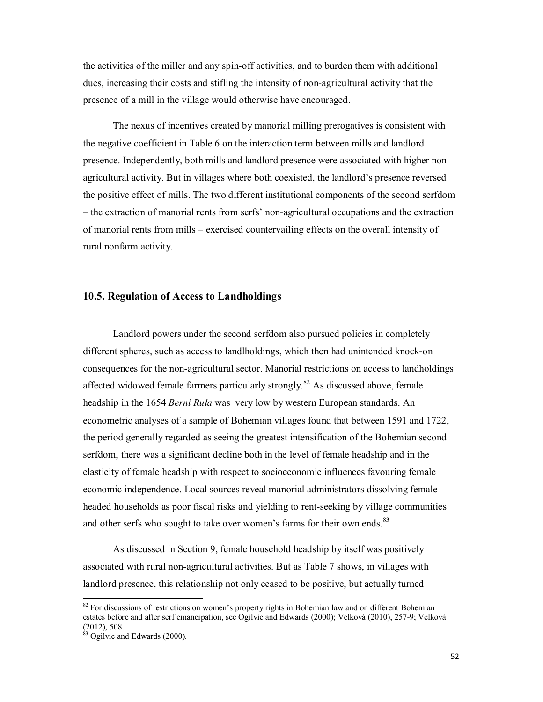the activities of the miller and any spin-off activities, and to burden them with additional dues, increasing their costs and stifling the intensity of non-agricultural activity that the presence of a mill in the village would otherwise have encouraged.

The nexus of incentives created by manorial milling prerogatives is consistent with the negative coefficient in Table 6 on the interaction term between mills and landlord presence. Independently, both mills and landlord presence were associated with higher nonagricultural activity. But in villages where both coexisted, the landlord's presence reversed the positive effect of mills. The two different institutional components of the second serfdom – the extraction of manorial rents from serfs' non-agricultural occupations and the extraction of manorial rents from mills – exercised countervailing effects on the overall intensity of rural nonfarm activity.

#### **10.5. Regulation of Access to Landholdings**

Landlord powers under the second serfdom also pursued policies in completely different spheres, such as access to landlholdings, which then had unintended knock-on consequences for the non-agricultural sector. Manorial restrictions on access to landholdings affected widowed female farmers particularly strongly.<sup>82</sup> As discussed above, female headship in the 1654 *Berní Rula* was very low by western European standards. An econometric analyses of a sample of Bohemian villages found that between 1591 and 1722, the period generally regarded as seeing the greatest intensification of the Bohemian second serfdom, there was a significant decline both in the level of female headship and in the elasticity of female headship with respect to socioeconomic influences favouring female economic independence. Local sources reveal manorial administrators dissolving femaleheaded households as poor fiscal risks and yielding to rent-seeking by village communities and other serfs who sought to take over women's farms for their own ends.<sup>83</sup>

As discussed in Section 9, female household headship by itself was positively associated with rural non-agricultural activities. But as Table 7 shows, in villages with landlord presence, this relationship not only ceased to be positive, but actually turned

 $82$  For discussions of restrictions on women's property rights in Bohemian law and on different Bohemian estates before and after serf emancipation, see Ogilvie and Edwards (2000); Velková (2010), 257-9; Velková (2012), 508.

 $\frac{\dot{x}3}{9}$  Ogilvie and Edwards (2000).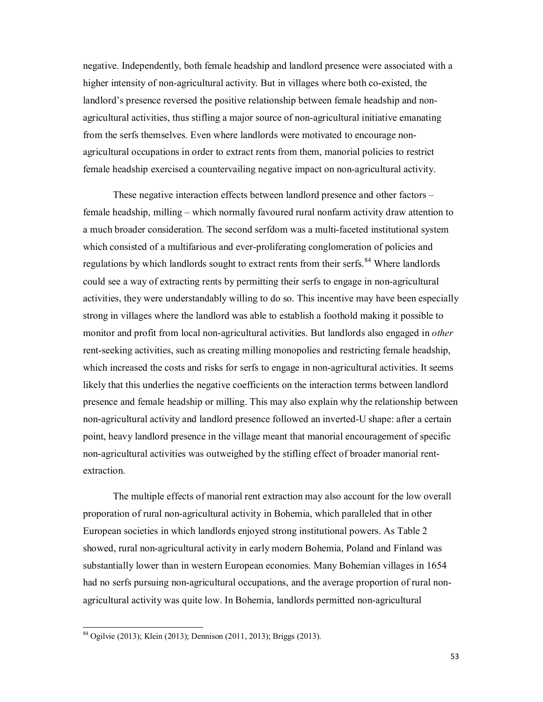negative. Independently, both female headship and landlord presence were associated with a higher intensity of non-agricultural activity. But in villages where both co-existed, the landlord's presence reversed the positive relationship between female headship and nonagricultural activities, thus stifling a major source of non-agricultural initiative emanating from the serfs themselves. Even where landlords were motivated to encourage nonagricultural occupations in order to extract rents from them, manorial policies to restrict female headship exercised a countervailing negative impact on non-agricultural activity.

These negative interaction effects between landlord presence and other factors – female headship, milling – which normally favoured rural nonfarm activity draw attention to a much broader consideration. The second serfdom was a multi-faceted institutional system which consisted of a multifarious and ever-proliferating conglomeration of policies and regulations by which landlords sought to extract rents from their serfs.<sup>84</sup> Where landlords could see a way of extracting rents by permitting their serfs to engage in non-agricultural activities, they were understandably willing to do so. This incentive may have been especially strong in villages where the landlord was able to establish a foothold making it possible to monitor and profit from local non-agricultural activities. But landlords also engaged in *other* rent-seeking activities, such as creating milling monopolies and restricting female headship, which increased the costs and risks for serfs to engage in non-agricultural activities. It seems likely that this underlies the negative coefficients on the interaction terms between landlord presence and female headship or milling. This may also explain why the relationship between non-agricultural activity and landlord presence followed an inverted-U shape: after a certain point, heavy landlord presence in the village meant that manorial encouragement of specific non-agricultural activities was outweighed by the stifling effect of broader manorial rentextraction.

The multiple effects of manorial rent extraction may also account for the low overall proporation of rural non-agricultural activity in Bohemia, which paralleled that in other European societies in which landlords enjoyed strong institutional powers. As Table 2 showed, rural non-agricultural activity in early modern Bohemia, Poland and Finland was substantially lower than in western European economies. Many Bohemian villages in 1654 had no serfs pursuing non-agricultural occupations, and the average proportion of rural nonagricultural activity was quite low. In Bohemia, landlords permitted non-agricultural

<sup>84</sup> Ogilvie (2013); Klein (2013); Dennison (2011, 2013); Briggs (2013).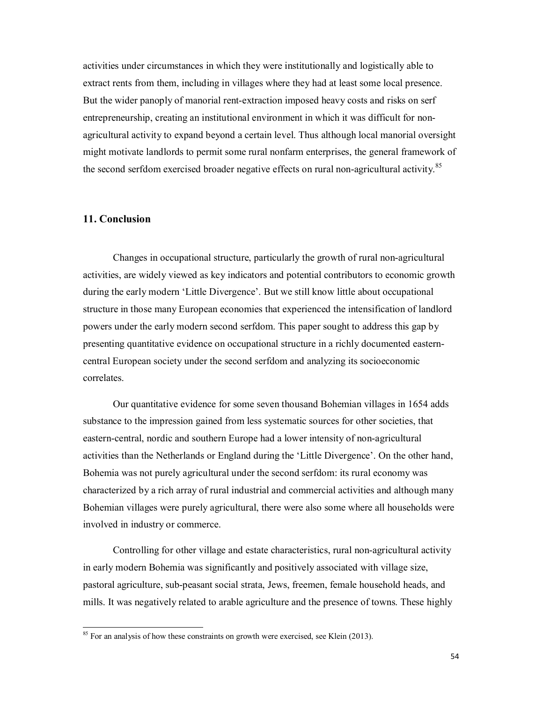activities under circumstances in which they were institutionally and logistically able to extract rents from them, including in villages where they had at least some local presence. But the wider panoply of manorial rent-extraction imposed heavy costs and risks on serf entrepreneurship, creating an institutional environment in which it was difficult for nonagricultural activity to expand beyond a certain level. Thus although local manorial oversight might motivate landlords to permit some rural nonfarm enterprises, the general framework of the second serfdom exercised broader negative effects on rural non-agricultural activity.<sup>85</sup>

#### **11. Conclusion**

Changes in occupational structure, particularly the growth of rural non-agricultural activities, are widely viewed as key indicators and potential contributors to economic growth during the early modern 'Little Divergence'. But we still know little about occupational structure in those many European economies that experienced the intensification of landlord powers under the early modern second serfdom. This paper sought to address this gap by presenting quantitative evidence on occupational structure in a richly documented easterncentral European society under the second serfdom and analyzing its socioeconomic correlates.

Our quantitative evidence for some seven thousand Bohemian villages in 1654 adds substance to the impression gained from less systematic sources for other societies, that eastern-central, nordic and southern Europe had a lower intensity of non-agricultural activities than the Netherlands or England during the 'Little Divergence'. On the other hand, Bohemia was not purely agricultural under the second serfdom: its rural economy was characterized by a rich array of rural industrial and commercial activities and although many Bohemian villages were purely agricultural, there were also some where all households were involved in industry or commerce.

Controlling for other village and estate characteristics, rural non-agricultural activity in early modern Bohemia was significantly and positively associated with village size, pastoral agriculture, sub-peasant social strata, Jews, freemen, female household heads, and mills. It was negatively related to arable agriculture and the presence of towns. These highly

 $85$  For an analysis of how these constraints on growth were exercised, see Klein (2013).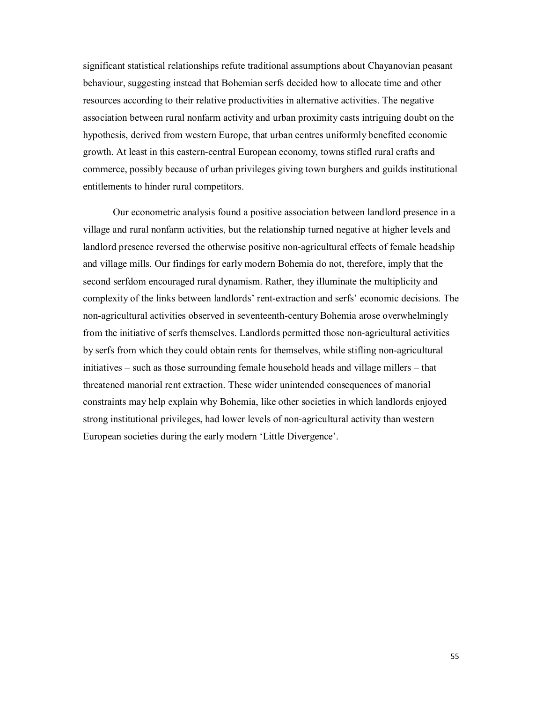significant statistical relationships refute traditional assumptions about Chayanovian peasant behaviour, suggesting instead that Bohemian serfs decided how to allocate time and other resources according to their relative productivities in alternative activities. The negative association between rural nonfarm activity and urban proximity casts intriguing doubt on the hypothesis, derived from western Europe, that urban centres uniformly benefited economic growth. At least in this eastern-central European economy, towns stifled rural crafts and commerce, possibly because of urban privileges giving town burghers and guilds institutional entitlements to hinder rural competitors.

Our econometric analysis found a positive association between landlord presence in a village and rural nonfarm activities, but the relationship turned negative at higher levels and landlord presence reversed the otherwise positive non-agricultural effects of female headship and village mills. Our findings for early modern Bohemia do not, therefore, imply that the second serfdom encouraged rural dynamism. Rather, they illuminate the multiplicity and complexity of the links between landlords' rent-extraction and serfs' economic decisions. The non-agricultural activities observed in seventeenth-century Bohemia arose overwhelmingly from the initiative of serfs themselves. Landlords permitted those non-agricultural activities by serfs from which they could obtain rents for themselves, while stifling non-agricultural initiatives – such as those surrounding female household heads and village millers – that threatened manorial rent extraction. These wider unintended consequences of manorial constraints may help explain why Bohemia, like other societies in which landlords enjoyed strong institutional privileges, had lower levels of non-agricultural activity than western European societies during the early modern 'Little Divergence'.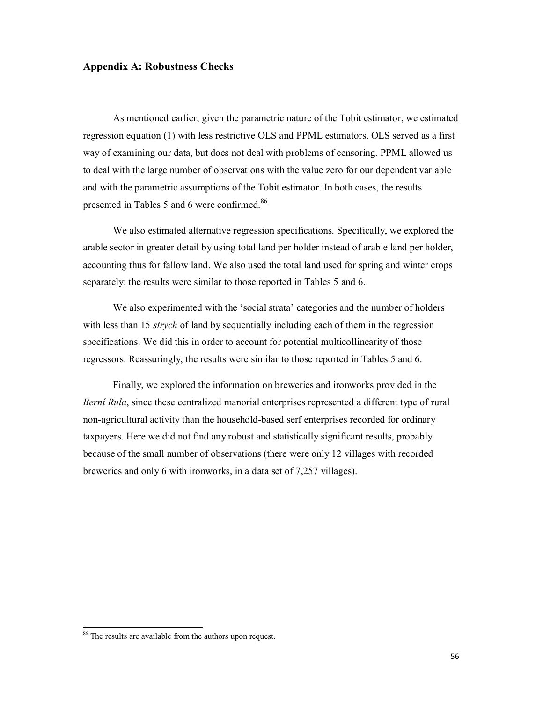#### **Appendix A: Robustness Checks**

As mentioned earlier, given the parametric nature of the Tobit estimator, we estimated regression equation (1) with less restrictive OLS and PPML estimators. OLS served as a first way of examining our data, but does not deal with problems of censoring. PPML allowed us to deal with the large number of observations with the value zero for our dependent variable and with the parametric assumptions of the Tobit estimator. In both cases, the results presented in Tables 5 and 6 were confirmed.<sup>86</sup>

We also estimated alternative regression specifications. Specifically, we explored the arable sector in greater detail by using total land per holder instead of arable land per holder, accounting thus for fallow land. We also used the total land used for spring and winter crops separately: the results were similar to those reported in Tables 5 and 6.

We also experimented with the 'social strata' categories and the number of holders with less than 15 *strych* of land by sequentially including each of them in the regression specifications. We did this in order to account for potential multicollinearity of those regressors. Reassuringly, the results were similar to those reported in Tables 5 and 6.

Finally, we explored the information on breweries and ironworks provided in the *Berní Rula*, since these centralized manorial enterprises represented a different type of rural non-agricultural activity than the household-based serf enterprises recorded for ordinary taxpayers. Here we did not find any robust and statistically significant results, probably because of the small number of observations (there were only 12 villages with recorded breweries and only 6 with ironworks, in a data set of 7,257 villages).

<sup>86</sup> The results are available from the authors upon request.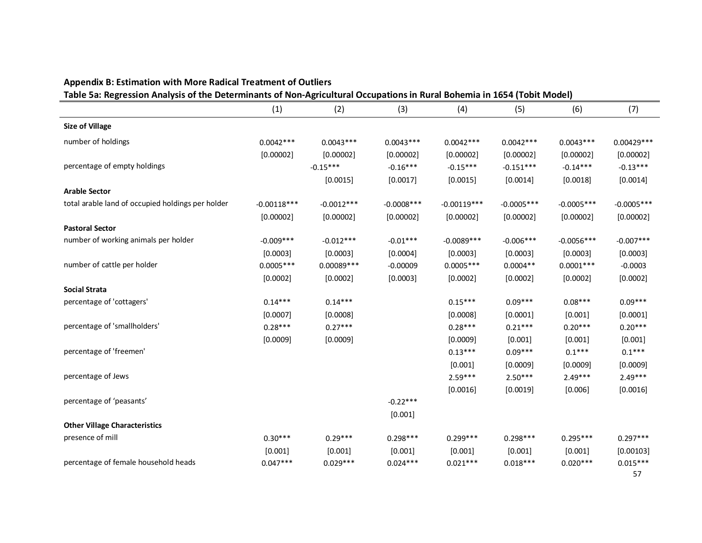| Table 5a: Regression Analysis of the Determinants of Non-Agricultural Occupations in Rural Bohemia in 1654 (Tobit Model) |               |              |               |               |               |               |              |  |  |
|--------------------------------------------------------------------------------------------------------------------------|---------------|--------------|---------------|---------------|---------------|---------------|--------------|--|--|
|                                                                                                                          | (1)           | (2)          | (3)           | (4)           | (5)           | (6)           | (7)          |  |  |
| <b>Size of Village</b>                                                                                                   |               |              |               |               |               |               |              |  |  |
| number of holdings                                                                                                       | $0.0042***$   | $0.0043***$  | $0.0043***$   | $0.0042***$   | $0.0042***$   | $0.0043***$   | $0.00429***$ |  |  |
|                                                                                                                          | [0.00002]     | [0.00002]    | [0.00002]     | [0.00002]     | [0.00002]     | [0.00002]     | [0.00002]    |  |  |
| percentage of empty holdings                                                                                             |               | $-0.15***$   | $-0.16***$    | $-0.15***$    | $-0.151***$   | $-0.14***$    | $-0.13***$   |  |  |
|                                                                                                                          |               | [0.0015]     | [0.0017]      | [0.0015]      | [0.0014]      | [0.0018]      | [0.0014]     |  |  |
| <b>Arable Sector</b>                                                                                                     |               |              |               |               |               |               |              |  |  |
| total arable land of occupied holdings per holder                                                                        | $-0.00118***$ | $-0.0012***$ | $-0.0008$ *** | $-0.00119***$ | $-0.0005$ *** | $-0.0005$ *** | $-0.0005***$ |  |  |
|                                                                                                                          | [0.00002]     | [0.00002]    | [0.00002]     | [0.00002]     | [0.00002]     | [0.00002]     | [0.00002]    |  |  |
| <b>Pastoral Sector</b>                                                                                                   |               |              |               |               |               |               |              |  |  |
| number of working animals per holder                                                                                     | $-0.009***$   | $-0.012***$  | $-0.01***$    | $-0.0089***$  | $-0.006***$   | $-0.0056***$  | $-0.007***$  |  |  |
|                                                                                                                          | [0.0003]      | [0.0003]     | [0.0004]      | [0.0003]      | [0.0003]      | [0.0003]      | [0.0003]     |  |  |
| number of cattle per holder                                                                                              | $0.0005***$   | $0.00089***$ | $-0.00009$    | $0.0005***$   | $0.0004**$    | $0.0001***$   | $-0.0003$    |  |  |
|                                                                                                                          | [0.0002]      | [0.0002]     | [0.0003]      | [0.0002]      | [0.0002]      | [0.0002]      | [0.0002]     |  |  |
| <b>Social Strata</b>                                                                                                     |               |              |               |               |               |               |              |  |  |
| percentage of 'cottagers'                                                                                                | $0.14***$     | $0.14***$    |               | $0.15***$     | $0.09***$     | $0.08***$     | $0.09***$    |  |  |
|                                                                                                                          | [0.0007]      | [0.0008]     |               | [0.0008]      | [0.0001]      | [0.001]       | [0.0001]     |  |  |
| percentage of 'smallholders'                                                                                             | $0.28***$     | $0.27***$    |               | $0.28***$     | $0.21***$     | $0.20***$     | $0.20***$    |  |  |
|                                                                                                                          | [0.0009]      | [0.0009]     |               | [0.0009]      | [0.001]       | [0.001]       | [0.001]      |  |  |
| percentage of 'freemen'                                                                                                  |               |              |               | $0.13***$     | $0.09***$     | $0.1***$      | $0.1***$     |  |  |
|                                                                                                                          |               |              |               | [0.001]       | [0.0009]      | [0.0009]      | [0.0009]     |  |  |
| percentage of Jews                                                                                                       |               |              |               | $2.59***$     | $2.50***$     | $2.49***$     | 2.49***      |  |  |
|                                                                                                                          |               |              |               | [0.0016]      | [0.0019]      | [0.006]       | [0.0016]     |  |  |
| percentage of 'peasants'                                                                                                 |               |              | $-0.22***$    |               |               |               |              |  |  |
|                                                                                                                          |               |              | [0.001]       |               |               |               |              |  |  |
| <b>Other Village Characteristics</b>                                                                                     |               |              |               |               |               |               |              |  |  |
| presence of mill                                                                                                         | $0.30***$     | $0.29***$    | $0.298***$    | $0.299***$    | $0.298***$    | $0.295***$    | $0.297***$   |  |  |
|                                                                                                                          | [0.001]       | [0.001]      | [0.001]       | [0.001]       | [0.001]       | [0.001]       | [0.00103]    |  |  |
| percentage of female household heads                                                                                     | $0.047***$    | $0.029***$   | $0.024***$    | $0.021***$    | $0.018***$    | $0.020***$    | $0.015***$   |  |  |
|                                                                                                                          |               |              |               |               |               |               | 57           |  |  |

### **Appendix B: Estimation with More Radical Treatment of Outliers**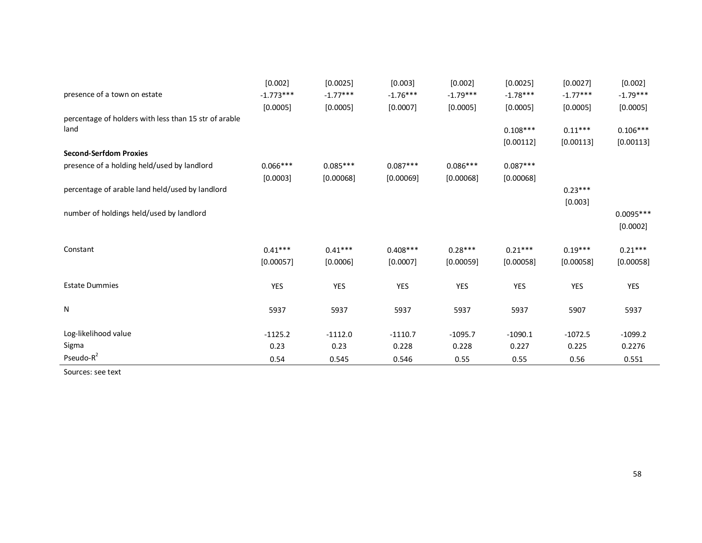|                                                       | [0.002]     | [0.0025]   | [0.003]    | [0.002]    | [0.0025]   | [0.0027]   | [0.002]     |
|-------------------------------------------------------|-------------|------------|------------|------------|------------|------------|-------------|
| presence of a town on estate                          | $-1.773***$ | $-1.77***$ | $-1.76***$ | $-1.79***$ | $-1.78***$ | $-1.77***$ | $-1.79***$  |
|                                                       | [0.0005]    | [0.0005]   | [0.0007]   | [0.0005]   | [0.0005]   | [0.0005]   | [0.0005]    |
| percentage of holders with less than 15 str of arable |             |            |            |            |            |            |             |
| land                                                  |             |            |            |            | $0.108***$ | $0.11***$  | $0.106***$  |
|                                                       |             |            |            |            | [0.00112]  | [0.00113]  | [0.00113]   |
| <b>Second-Serfdom Proxies</b>                         |             |            |            |            |            |            |             |
| presence of a holding held/used by landlord           | $0.066***$  | $0.085***$ | $0.087***$ | $0.086***$ | $0.087***$ |            |             |
|                                                       | [0.0003]    | [0.00068]  | [0.00069]  | [0.00068]  | [0.00068]  |            |             |
| percentage of arable land held/used by landlord       |             |            |            |            |            | $0.23***$  |             |
|                                                       |             |            |            |            |            | [0.003]    |             |
| number of holdings held/used by landlord              |             |            |            |            |            |            | $0.0095***$ |
|                                                       |             |            |            |            |            |            | [0.0002]    |
|                                                       |             |            |            |            |            |            |             |
| Constant                                              | $0.41***$   | $0.41***$  | $0.408***$ | $0.28***$  | $0.21***$  | $0.19***$  | $0.21***$   |
|                                                       | [0.00057]   | [0.0006]   | [0.0007]   | [0.00059]  | [0.00058]  | [0.00058]  | [0.00058]   |
| <b>Estate Dummies</b>                                 | <b>YES</b>  | <b>YES</b> | <b>YES</b> | <b>YES</b> | <b>YES</b> | YES        | <b>YES</b>  |
|                                                       |             |            |            |            |            |            |             |
| N                                                     | 5937        | 5937       | 5937       | 5937       | 5937       | 5907       | 5937        |
|                                                       |             |            |            |            |            |            |             |
| Log-likelihood value                                  | $-1125.2$   | $-1112.0$  | $-1110.7$  | $-1095.7$  | $-1090.1$  | $-1072.5$  | $-1099.2$   |
| Sigma                                                 | 0.23        | 0.23       | 0.228      | 0.228      | 0.227      | 0.225      | 0.2276      |
| Pseudo- $R^2$                                         | 0.54        | 0.545      | 0.546      | 0.55       | 0.55       | 0.56       | 0.551       |

Sources: see text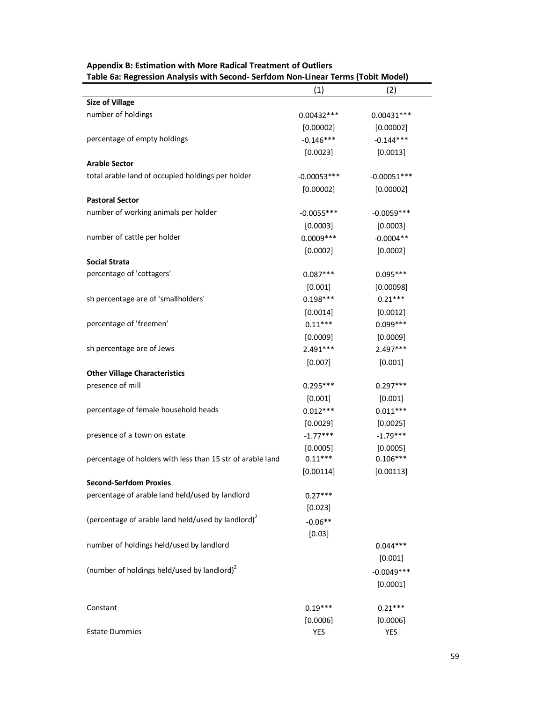| rabie oa. Kegression Anarysis with second-seriuoni ivon-Linear Ternis (Tobit Model) |               |               |
|-------------------------------------------------------------------------------------|---------------|---------------|
|                                                                                     | (1)           | (2)           |
| <b>Size of Village</b>                                                              |               |               |
| number of holdings                                                                  | $0.00432***$  | $0.00431***$  |
|                                                                                     | [0.00002]     | [0.00002]     |
| percentage of empty holdings                                                        | $-0.146***$   | $-0.144***$   |
|                                                                                     | [0.0023]      | [0.0013]      |
| Arable Sector                                                                       |               |               |
| total arable land of occupied holdings per holder                                   | $-0.00053***$ | $-0.00051***$ |
|                                                                                     | [0.00002]     | [0.00002]     |
| <b>Pastoral Sector</b>                                                              |               |               |
| number of working animals per holder                                                | $-0.0055***$  | $-0.0059***$  |
|                                                                                     | [0.0003]      | [0.0003]      |
| number of cattle per holder                                                         | $0.0009***$   | $-0.0004**$   |
|                                                                                     | [0.0002]      | [0.0002]      |
| <b>Social Strata</b>                                                                |               |               |
| percentage of 'cottagers'                                                           | $0.087***$    | $0.095***$    |
|                                                                                     | [0.001]       | [0.00098]     |
| sh percentage are of 'smallholders'                                                 | $0.198***$    | $0.21***$     |
|                                                                                     | [0.0014]      | [0.0012]      |
| percentage of 'freemen'                                                             | $0.11***$     | $0.099***$    |
|                                                                                     | [0.0009]      | [0.0009]      |
| sh percentage are of Jews                                                           | $2.491***$    | $2.497***$    |
|                                                                                     | [0.007]       | [0.001]       |
| <b>Other Village Characteristics</b>                                                |               |               |
| presence of mill                                                                    | $0.295***$    | $0.297***$    |
|                                                                                     | [0.001]       | [0.001]       |
| percentage of female household heads                                                | $0.012***$    | $0.011***$    |
|                                                                                     | [0.0029]      | [0.0025]      |
| presence of a town on estate                                                        | $-1.77***$    | $-1.79***$    |
|                                                                                     | [0.0005]      | [0.0005]      |
| percentage of holders with less than 15 str of arable land                          | $0.11***$     | $0.106***$    |
|                                                                                     | [0.00114]     | [0.00113]     |
| <b>Second-Serfdom Proxies</b>                                                       |               |               |
| percentage of arable land held/used by landlord                                     | $0.27***$     |               |
|                                                                                     | [0.023]       |               |
| (percentage of arable land held/used by landlord) <sup>2</sup>                      | $-0.06**$     |               |
|                                                                                     |               |               |
| number of holdings held/used by landlord                                            | [0.03]        | $0.044***$    |
|                                                                                     |               |               |
|                                                                                     |               | [0.001]       |
| (number of holdings held/used by landlord) <sup>2</sup>                             |               | $-0.0049***$  |
|                                                                                     |               | [0.0001]      |
| Constant                                                                            | $0.19***$     | $0.21***$     |
|                                                                                     | [0.0006]      | [0.0006]      |
| <b>Estate Dummies</b>                                                               | <b>YES</b>    | <b>YES</b>    |
|                                                                                     |               |               |

#### **Appendix B: Estimation with More Radical Treatment of Outliers Table 6a: Regression Analysis with Second- Serfdom Non-Linear Terms (Tobit Model)**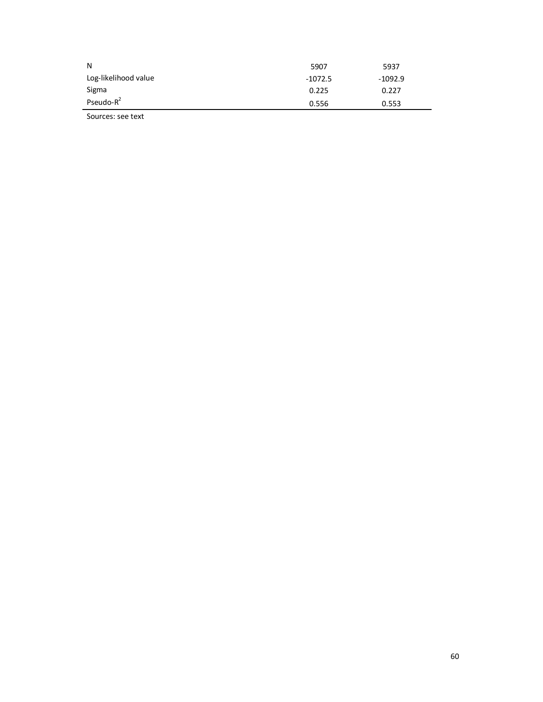| N                    | 5907      | 5937      |
|----------------------|-----------|-----------|
| Log-likelihood value | $-1072.5$ | $-1092.9$ |
| Sigma                | 0.225     | 0.227     |
| Pseudo- $R^2$        | 0.556     | 0.553     |

Sources: see text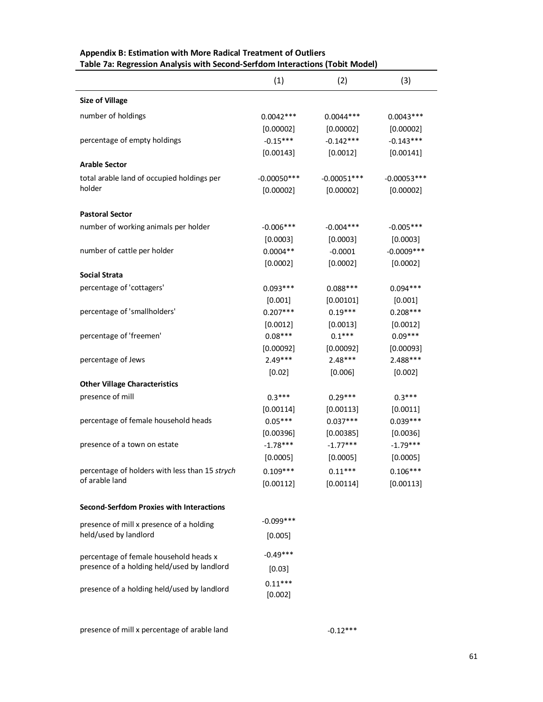|                                                 | (1)           | (2)           | (3)           |
|-------------------------------------------------|---------------|---------------|---------------|
| <b>Size of Village</b>                          |               |               |               |
| number of holdings                              | $0.0042***$   | $0.0044***$   | $0.0043***$   |
|                                                 | [0.00002]     | [0.00002]     | [0.00002]     |
| percentage of empty holdings                    | $-0.15***$    | $-0.142***$   | $-0.143***$   |
|                                                 | [0.00143]     | [0.0012]      | [0.00141]     |
| <b>Arable Sector</b>                            |               |               |               |
| total arable land of occupied holdings per      | $-0.00050***$ | $-0.00051***$ | $-0.00053***$ |
| holder                                          | [0.00002]     | [0.00002]     | [0.00002]     |
| <b>Pastoral Sector</b>                          |               |               |               |
| number of working animals per holder            | $-0.006***$   | $-0.004***$   | $-0.005***$   |
|                                                 | [0.0003]      | [0.0003]      | [0.0003]      |
| number of cattle per holder                     | $0.0004**$    | $-0.0001$     | $-0.0009$ *** |
|                                                 | [0.0002]      | [0.0002]      | [0.0002]      |
| Social Strata                                   |               |               |               |
| percentage of 'cottagers'                       | $0.093***$    | $0.088***$    | $0.094***$    |
|                                                 | [0.001]       | [0.00101]     | [0.001]       |
| percentage of 'smallholders'                    | $0.207***$    | $0.19***$     | $0.208***$    |
|                                                 | [0.0012]      | [0.0013]      | [0.0012]      |
| percentage of 'freemen'                         | $0.08***$     | $0.1***$      | $0.09***$     |
|                                                 | [0.00092]     | [0.00092]     | [0.00093]     |
| percentage of Jews                              | $2.49***$     | $2.48***$     | $2.488***$    |
|                                                 | [0.02]        | [0.006]       | [0.002]       |
| <b>Other Village Characteristics</b>            |               |               |               |
| presence of mill                                | $0.3***$      | $0.29***$     | $0.3***$      |
|                                                 | [0.00114]     | [0.00113]     | [0.0011]      |
| percentage of female household heads            | $0.05***$     | $0.037***$    | $0.039***$    |
|                                                 | [0.00396]     | [0.00385]     | [0.0036]      |
| presence of a town on estate                    | $-1.78***$    | $-1.77***$    | $-1.79***$    |
|                                                 | [0.0005]      | [0.0005]      | [0.0005]      |
| percentage of holders with less than 15 strych  | $0.109***$    | $0.11***$     | $0.106***$    |
| of arable land                                  | [0.00112]     | [0.00114]     | [0.00113]     |
| <b>Second-Serfdom Proxies with Interactions</b> |               |               |               |
| presence of mill x presence of a holding        | $-0.099***$   |               |               |
| held/used by landlord                           | [0.005]       |               |               |
|                                                 |               |               |               |
| percentage of female household heads x          | $-0.49***$    |               |               |
| presence of a holding held/used by landlord     | [0.03]        |               |               |
|                                                 | $0.11***$     |               |               |
| presence of a holding held/used by landlord     | [0.002]       |               |               |
|                                                 |               |               |               |

#### **Appendix B: Estimation with More Radical Treatment of Outliers Table 7a: Regression Analysis with Second-Serfdom Interactions (Tobit Model)**

presence of mill x percentage of arable land  $-0.12***$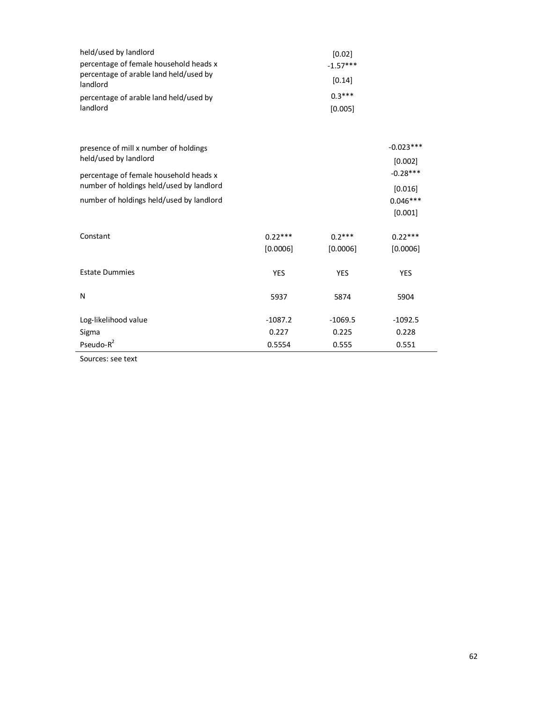| held/used by landlord<br>percentage of female household heads x<br>percentage of arable land held/used by<br>landlord<br>percentage of arable land held/used by<br>landlord |                       | [0.02]<br>$-1.57***$<br>[0.14]<br>$0.3***$<br>[0.005] |                                      |
|-----------------------------------------------------------------------------------------------------------------------------------------------------------------------------|-----------------------|-------------------------------------------------------|--------------------------------------|
| presence of mill x number of holdings<br>held/used by landlord                                                                                                              |                       |                                                       | $-0.023***$<br>[0.002]<br>$-0.28***$ |
| percentage of female household heads x<br>number of holdings held/used by landlord                                                                                          |                       |                                                       | [0.016]                              |
| number of holdings held/used by landlord                                                                                                                                    |                       |                                                       | $0.046***$<br>[0.001]                |
| Constant                                                                                                                                                                    | $0.22***$<br>[0.0006] | $0.2***$<br>[0.0006]                                  | $0.22***$<br>[0.0006]                |
| <b>Estate Dummies</b>                                                                                                                                                       | <b>YES</b>            | <b>YES</b>                                            | <b>YES</b>                           |
| N                                                                                                                                                                           | 5937                  | 5874                                                  | 5904                                 |
| Log-likelihood value                                                                                                                                                        | $-1087.2$             | $-1069.5$                                             | $-1092.5$                            |
| Sigma                                                                                                                                                                       | 0.227                 | 0.225                                                 | 0.228                                |
| Pseudo-R <sup>2</sup>                                                                                                                                                       | 0.5554                | 0.555                                                 | 0.551                                |

Sources: see text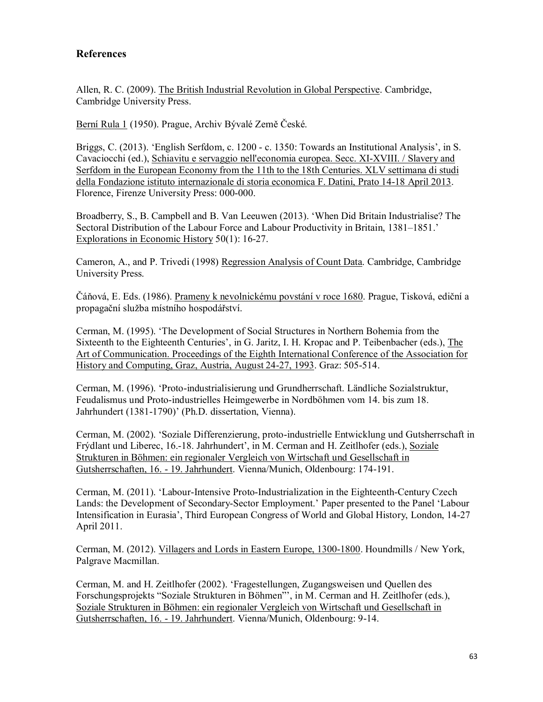#### **References**

Allen, R. C. (2009). The British Industrial Revolution in Global Perspective. Cambridge, Cambridge University Press.

Berní Rula 1 (1950). Prague, Archiv Bývalé Země České.

Briggs, C. (2013). 'English Serfdom, c. 1200 - c. 1350: Towards an Institutional Analysis', in S. Cavaciocchi (ed.), Schiavitu e servaggio nell'economia europea. Secc. XI-XVIII. / Slavery and Serfdom in the European Economy from the 11th to the 18th Centuries. XLV settimana di studi della Fondazione istituto internazionale di storia economica F. Datini, Prato 14-18 April 2013. Florence, Firenze University Press: 000-000.

Broadberry, S., B. Campbell and B. Van Leeuwen (2013). 'When Did Britain Industrialise? The Sectoral Distribution of the Labour Force and Labour Productivity in Britain, 1381–1851.' Explorations in Economic History 50(1): 16-27.

Cameron, A., and P. Trivedi (1998) Regression Analysis of Count Data. Cambridge, Cambridge University Press.

Čáňová, E. Eds. (1986). Prameny k nevolnickému povstání v roce 1680. Prague, Tisková, ediční a propagační služba místního hospodářství.

Cerman, M. (1995). 'The Development of Social Structures in Northern Bohemia from the Sixteenth to the Eighteenth Centuries', in G. Jaritz, I. H. Kropac and P. Teibenbacher (eds.), The Art of Communication. Proceedings of the Eighth International Conference of the Association for History and Computing, Graz, Austria, August 24-27, 1993. Graz: 505-514.

Cerman, M. (1996). 'Proto-industrialisierung und Grundherrschaft. Ländliche Sozialstruktur, Feudalismus und Proto-industrielles Heimgewerbe in Nordböhmen vom 14. bis zum 18. Jahrhundert (1381-1790)' (Ph.D. dissertation, Vienna).

Cerman, M. (2002). 'Soziale Differenzierung, proto-industrielle Entwicklung und Gutsherrschaft in Frýdlant und Liberec, 16.-18. Jahrhundert', in M. Cerman and H. Zeitlhofer (eds.), Soziale Strukturen in Böhmen: ein regionaler Vergleich von Wirtschaft und Gesellschaft in Gutsherrschaften, 16. - 19. Jahrhundert. Vienna/Munich, Oldenbourg: 174-191.

Cerman, M. (2011). 'Labour-Intensive Proto-Industrialization in the Eighteenth-Century Czech Lands: the Development of Secondary-Sector Employment.' Paper presented to the Panel 'Labour Intensification in Eurasia', Third European Congress of World and Global History, London, 14-27 April 2011.

Cerman, M. (2012). Villagers and Lords in Eastern Europe, 1300-1800. Houndmills / New York, Palgrave Macmillan.

Cerman, M. and H. Zeitlhofer (2002). 'Fragestellungen, Zugangsweisen und Quellen des Forschungsprojekts "Soziale Strukturen in Böhmen"', in M. Cerman and H. Zeitlhofer (eds.), Soziale Strukturen in Böhmen: ein regionaler Vergleich von Wirtschaft und Gesellschaft in Gutsherrschaften, 16. - 19. Jahrhundert. Vienna/Munich, Oldenbourg: 9-14.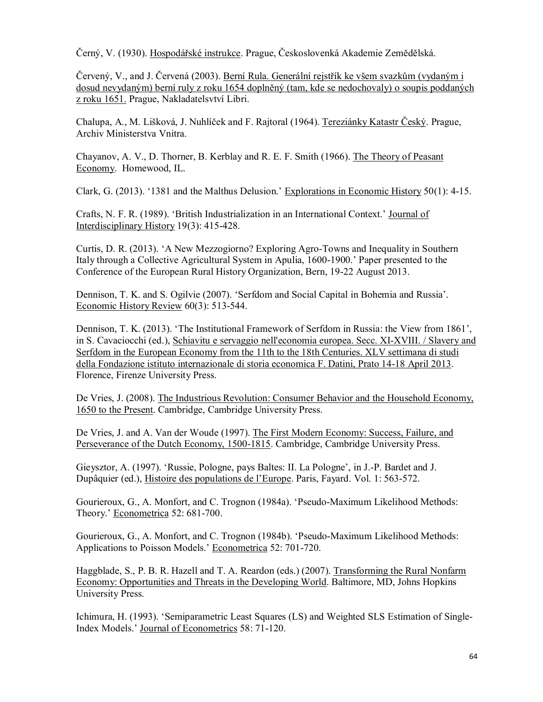Černý, V. (1930). Hospodářské instrukce. Prague, Českoslovenká Akademie Zemědělská.

Červený, V., and J. Červená (2003). Berní Rula. Generální rejstřík ke všem svazkům (vydaným i dosud nevydaným) berní ruly z roku 1654 doplněný (tam, kde se nedochovaly) o soupis poddaných z roku 1651. Prague, Nakladatelsvtví Libri.

Chalupa, A., M. Lišková, J. Nuhlíček and F. Rajtoral (1964). Tereziánky Katastr Český. Prague, Archiv Ministerstva Vnitra.

Chayanov, A. V., D. Thorner, B. Kerblay and R. E. F. Smith (1966). The Theory of Peasant Economy. Homewood, IL.

Clark, G. (2013). '1381 and the Malthus Delusion.' Explorations in Economic History 50(1): 4-15.

Crafts, N. F. R. (1989). 'British Industrialization in an International Context.' Journal of Interdisciplinary History 19(3): 415-428.

Curtis, D. R. (2013). 'A New Mezzogiorno? Exploring Agro-Towns and Inequality in Southern Italy through a Collective Agricultural System in Apulia, 1600-1900.' Paper presented to the Conference of the European Rural History Organization, Bern, 19-22 August 2013.

Dennison, T. K. and S. Ogilvie (2007). 'Serfdom and Social Capital in Bohemia and Russia'. Economic History Review 60(3): 513-544.

Dennison, T. K. (2013). 'The Institutional Framework of Serfdom in Russia: the View from 1861', in S. Cavaciocchi (ed.), Schiavitu e servaggio nell'economia europea. Secc. XI-XVIII. / Slavery and Serfdom in the European Economy from the 11th to the 18th Centuries. XLV settimana di studi della Fondazione istituto internazionale di storia economica F. Datini, Prato 14-18 April 2013. Florence, Firenze University Press.

De Vries, J. (2008). The Industrious Revolution: Consumer Behavior and the Household Economy, 1650 to the Present. Cambridge, Cambridge University Press.

De Vries, J. and A. Van der Woude (1997). The First Modern Economy: Success, Failure, and Perseverance of the Dutch Economy, 1500-1815. Cambridge, Cambridge University Press.

Gieysztor, A. (1997). 'Russie, Pologne, pays Baltes: II. La Pologne', in J.-P. Bardet and J. Dupâquier (ed.), Histoire des populations de l'Europe. Paris, Fayard. Vol. 1: 563-572.

Gourieroux, G., A. Monfort, and C. Trognon (1984a). 'Pseudo-Maximum Likelihood Methods: Theory.' Econometrica 52: 681-700.

Gourieroux, G., A. Monfort, and C. Trognon (1984b). 'Pseudo-Maximum Likelihood Methods: Applications to Poisson Models.' Econometrica 52: 701-720.

Haggblade, S., P. B. R. Hazell and T. A. Reardon (eds.) (2007). Transforming the Rural Nonfarm Economy: Opportunities and Threats in the Developing World. Baltimore, MD, Johns Hopkins University Press.

Ichimura, H. (1993). 'Semiparametric Least Squares (LS) and Weighted SLS Estimation of Single-Index Models.' Journal of Econometrics 58: 71-120.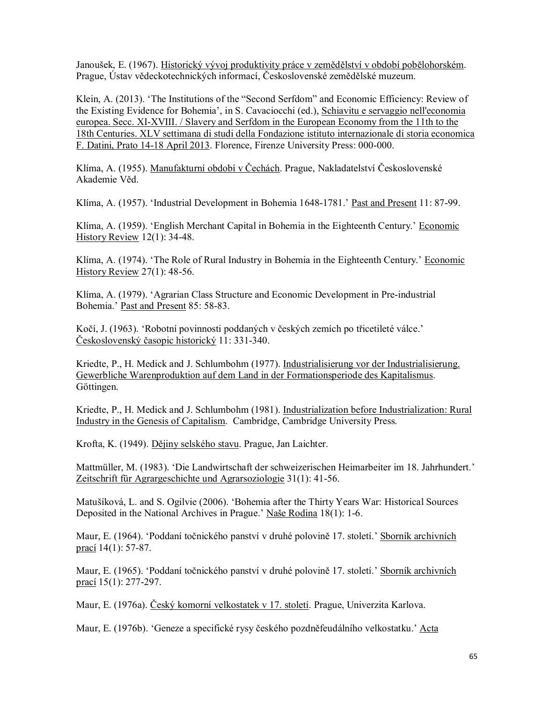Janoušek, E. (1967). Historický vývoj produktivity práce v zemědělství v období pobělohorském. Prague, Ústav vědeckotechnických informací, Československé zemědělské muzeum.

Klein, A. (2013). 'The Institutions of the "Second Serfdom" and Economic Efficiency: Review of the Existing Evidence for Bohemia', in S. Cavaciocchi (ed.), Schiavitu e servaggio nell'economia europea. Secc. XI-XVIII. / Slavery and Serfdom in the European Economy from the 11th to the 18th Centuries. XLV settimana di studi della Fondazione istituto internazionale di storia economica F. Datini, Prato 14-18 April 2013. Florence, Firenze University Press: 000-000.

Klíma, A. (1955). Manufakturní období v Čechách. Prague, Nakladatelství Československé Akademie Věd.

Klíma, A. (1957). 'Industrial Development in Bohemia 1648-1781.' Past and Present 11: 87-99.

Klíma, A. (1959). 'English Merchant Capital in Bohemia in the Eighteenth Century.' Economic History Review 12(1): 34-48.

Klíma, A. (1974). 'The Role of Rural Industry in Bohemia in the Eighteenth Century.' Economic History Review 27(1): 48-56.

Klíma, A. (1979). 'Agrarian Class Structure and Economic Development in Pre-industrial Bohemia.' Past and Present 85: 58-83.

Kočí, J. (1963). 'Robotní povinnosti poddaných v českých zemích po třicetileté válce.' Československý časopic historický 11: 331-340.

Kriedte, P., H. Medick and J. Schlumbohm (1977). Industrialisierung vor der Industrialisierung. Gewerbliche Warenproduktion auf dem Land in der Formationsperiode des Kapitalismus. Göttingen.

Kriedte, P., H. Medick and J. Schlumbohm (1981). Industrialization before Industrialization: Rural Industry in the Genesis of Capitalism. Cambridge, Cambridge University Press.

Krofta, K. (1949). Dějiny selského stavu. Prague, Jan Laichter.

Mattmüller, M. (1983). 'Die Landwirtschaft der schweizerischen Heimarbeiter im 18. Jahrhundert.' Zeitschrift für Agrargeschichte und Agrarsoziologie 31(1): 41-56.

Matušíková, L. and S. Ogilvie (2006). 'Bohemia after the Thirty Years War: Historical Sources Deposited in the National Archives in Prague.' Naše Rodina 18(1): 1-6.

Maur, E. (1964). 'Poddaní točnického panství v druhé polovině 17. století.' Sborník archivních prací 14(1): 57-87.

Maur, E. (1965). 'Poddaní točnického panství v druhé polovině 17. století.' Sborník archivních prací 15(1): 277-297.

Maur, E. (1976a). Český komorní velkostatek v 17. století. Prague, Univerzita Karlova.

Maur, E. (1976b). 'Geneze a specifické rysy českého pozdněfeudálního velkostatku.' Acta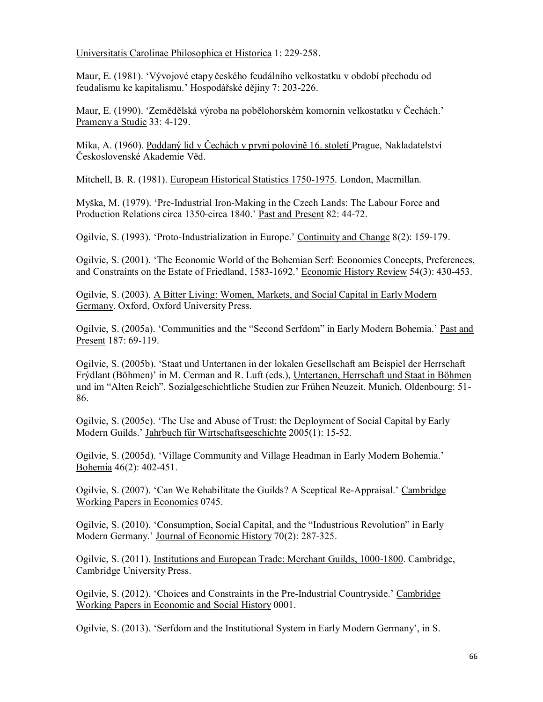Universitatis Carolinae Philosophica et Historica 1: 229-258.

Maur, E. (1981). 'Vývojové etapy českého feudálního velkostatku v období přechodu od feudalismu ke kapitalismu.' Hospodářské dějiny 7: 203-226.

Maur, E. (1990). 'Zemědělská výroba na pobělohorském komornín velkostatku v Čechách.' Prameny a Studie 33: 4-129.

Míka, A. (1960). Poddaný lid v Čechách v první polovině 16. století Prague, Nakladatelství Československé Akademie Věd.

Mitchell, B. R. (1981). European Historical Statistics 1750-1975. London, Macmillan.

Myška, M. (1979). 'Pre-Industrial Iron-Making in the Czech Lands: The Labour Force and Production Relations circa 1350-circa 1840.' Past and Present 82: 44-72.

Ogilvie, S. (1993). 'Proto-Industrialization in Europe.' Continuity and Change 8(2): 159-179.

Ogilvie, S. (2001). 'The Economic World of the Bohemian Serf: Economics Concepts, Preferences, and Constraints on the Estate of Friedland, 1583-1692.' Economic History Review 54(3): 430-453.

Ogilvie, S. (2003). A Bitter Living: Women, Markets, and Social Capital in Early Modern Germany. Oxford, Oxford University Press.

Ogilvie, S. (2005a). 'Communities and the "Second Serfdom" in Early Modern Bohemia.' Past and Present 187: 69-119.

Ogilvie, S. (2005b). 'Staat und Untertanen in der lokalen Gesellschaft am Beispiel der Herrschaft Frýdlant (Böhmen)' in M. Cerman and R. Luft (eds.), Untertanen, Herrschaft und Staat in Böhmen und im "Alten Reich". Sozialgeschichtliche Studien zur Frühen Neuzeit. Munich, Oldenbourg: 51- 86.

Ogilvie, S. (2005c). 'The Use and Abuse of Trust: the Deployment of Social Capital by Early Modern Guilds.' Jahrbuch für Wirtschaftsgeschichte 2005(1): 15-52.

Ogilvie, S. (2005d). 'Village Community and Village Headman in Early Modern Bohemia.' Bohemia 46(2): 402-451.

Ogilvie, S. (2007). 'Can We Rehabilitate the Guilds? A Sceptical Re-Appraisal.' Cambridge Working Papers in Economics 0745.

Ogilvie, S. (2010). 'Consumption, Social Capital, and the "Industrious Revolution" in Early Modern Germany.' Journal of Economic History 70(2): 287-325.

Ogilvie, S. (2011). Institutions and European Trade: Merchant Guilds, 1000-1800. Cambridge, Cambridge University Press.

Ogilvie, S. (2012). 'Choices and Constraints in the Pre-Industrial Countryside.' Cambridge Working Papers in Economic and Social History 0001.

Ogilvie, S. (2013). 'Serfdom and the Institutional System in Early Modern Germany', in S.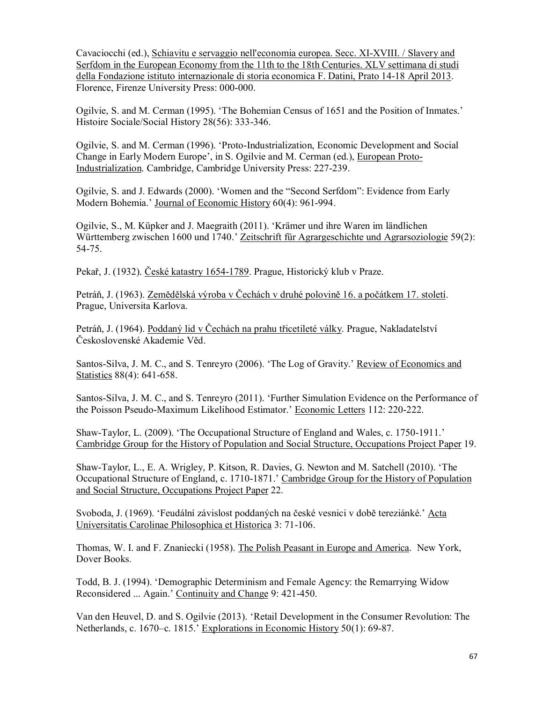Cavaciocchi (ed.), Schiavitu e servaggio nell'economia europea. Secc. XI-XVIII. / Slavery and Serfdom in the European Economy from the 11th to the 18th Centuries. XLV settimana di studi della Fondazione istituto internazionale di storia economica F. Datini, Prato 14-18 April 2013. Florence, Firenze University Press: 000-000.

Ogilvie, S. and M. Cerman (1995). 'The Bohemian Census of 1651 and the Position of Inmates.' Histoire Sociale/Social History 28(56): 333-346.

Ogilvie, S. and M. Cerman (1996). 'Proto-Industrialization, Economic Development and Social Change in Early Modern Europe', in S. Ogilvie and M. Cerman (ed.), European Proto-Industrialization. Cambridge, Cambridge University Press: 227-239.

Ogilvie, S. and J. Edwards (2000). 'Women and the "Second Serfdom": Evidence from Early Modern Bohemia.' Journal of Economic History 60(4): 961-994.

Ogilvie, S., M. Küpker and J. Maegraith (2011). 'Krämer und ihre Waren im ländlichen Württemberg zwischen 1600 und 1740.' Zeitschrift für Agrargeschichte und Agrarsoziologie 59(2): 54-75.

Pekař, J. (1932). České katastry 1654-1789. Prague, Historický klub v Praze.

Petráň, J. (1963). Zemědělská výroba v Čechách v druhé polovině 16. a počátkem 17. století. Prague, Universita Karlova.

Petráň, J. (1964). Poddaný lid v Čechách na prahu třicetileté války. Prague, Nakladatelství Československé Akademie Věd.

Santos-Silva, J. M. C., and S. Tenreyro (2006). 'The Log of Gravity.' Review of Economics and Statistics 88(4): 641-658.

Santos-Silva, J. M. C., and S. Tenreyro (2011). 'Further Simulation Evidence on the Performance of the Poisson Pseudo-Maximum Likelihood Estimator.' Economic Letters 112: 220-222.

Shaw-Taylor, L. (2009). 'The Occupational Structure of England and Wales, c. 1750-1911.' Cambridge Group for the History of Population and Social Structure, Occupations Project Paper 19.

Shaw-Taylor, L., E. A. Wrigley, P. Kitson, R. Davies, G. Newton and M. Satchell (2010). 'The Occupational Structure of England, c. 1710-1871.' Cambridge Group for the History of Population and Social Structure, Occupations Project Paper 22.

Svoboda, J. (1969). 'Feudální závislost poddaných na české vesnici v době tereziánké.' Acta Universitatis Carolinae Philosophica et Historica 3: 71-106.

Thomas, W. I. and F. Znaniecki (1958). The Polish Peasant in Europe and America. New York, Dover Books.

Todd, B. J. (1994). 'Demographic Determinism and Female Agency: the Remarrying Widow Reconsidered ... Again.' Continuity and Change 9: 421-450.

Van den Heuvel, D. and S. Ogilvie (2013). 'Retail Development in the Consumer Revolution: The Netherlands, c. 1670–c. 1815.' Explorations in Economic History 50(1): 69-87.